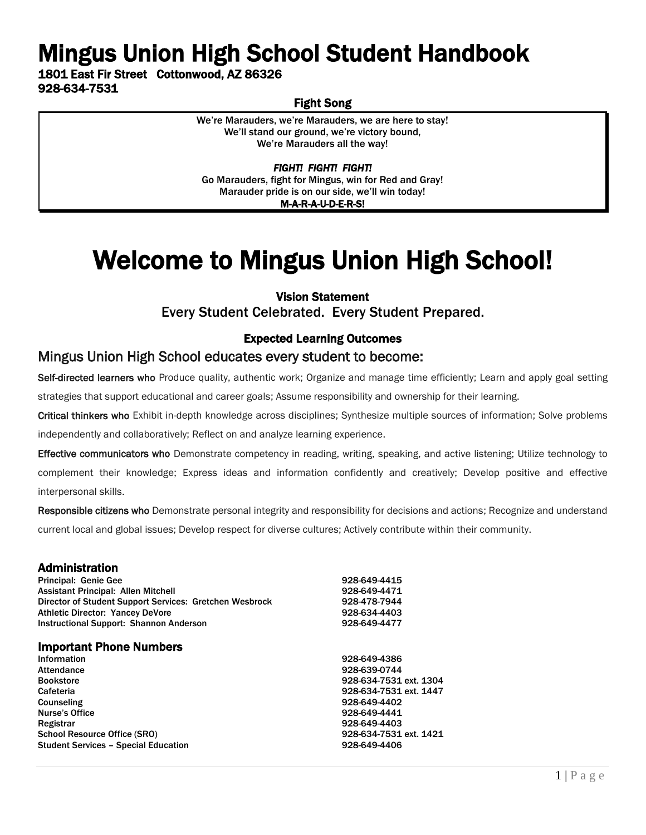# Mingus Union High School Student Handbook

1801 East Fir Street Cottonwood, AZ 86326 928-634-7531

## Fight Song

We're Marauders, we're Marauders, we are here to stay! We'll stand our ground, we're victory bound, We're Marauders all the way!

*FIGHT! FIGHT! FIGHT!*  Go Marauders, fight for Mingus, win for Red and Gray! Marauder pride is on our side, we'll win today! M-A-R-A-U-D-E-R-S!

# Welcome to Mingus Union High School!

### Vision Statement

Every Student Celebrated. Every Student Prepared.

### Expected Learning Outcomes

### Mingus Union High School educates every student to become:

Self-directed learners who Produce quality, authentic work; Organize and manage time efficiently; Learn and apply goal setting strategies that support educational and career goals; Assume responsibility and ownership for their learning.

Critical thinkers who Exhibit in-depth knowledge across disciplines; Synthesize multiple sources of information; Solve problems independently and collaboratively; Reflect on and analyze learning experience.

Effective communicators who Demonstrate competency in reading, writing, speaking, and active listening; Utilize technology to complement their knowledge; Express ideas and information confidently and creatively; Develop positive and effective

interpersonal skills.

Responsible citizens who Demonstrate personal integrity and responsibility for decisions and actions; Recognize and understand current local and global issues; Develop respect for diverse cultures; Actively contribute within their community.

#### Administration

| 928-649-4415<br>928-649-4471<br>928-478-7944<br>928-634-4403<br>928-649-4477 |
|------------------------------------------------------------------------------|
|                                                                              |
|                                                                              |
| 928-649-4386                                                                 |
| 928-639-0744                                                                 |
| 928-634-7531 ext. 1304                                                       |
| 928-634-7531 ext. 1447                                                       |
| 928-649-4402                                                                 |
| 928-649-4441                                                                 |
| 928-649-4403                                                                 |
| 928-634-7531 ext. 1421                                                       |
| 928-649-4406                                                                 |
|                                                                              |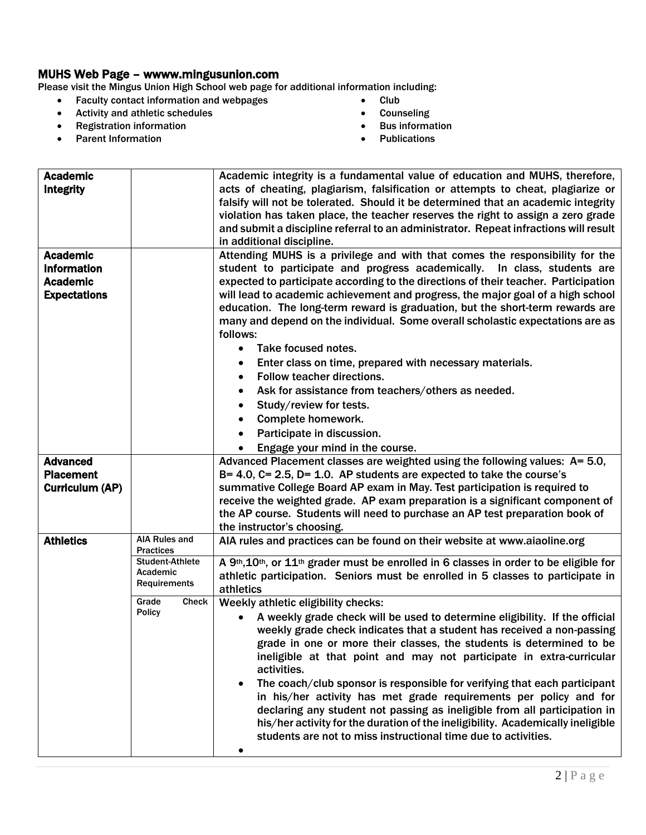### MUHS Web Page – wwww.mingusunion.com

Please visit the Mingus Union High School web page for additional information including:

- Faculty contact information and webpages
- Activity and athletic schedules
- Registration information
- Parent Information
- Club
- Counseling
- Bus information
- Publications

| <b>Academic</b>     |                                     | Academic integrity is a fundamental value of education and MUHS, therefore,              |
|---------------------|-------------------------------------|------------------------------------------------------------------------------------------|
| <b>Integrity</b>    |                                     | acts of cheating, plagiarism, falsification or attempts to cheat, plagiarize or          |
|                     |                                     | falsify will not be tolerated. Should it be determined that an academic integrity        |
|                     |                                     | violation has taken place, the teacher reserves the right to assign a zero grade         |
|                     |                                     | and submit a discipline referral to an administrator. Repeat infractions will result     |
|                     |                                     | in additional discipline.                                                                |
| <b>Academic</b>     |                                     | Attending MUHS is a privilege and with that comes the responsibility for the             |
| <b>Information</b>  |                                     | student to participate and progress academically. In class, students are                 |
| <b>Academic</b>     |                                     | expected to participate according to the directions of their teacher. Participation      |
| <b>Expectations</b> |                                     | will lead to academic achievement and progress, the major goal of a high school          |
|                     |                                     | education. The long-term reward is graduation, but the short-term rewards are            |
|                     |                                     | many and depend on the individual. Some overall scholastic expectations are as           |
|                     |                                     | follows:                                                                                 |
|                     |                                     | Take focused notes.<br>$\bullet$                                                         |
|                     |                                     | Enter class on time, prepared with necessary materials.<br>٠                             |
|                     |                                     | Follow teacher directions.<br>$\bullet$                                                  |
|                     |                                     | Ask for assistance from teachers/others as needed.                                       |
|                     |                                     | Study/review for tests.                                                                  |
|                     |                                     | Complete homework.<br>$\bullet$                                                          |
|                     |                                     | Participate in discussion.<br>$\bullet$                                                  |
|                     |                                     | Engage your mind in the course.                                                          |
| <b>Advanced</b>     |                                     | Advanced Placement classes are weighted using the following values: A= 5.0,              |
| <b>Placement</b>    |                                     | $B = 4.0$ , $C = 2.5$ , $D = 1.0$ . AP students are expected to take the course's        |
| Curriculum (AP)     |                                     | summative College Board AP exam in May. Test participation is required to                |
|                     |                                     | receive the weighted grade. AP exam preparation is a significant component of            |
|                     |                                     | the AP course. Students will need to purchase an AP test preparation book of             |
|                     |                                     | the instructor's choosing.                                                               |
| <b>Athletics</b>    | <b>AIA Rules and</b>                | AIA rules and practices can be found on their website at www.aiaoline.org                |
|                     | <b>Practices</b><br>Student-Athlete | A 9th, 10th, or 11th grader must be enrolled in 6 classes in order to be eligible for    |
|                     | Academic                            | athletic participation. Seniors must be enrolled in 5 classes to participate in          |
|                     | Requirements                        | athletics                                                                                |
|                     | Grade<br>Check                      | Weekly athletic eligibility checks:                                                      |
|                     | <b>Policy</b>                       | A weekly grade check will be used to determine eligibility. If the official<br>$\bullet$ |
|                     |                                     | weekly grade check indicates that a student has received a non-passing                   |
|                     |                                     | grade in one or more their classes, the students is determined to be                     |
|                     |                                     | ineligible at that point and may not participate in extra-curricular                     |
|                     |                                     | activities.                                                                              |
|                     |                                     | The coach/club sponsor is responsible for verifying that each participant                |
|                     |                                     | in his/her activity has met grade requirements per policy and for                        |
|                     |                                     | declaring any student not passing as ineligible from all participation in                |
|                     |                                     | his/her activity for the duration of the ineligibility. Academically ineligible          |
|                     |                                     | students are not to miss instructional time due to activities.                           |
|                     |                                     |                                                                                          |
|                     |                                     |                                                                                          |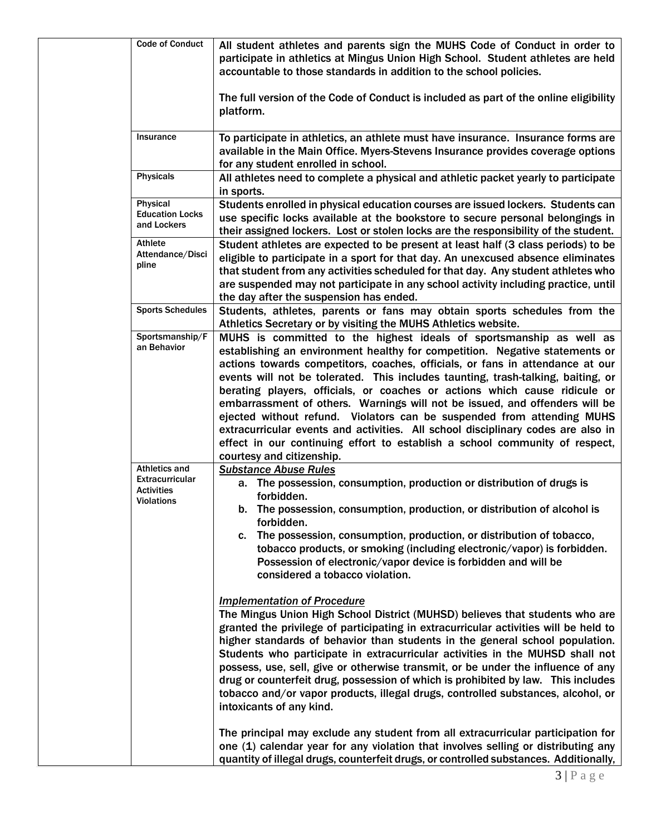| <b>Code of Conduct</b><br>accountable to those standards in addition to the school policies.<br>platform.<br>Insurance<br>for any student enrolled in school.<br><b>Physicals</b><br>All athletes need to complete a physical and athletic packet yearly to participate<br>in sports.<br>Physical<br><b>Education Locks</b><br>and Lockers<br>Athlete<br>Attendance/Disci<br>pline<br>the day after the suspension has ended.<br><b>Sports Schedules</b><br>Athletics Secretary or by visiting the MUHS Athletics website.<br>Sportsmanship/F<br>an Behavior<br>courtesy and citizenship.<br><b>Athletics and</b><br><b>Substance Abuse Rules</b><br><b>Extracurricular</b><br>a. The possession, consumption, production or distribution of drugs is<br><b>Activities</b><br>forbidden.<br><b>Violations</b><br>b. The possession, consumption, production, or distribution of alcohol is<br>forbidden.<br>The possession, consumption, production, or distribution of tobacco,<br>c.<br>tobacco products, or smoking (including electronic/vapor) is forbidden.<br>Possession of electronic/vapor device is forbidden and will be<br>considered a tobacco violation.<br><b>Implementation of Procedure</b><br>intoxicants of any kind. |  |                                                                                                                                                                                                                                                                                                                                                                                                                                                                                                                                                                                                                                                                                                                                                                                                                                                                      |
|------------------------------------------------------------------------------------------------------------------------------------------------------------------------------------------------------------------------------------------------------------------------------------------------------------------------------------------------------------------------------------------------------------------------------------------------------------------------------------------------------------------------------------------------------------------------------------------------------------------------------------------------------------------------------------------------------------------------------------------------------------------------------------------------------------------------------------------------------------------------------------------------------------------------------------------------------------------------------------------------------------------------------------------------------------------------------------------------------------------------------------------------------------------------------------------------------------------------------------------|--|----------------------------------------------------------------------------------------------------------------------------------------------------------------------------------------------------------------------------------------------------------------------------------------------------------------------------------------------------------------------------------------------------------------------------------------------------------------------------------------------------------------------------------------------------------------------------------------------------------------------------------------------------------------------------------------------------------------------------------------------------------------------------------------------------------------------------------------------------------------------|
|                                                                                                                                                                                                                                                                                                                                                                                                                                                                                                                                                                                                                                                                                                                                                                                                                                                                                                                                                                                                                                                                                                                                                                                                                                          |  | All student athletes and parents sign the MUHS Code of Conduct in order to<br>participate in athletics at Mingus Union High School. Student athletes are held                                                                                                                                                                                                                                                                                                                                                                                                                                                                                                                                                                                                                                                                                                        |
|                                                                                                                                                                                                                                                                                                                                                                                                                                                                                                                                                                                                                                                                                                                                                                                                                                                                                                                                                                                                                                                                                                                                                                                                                                          |  | The full version of the Code of Conduct is included as part of the online eligibility                                                                                                                                                                                                                                                                                                                                                                                                                                                                                                                                                                                                                                                                                                                                                                                |
|                                                                                                                                                                                                                                                                                                                                                                                                                                                                                                                                                                                                                                                                                                                                                                                                                                                                                                                                                                                                                                                                                                                                                                                                                                          |  | To participate in athletics, an athlete must have insurance. Insurance forms are<br>available in the Main Office. Myers-Stevens Insurance provides coverage options                                                                                                                                                                                                                                                                                                                                                                                                                                                                                                                                                                                                                                                                                                  |
|                                                                                                                                                                                                                                                                                                                                                                                                                                                                                                                                                                                                                                                                                                                                                                                                                                                                                                                                                                                                                                                                                                                                                                                                                                          |  |                                                                                                                                                                                                                                                                                                                                                                                                                                                                                                                                                                                                                                                                                                                                                                                                                                                                      |
|                                                                                                                                                                                                                                                                                                                                                                                                                                                                                                                                                                                                                                                                                                                                                                                                                                                                                                                                                                                                                                                                                                                                                                                                                                          |  | Students enrolled in physical education courses are issued lockers. Students can<br>use specific locks available at the bookstore to secure personal belongings in<br>their assigned lockers. Lost or stolen locks are the responsibility of the student.                                                                                                                                                                                                                                                                                                                                                                                                                                                                                                                                                                                                            |
|                                                                                                                                                                                                                                                                                                                                                                                                                                                                                                                                                                                                                                                                                                                                                                                                                                                                                                                                                                                                                                                                                                                                                                                                                                          |  | Student athletes are expected to be present at least half (3 class periods) to be<br>eligible to participate in a sport for that day. An unexcused absence eliminates<br>that student from any activities scheduled for that day. Any student athletes who<br>are suspended may not participate in any school activity including practice, until                                                                                                                                                                                                                                                                                                                                                                                                                                                                                                                     |
|                                                                                                                                                                                                                                                                                                                                                                                                                                                                                                                                                                                                                                                                                                                                                                                                                                                                                                                                                                                                                                                                                                                                                                                                                                          |  | Students, athletes, parents or fans may obtain sports schedules from the                                                                                                                                                                                                                                                                                                                                                                                                                                                                                                                                                                                                                                                                                                                                                                                             |
|                                                                                                                                                                                                                                                                                                                                                                                                                                                                                                                                                                                                                                                                                                                                                                                                                                                                                                                                                                                                                                                                                                                                                                                                                                          |  | MUHS is committed to the highest ideals of sportsmanship as well as<br>establishing an environment healthy for competition. Negative statements or<br>actions towards competitors, coaches, officials, or fans in attendance at our<br>events will not be tolerated. This includes taunting, trash-talking, baiting, or<br>berating players, officials, or coaches or actions which cause ridicule or<br>embarrassment of others. Warnings will not be issued, and offenders will be<br>ejected without refund. Violators can be suspended from attending MUHS<br>extracurricular events and activities. All school disciplinary codes are also in<br>effect in our continuing effort to establish a school community of respect,                                                                                                                                    |
|                                                                                                                                                                                                                                                                                                                                                                                                                                                                                                                                                                                                                                                                                                                                                                                                                                                                                                                                                                                                                                                                                                                                                                                                                                          |  | The Mingus Union High School District (MUHSD) believes that students who are<br>granted the privilege of participating in extracurricular activities will be held to<br>higher standards of behavior than students in the general school population.<br>Students who participate in extracurricular activities in the MUHSD shall not<br>possess, use, sell, give or otherwise transmit, or be under the influence of any<br>drug or counterfeit drug, possession of which is prohibited by law. This includes<br>tobacco and/or vapor products, illegal drugs, controlled substances, alcohol, or<br>The principal may exclude any student from all extracurricular participation for<br>one (1) calendar year for any violation that involves selling or distributing any<br>quantity of illegal drugs, counterfeit drugs, or controlled substances. Additionally, |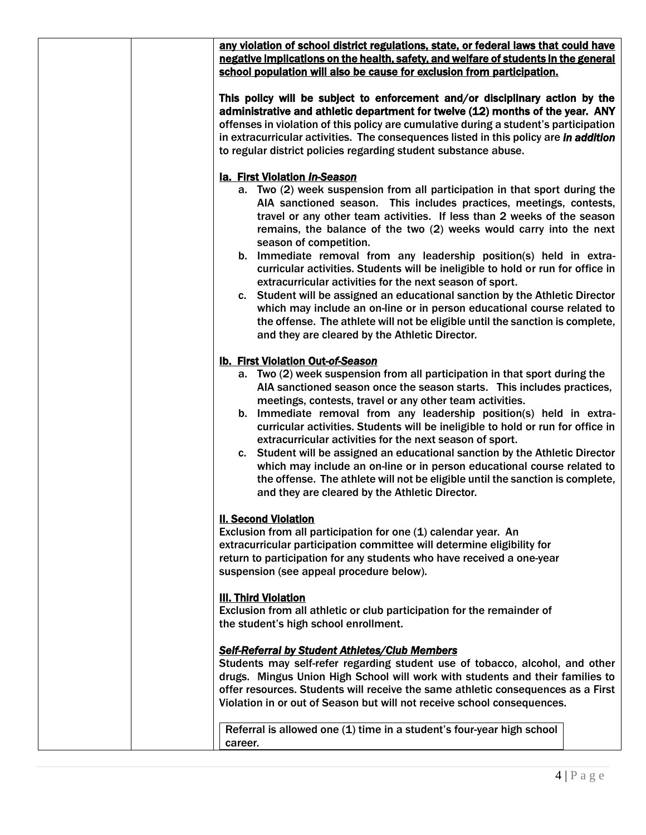| any violation of school district regulations, state, or federal laws that could have<br>negative implications on the health, safety, and welfare of students in the general<br>school population will also be cause for exclusion from participation.                                                                                                                                                                                                                                                                                                                                                                                                                                                                                |
|--------------------------------------------------------------------------------------------------------------------------------------------------------------------------------------------------------------------------------------------------------------------------------------------------------------------------------------------------------------------------------------------------------------------------------------------------------------------------------------------------------------------------------------------------------------------------------------------------------------------------------------------------------------------------------------------------------------------------------------|
| This policy will be subject to enforcement and/or disciplinary action by the<br>administrative and athletic department for twelve (12) months of the year. ANY<br>offenses in violation of this policy are cumulative during a student's participation<br>in extracurricular activities. The consequences listed in this policy are in addition<br>to regular district policies regarding student substance abuse.                                                                                                                                                                                                                                                                                                                   |
| la. First Violation In-Season                                                                                                                                                                                                                                                                                                                                                                                                                                                                                                                                                                                                                                                                                                        |
| a. Two (2) week suspension from all participation in that sport during the<br>AIA sanctioned season. This includes practices, meetings, contests,<br>travel or any other team activities. If less than 2 weeks of the season<br>remains, the balance of the two (2) weeks would carry into the next<br>season of competition.                                                                                                                                                                                                                                                                                                                                                                                                        |
| b. Immediate removal from any leadership position(s) held in extra-<br>curricular activities. Students will be ineligible to hold or run for office in<br>extracurricular activities for the next season of sport.                                                                                                                                                                                                                                                                                                                                                                                                                                                                                                                   |
| c. Student will be assigned an educational sanction by the Athletic Director<br>which may include an on-line or in person educational course related to<br>the offense. The athlete will not be eligible until the sanction is complete,<br>and they are cleared by the Athletic Director.                                                                                                                                                                                                                                                                                                                                                                                                                                           |
| <b>Ib. First Violation Out-of-Season</b>                                                                                                                                                                                                                                                                                                                                                                                                                                                                                                                                                                                                                                                                                             |
| a. Two (2) week suspension from all participation in that sport during the<br>AIA sanctioned season once the season starts. This includes practices,<br>meetings, contests, travel or any other team activities.<br>b. Immediate removal from any leadership position(s) held in extra-<br>curricular activities. Students will be ineligible to hold or run for office in<br>extracurricular activities for the next season of sport.<br>c. Student will be assigned an educational sanction by the Athletic Director<br>which may include an on-line or in person educational course related to<br>the offense. The athlete will not be eligible until the sanction is complete,<br>and they are cleared by the Athletic Director. |
| <b>II. Second Violation</b><br>Exclusion from all participation for one (1) calendar year. An<br>extracurricular participation committee will determine eligibility for<br>return to participation for any students who have received a one-year<br>suspension (see appeal procedure below).                                                                                                                                                                                                                                                                                                                                                                                                                                         |
| <b>III. Third Violation</b><br>Exclusion from all athletic or club participation for the remainder of<br>the student's high school enrollment.                                                                                                                                                                                                                                                                                                                                                                                                                                                                                                                                                                                       |
| <b>Self-Referral by Student Athletes/Club Members</b><br>Students may self-refer regarding student use of tobacco, alcohol, and other<br>drugs. Mingus Union High School will work with students and their families to<br>offer resources. Students will receive the same athletic consequences as a First<br>Violation in or out of Season but will not receive school consequences.                                                                                                                                                                                                                                                                                                                                                |
| Referral is allowed one (1) time in a student's four-year high school<br>career.                                                                                                                                                                                                                                                                                                                                                                                                                                                                                                                                                                                                                                                     |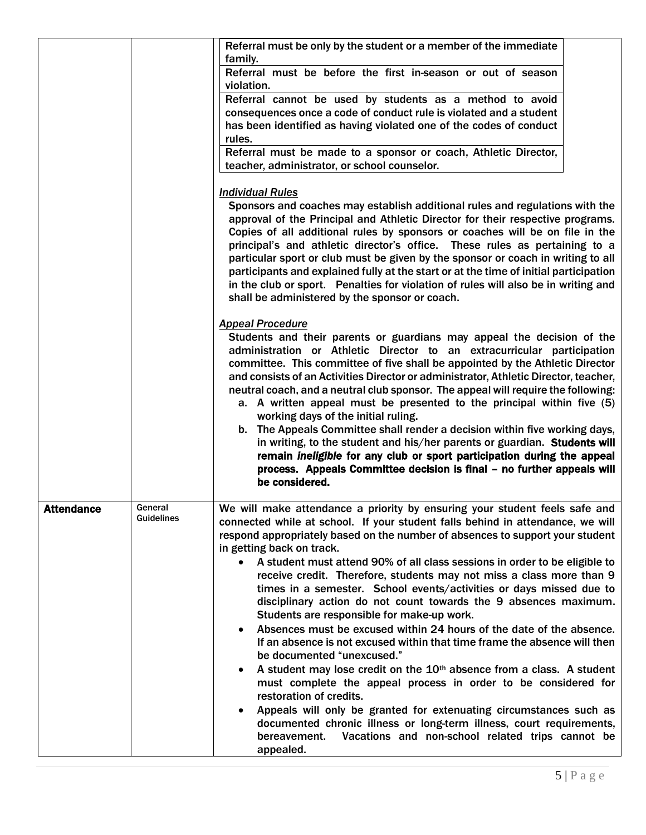|                   |                              | Referral must be only by the student or a member of the immediate                                                                                                                                                                                                                                                                                                                                                                                                                                                                                                                                                                                                                                                                                                                                                                                                                                                                                                                                                                                                                                                                                                                                                             |
|-------------------|------------------------------|-------------------------------------------------------------------------------------------------------------------------------------------------------------------------------------------------------------------------------------------------------------------------------------------------------------------------------------------------------------------------------------------------------------------------------------------------------------------------------------------------------------------------------------------------------------------------------------------------------------------------------------------------------------------------------------------------------------------------------------------------------------------------------------------------------------------------------------------------------------------------------------------------------------------------------------------------------------------------------------------------------------------------------------------------------------------------------------------------------------------------------------------------------------------------------------------------------------------------------|
|                   |                              | family.<br>Referral must be before the first in-season or out of season<br>violation.<br>Referral cannot be used by students as a method to avoid<br>consequences once a code of conduct rule is violated and a student<br>has been identified as having violated one of the codes of conduct<br>rules.<br>Referral must be made to a sponsor or coach, Athletic Director,<br>teacher, administrator, or school counselor.                                                                                                                                                                                                                                                                                                                                                                                                                                                                                                                                                                                                                                                                                                                                                                                                    |
|                   |                              | <b>Individual Rules</b><br>Sponsors and coaches may establish additional rules and regulations with the<br>approval of the Principal and Athletic Director for their respective programs.<br>Copies of all additional rules by sponsors or coaches will be on file in the<br>principal's and athletic director's office. These rules as pertaining to a<br>particular sport or club must be given by the sponsor or coach in writing to all<br>participants and explained fully at the start or at the time of initial participation<br>in the club or sport. Penalties for violation of rules will also be in writing and<br>shall be administered by the sponsor or coach.                                                                                                                                                                                                                                                                                                                                                                                                                                                                                                                                                  |
|                   |                              | <b>Appeal Procedure</b><br>Students and their parents or guardians may appeal the decision of the<br>administration or Athletic Director to an extracurricular participation<br>committee. This committee of five shall be appointed by the Athletic Director<br>and consists of an Activities Director or administrator, Athletic Director, teacher,<br>neutral coach, and a neutral club sponsor. The appeal will require the following:<br>a. A written appeal must be presented to the principal within five (5)<br>working days of the initial ruling.<br>b. The Appeals Committee shall render a decision within five working days,<br>in writing, to the student and his/her parents or guardian. Students will<br>remain ineligible for any club or sport participation during the appeal<br>process. Appeals Committee decision is final - no further appeals will<br>be considered.                                                                                                                                                                                                                                                                                                                                 |
| <b>Attendance</b> | General<br><b>Guidelines</b> | We will make attendance a priority by ensuring your student feels safe and<br>connected while at school. If your student falls behind in attendance, we will<br>respond appropriately based on the number of absences to support your student<br>in getting back on track.<br>A student must attend 90% of all class sessions in order to be eligible to<br>receive credit. Therefore, students may not miss a class more than 9<br>times in a semester. School events/activities or days missed due to<br>disciplinary action do not count towards the 9 absences maximum.<br>Students are responsible for make-up work.<br>Absences must be excused within 24 hours of the date of the absence.<br>If an absence is not excused within that time frame the absence will then<br>be documented "unexcused."<br>A student may lose credit on the 10 <sup>th</sup> absence from a class. A student<br>must complete the appeal process in order to be considered for<br>restoration of credits.<br>Appeals will only be granted for extenuating circumstances such as<br>documented chronic illness or long-term illness, court requirements,<br>Vacations and non-school related trips cannot be<br>bereavement.<br>appealed. |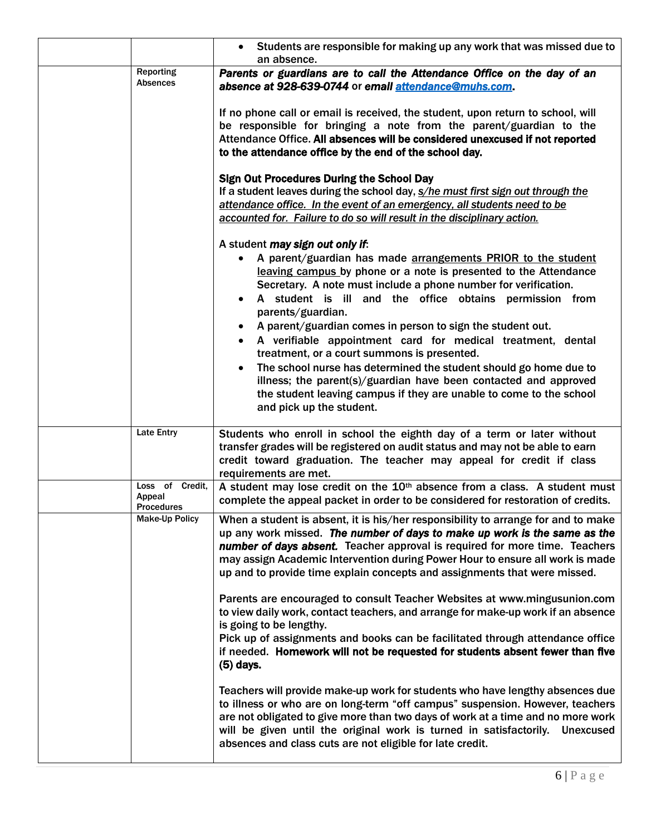|                                                | Students are responsible for making up any work that was missed due to<br>an absence.                                                                                                                                                                                                                                                                                                                                                                                                                                                                                                                                                                                                                                                          |
|------------------------------------------------|------------------------------------------------------------------------------------------------------------------------------------------------------------------------------------------------------------------------------------------------------------------------------------------------------------------------------------------------------------------------------------------------------------------------------------------------------------------------------------------------------------------------------------------------------------------------------------------------------------------------------------------------------------------------------------------------------------------------------------------------|
| Reporting<br><b>Absences</b>                   | Parents or guardians are to call the Attendance Office on the day of an<br>absence at 928-639-0744 or email attendance@muhs.com.                                                                                                                                                                                                                                                                                                                                                                                                                                                                                                                                                                                                               |
|                                                | If no phone call or email is received, the student, upon return to school, will<br>be responsible for bringing a note from the parent/guardian to the<br>Attendance Office. All absences will be considered unexcused if not reported<br>to the attendance office by the end of the school day.                                                                                                                                                                                                                                                                                                                                                                                                                                                |
|                                                | <b>Sign Out Procedures During the School Day</b><br>If a student leaves during the school day, s/he must first sign out through the<br>attendance office. In the event of an emergency, all students need to be<br>accounted for. Failure to do so will result in the disciplinary action.                                                                                                                                                                                                                                                                                                                                                                                                                                                     |
|                                                | A student may sign out only if:<br>A parent/guardian has made arrangements PRIOR to the student<br>leaving campus by phone or a note is presented to the Attendance<br>Secretary. A note must include a phone number for verification.<br>A student is ill and the office obtains permission from<br>parents/guardian.<br>A parent/guardian comes in person to sign the student out.<br>A verifiable appointment card for medical treatment, dental<br>treatment, or a court summons is presented.<br>The school nurse has determined the student should go home due to<br>illness; the parent(s)/guardian have been contacted and approved<br>the student leaving campus if they are unable to come to the school<br>and pick up the student. |
| <b>Late Entry</b>                              | Students who enroll in school the eighth day of a term or later without<br>transfer grades will be registered on audit status and may not be able to earn<br>credit toward graduation. The teacher may appeal for credit if class<br>requirements are met.                                                                                                                                                                                                                                                                                                                                                                                                                                                                                     |
| Loss of Credit,<br>Appeal<br><b>Procedures</b> | A student may lose credit on the 10th absence from a class. A student must<br>complete the appeal packet in order to be considered for restoration of credits.                                                                                                                                                                                                                                                                                                                                                                                                                                                                                                                                                                                 |
| <b>Make-Up Policy</b>                          | When a student is absent, it is his/her responsibility to arrange for and to make<br>up any work missed. The number of days to make up work is the same as the<br>number of days absent. Teacher approval is required for more time. Teachers<br>may assign Academic Intervention during Power Hour to ensure all work is made<br>up and to provide time explain concepts and assignments that were missed.                                                                                                                                                                                                                                                                                                                                    |
|                                                | Parents are encouraged to consult Teacher Websites at www.mingusunion.com<br>to view daily work, contact teachers, and arrange for make-up work if an absence<br>is going to be lengthy.<br>Pick up of assignments and books can be facilitated through attendance office<br>if needed. Homework will not be requested for students absent fewer than five<br>(5) days.                                                                                                                                                                                                                                                                                                                                                                        |
|                                                | Teachers will provide make-up work for students who have lengthy absences due<br>to illness or who are on long-term "off campus" suspension. However, teachers<br>are not obligated to give more than two days of work at a time and no more work<br>will be given until the original work is turned in satisfactorily.<br>Unexcused<br>absences and class cuts are not eligible for late credit.                                                                                                                                                                                                                                                                                                                                              |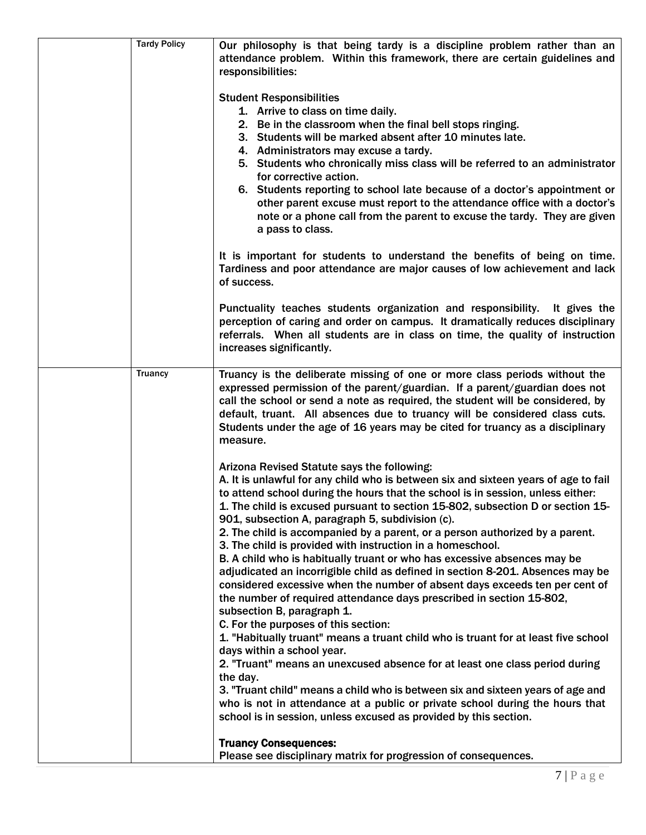| <b>Tardy Policy</b> | Our philosophy is that being tardy is a discipline problem rather than an<br>attendance problem. Within this framework, there are certain guidelines and<br>responsibilities:<br><b>Student Responsibilities</b><br>1. Arrive to class on time daily.<br>2. Be in the classroom when the final bell stops ringing.<br>3. Students will be marked absent after 10 minutes late.<br>4. Administrators may excuse a tardy.<br>5. Students who chronically miss class will be referred to an administrator<br>for corrective action.<br>6. Students reporting to school late because of a doctor's appointment or<br>other parent excuse must report to the attendance office with a doctor's<br>note or a phone call from the parent to excuse the tardy. They are given<br>a pass to class.<br>It is important for students to understand the benefits of being on time.<br>Tardiness and poor attendance are major causes of low achievement and lack<br>of success.<br>Punctuality teaches students organization and responsibility. It gives the<br>perception of caring and order on campus. It dramatically reduces disciplinary<br>referrals. When all students are in class on time, the quality of instruction |
|---------------------|----------------------------------------------------------------------------------------------------------------------------------------------------------------------------------------------------------------------------------------------------------------------------------------------------------------------------------------------------------------------------------------------------------------------------------------------------------------------------------------------------------------------------------------------------------------------------------------------------------------------------------------------------------------------------------------------------------------------------------------------------------------------------------------------------------------------------------------------------------------------------------------------------------------------------------------------------------------------------------------------------------------------------------------------------------------------------------------------------------------------------------------------------------------------------------------------------------------------|
|                     | increases significantly.                                                                                                                                                                                                                                                                                                                                                                                                                                                                                                                                                                                                                                                                                                                                                                                                                                                                                                                                                                                                                                                                                                                                                                                             |
| <b>Truancy</b>      | Truancy is the deliberate missing of one or more class periods without the<br>expressed permission of the parent/guardian. If a parent/guardian does not<br>call the school or send a note as required, the student will be considered, by<br>default, truant. All absences due to truancy will be considered class cuts.<br>Students under the age of 16 years may be cited for truancy as a disciplinary<br>measure.                                                                                                                                                                                                                                                                                                                                                                                                                                                                                                                                                                                                                                                                                                                                                                                               |
|                     | Arizona Revised Statute says the following:<br>A. It is unlawful for any child who is between six and sixteen years of age to fail<br>to attend school during the hours that the school is in session, unless either:<br>1. The child is excused pursuant to section 15-802, subsection D or section 15-<br>901, subsection A, paragraph 5, subdivision (c).<br>2. The child is accompanied by a parent, or a person authorized by a parent.<br>3. The child is provided with instruction in a homeschool.<br>B. A child who is habitually truant or who has excessive absences may be<br>adjudicated an incorrigible child as defined in section 8-201. Absences may be<br>considered excessive when the number of absent days exceeds ten per cent of<br>the number of required attendance days prescribed in section 15-802,<br>subsection B, paragraph 1.<br>C. For the purposes of this section:<br>1. "Habitually truant" means a truant child who is truant for at least five school<br>days within a school year.<br>2. "Truant" means an unexcused absence for at least one class period during<br>the day.                                                                                                 |
|                     | 3. "Truant child" means a child who is between six and sixteen years of age and<br>who is not in attendance at a public or private school during the hours that<br>school is in session, unless excused as provided by this section.<br><b>Truancy Consequences:</b>                                                                                                                                                                                                                                                                                                                                                                                                                                                                                                                                                                                                                                                                                                                                                                                                                                                                                                                                                 |
|                     | Please see disciplinary matrix for progression of consequences.                                                                                                                                                                                                                                                                                                                                                                                                                                                                                                                                                                                                                                                                                                                                                                                                                                                                                                                                                                                                                                                                                                                                                      |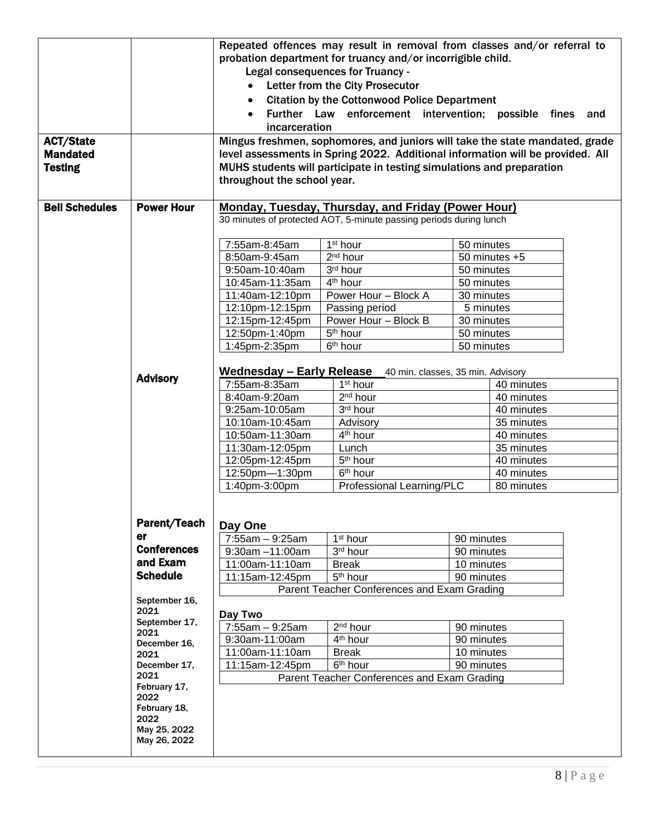|                       |                       |                                                                                                     | Repeated offences may result in removal from classes and/or referral to        |            |                            |     |
|-----------------------|-----------------------|-----------------------------------------------------------------------------------------------------|--------------------------------------------------------------------------------|------------|----------------------------|-----|
|                       |                       | probation department for truancy and/or incorrigible child.                                         |                                                                                |            |                            |     |
|                       |                       | <b>Legal consequences for Truancy -</b>                                                             |                                                                                |            |                            |     |
|                       |                       |                                                                                                     |                                                                                |            |                            |     |
|                       |                       | Letter from the City Prosecutor<br>$\bullet$<br><b>Citation by the Cottonwood Police Department</b> |                                                                                |            |                            |     |
|                       |                       |                                                                                                     |                                                                                |            |                            |     |
|                       |                       |                                                                                                     | Further Law enforcement intervention; possible fines                           |            |                            | and |
|                       |                       | incarceration                                                                                       |                                                                                |            |                            |     |
| <b>ACT/State</b>      |                       |                                                                                                     | Mingus freshmen, sophomores, and juniors will take the state mandated, grade   |            |                            |     |
| <b>Mandated</b>       |                       |                                                                                                     | level assessments in Spring 2022. Additional information will be provided. All |            |                            |     |
| <b>Testing</b>        |                       |                                                                                                     | MUHS students will participate in testing simulations and preparation          |            |                            |     |
|                       |                       | throughout the school year.                                                                         |                                                                                |            |                            |     |
|                       |                       |                                                                                                     |                                                                                |            |                            |     |
| <b>Bell Schedules</b> | <b>Power Hour</b>     |                                                                                                     | <b>Monday, Tuesday, Thursday, and Friday (Power Hour)</b>                      |            |                            |     |
|                       |                       |                                                                                                     | 30 minutes of protected AOT, 5-minute passing periods during lunch             |            |                            |     |
|                       |                       |                                                                                                     |                                                                                |            |                            |     |
|                       |                       | 7:55am-8:45am                                                                                       | 1 <sup>st</sup> hour                                                           | 50 minutes |                            |     |
|                       |                       | 8:50am-9:45am                                                                                       | 2 <sup>nd</sup> hour                                                           |            | $\overline{50}$ minutes +5 |     |
|                       |                       | 9:50am-10:40am                                                                                      | 3rd hour                                                                       | 50 minutes |                            |     |
|                       |                       | 10:45am-11:35am                                                                                     | 4 <sup>th</sup> hour                                                           | 50 minutes |                            |     |
|                       |                       | 11:40am-12:10pm                                                                                     | Power Hour - Block A                                                           | 30 minutes |                            |     |
|                       |                       | 12:10pm-12:15pm                                                                                     | Passing period                                                                 | 5 minutes  |                            |     |
|                       |                       | 12:15pm-12:45pm                                                                                     | Power Hour - Block B                                                           | 30 minutes |                            |     |
|                       |                       | 12:50pm-1:40pm                                                                                      | 5 <sup>th</sup> hour                                                           | 50 minutes |                            |     |
|                       |                       | 1:45pm-2:35pm                                                                                       | 6 <sup>th</sup> hour                                                           | 50 minutes |                            |     |
|                       |                       |                                                                                                     |                                                                                |            |                            |     |
|                       |                       |                                                                                                     | <b>Wednesday - Early Release</b> 40 min. classes, 35 min. Advisory             |            |                            |     |
|                       | <b>Advisory</b>       | 7:55am-8:35am                                                                                       | 1 <sup>st</sup> hour                                                           |            | 40 minutes                 |     |
|                       |                       | 8:40am-9:20am                                                                                       | 2 <sup>nd</sup> hour                                                           |            | 40 minutes                 |     |
|                       |                       | 9:25am-10:05am                                                                                      | 3rd hour                                                                       |            | 40 minutes                 |     |
|                       |                       | 10:10am-10:45am                                                                                     | Advisory                                                                       |            | 35 minutes                 |     |
|                       |                       | 10:50am-11:30am                                                                                     | 4 <sup>th</sup> hour                                                           |            | 40 minutes                 |     |
|                       |                       | 11:30am-12:05pm                                                                                     | Lunch                                                                          |            | 35 minutes                 |     |
|                       |                       | 12:05pm-12:45pm                                                                                     | 5 <sup>th</sup> hour                                                           |            | 40 minutes                 |     |
|                       |                       | 12:50pm-1:30pm                                                                                      | 6 <sup>th</sup> hour                                                           |            | 40 minutes                 |     |
|                       |                       | 1:40pm-3:00pm                                                                                       | Professional Learning/PLC                                                      |            | 80 minutes                 |     |
|                       |                       |                                                                                                     |                                                                                |            |                            |     |
|                       |                       |                                                                                                     |                                                                                |            |                            |     |
|                       | Parent/Teach          | Day One                                                                                             |                                                                                |            |                            |     |
|                       | er                    | $7:55am - 9:25am$                                                                                   | 1 <sup>st</sup> hour                                                           | 90 minutes |                            |     |
|                       | <b>Conferences</b>    | 9:30am -11:00am                                                                                     | 3rd hour                                                                       | 90 minutes |                            |     |
|                       | and Exam              | 11:00am-11:10am                                                                                     | <b>Break</b>                                                                   | 10 minutes |                            |     |
|                       | <b>Schedule</b>       | 11:15am-12:45pm                                                                                     | 5 <sup>th</sup> hour                                                           | 90 minutes |                            |     |
|                       |                       |                                                                                                     | Parent Teacher Conferences and Exam Grading                                    |            |                            |     |
|                       | September 16,         |                                                                                                     |                                                                                |            |                            |     |
|                       | 2021                  | Day Two                                                                                             |                                                                                |            |                            |     |
|                       | September 17,<br>2021 | 7:55am - 9:25am                                                                                     | $2nd$ hour                                                                     | 90 minutes |                            |     |
|                       | December 16,          | 9:30am-11:00am                                                                                      | 4 <sup>th</sup> hour                                                           | 90 minutes |                            |     |
|                       | 2021                  | 11:00am-11:10am                                                                                     | <b>Break</b>                                                                   | 10 minutes |                            |     |
|                       | December 17,          | 11:15am-12:45pm                                                                                     | 6 <sup>th</sup> hour                                                           | 90 minutes |                            |     |
|                       | 2021                  |                                                                                                     | Parent Teacher Conferences and Exam Grading                                    |            |                            |     |
|                       | February 17,<br>2022  |                                                                                                     |                                                                                |            |                            |     |
|                       | February 18,          |                                                                                                     |                                                                                |            |                            |     |
|                       | 2022                  |                                                                                                     |                                                                                |            |                            |     |
|                       | May 25, 2022          |                                                                                                     |                                                                                |            |                            |     |
|                       | May 26, 2022          |                                                                                                     |                                                                                |            |                            |     |
|                       |                       |                                                                                                     |                                                                                |            |                            |     |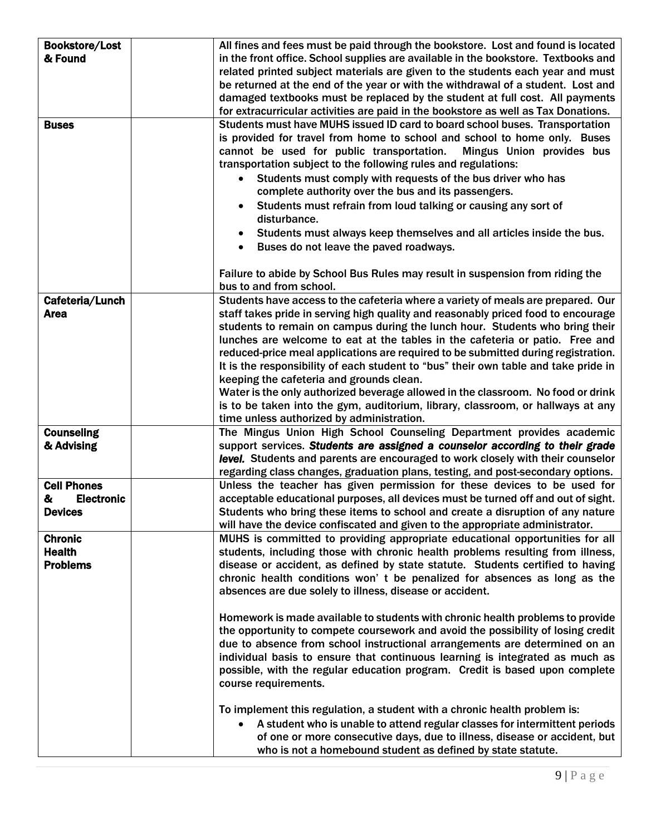| <b>Bookstore/Lost</b>  | All fines and fees must be paid through the bookstore. Lost and found is located    |
|------------------------|-------------------------------------------------------------------------------------|
| & Found                | in the front office. School supplies are available in the bookstore. Textbooks and  |
|                        | related printed subject materials are given to the students each year and must      |
|                        | be returned at the end of the year or with the withdrawal of a student. Lost and    |
|                        | damaged textbooks must be replaced by the student at full cost. All payments        |
|                        | for extracurricular activities are paid in the bookstore as well as Tax Donations.  |
| <b>Buses</b>           | Students must have MUHS issued ID card to board school buses. Transportation        |
|                        | is provided for travel from home to school and school to home only. Buses           |
|                        | cannot be used for public transportation.<br>Mingus Union provides bus              |
|                        | transportation subject to the following rules and regulations:                      |
|                        | Students must comply with requests of the bus driver who has<br>$\bullet$           |
|                        | complete authority over the bus and its passengers.                                 |
|                        | Students must refrain from loud talking or causing any sort of                      |
|                        | disturbance.                                                                        |
|                        |                                                                                     |
|                        | Students must always keep themselves and all articles inside the bus.               |
|                        | Buses do not leave the paved roadways.                                              |
|                        |                                                                                     |
|                        | Failure to abide by School Bus Rules may result in suspension from riding the       |
|                        | bus to and from school.                                                             |
| Cafeteria/Lunch        | Students have access to the cafeteria where a variety of meals are prepared. Our    |
| <b>Area</b>            | staff takes pride in serving high quality and reasonably priced food to encourage   |
|                        | students to remain on campus during the lunch hour. Students who bring their        |
|                        | lunches are welcome to eat at the tables in the cafeteria or patio. Free and        |
|                        | reduced-price meal applications are required to be submitted during registration.   |
|                        | It is the responsibility of each student to "bus" their own table and take pride in |
|                        | keeping the cafeteria and grounds clean.                                            |
|                        | Water is the only authorized beverage allowed in the classroom. No food or drink    |
|                        | is to be taken into the gym, auditorium, library, classroom, or hallways at any     |
|                        | time unless authorized by administration.                                           |
| <b>Counseling</b>      | The Mingus Union High School Counseling Department provides academic                |
| & Advising             | support services. Students are assigned a counselor according to their grade        |
|                        | level. Students and parents are encouraged to work closely with their counselor     |
|                        | regarding class changes, graduation plans, testing, and post-secondary options.     |
| <b>Cell Phones</b>     | Unless the teacher has given permission for these devices to be used for            |
| <b>Electronic</b><br>& | acceptable educational purposes, all devices must be turned off and out of sight.   |
| <b>Devices</b>         | Students who bring these items to school and create a disruption of any nature      |
|                        | will have the device confiscated and given to the appropriate administrator.        |
| <b>Chronic</b>         | MUHS is committed to providing appropriate educational opportunities for all        |
| <b>Health</b>          | students, including those with chronic health problems resulting from illness,      |
| <b>Problems</b>        | disease or accident, as defined by state statute. Students certified to having      |
|                        | chronic health conditions won' t be penalized for absences as long as the           |
|                        | absences are due solely to illness, disease or accident.                            |
|                        |                                                                                     |
|                        | Homework is made available to students with chronic health problems to provide      |
|                        | the opportunity to compete coursework and avoid the possibility of losing credit    |
|                        | due to absence from school instructional arrangements are determined on an          |
|                        | individual basis to ensure that continuous learning is integrated as much as        |
|                        | possible, with the regular education program. Credit is based upon complete         |
|                        | course requirements.                                                                |
|                        |                                                                                     |
|                        | To implement this regulation, a student with a chronic health problem is:           |
|                        | A student who is unable to attend regular classes for intermittent periods          |
|                        | of one or more consecutive days, due to illness, disease or accident, but           |
|                        | who is not a homebound student as defined by state statute.                         |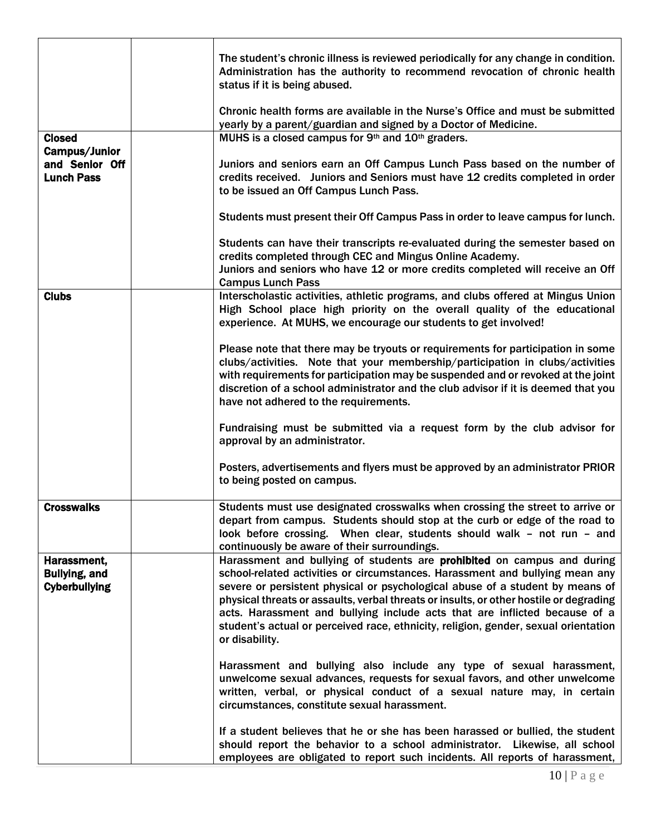|                                                             | The student's chronic illness is reviewed periodically for any change in condition.<br>Administration has the authority to recommend revocation of chronic health<br>status if it is being abused.<br>Chronic health forms are available in the Nurse's Office and must be submitted<br>yearly by a parent/guardian and signed by a Doctor of Medicine.                                                                                                                                                                   |
|-------------------------------------------------------------|---------------------------------------------------------------------------------------------------------------------------------------------------------------------------------------------------------------------------------------------------------------------------------------------------------------------------------------------------------------------------------------------------------------------------------------------------------------------------------------------------------------------------|
| <b>Closed</b>                                               | MUHS is a closed campus for 9th and 10th graders.                                                                                                                                                                                                                                                                                                                                                                                                                                                                         |
| <b>Campus/Junior</b>                                        |                                                                                                                                                                                                                                                                                                                                                                                                                                                                                                                           |
| and Senior Off<br><b>Lunch Pass</b>                         | Juniors and seniors earn an Off Campus Lunch Pass based on the number of<br>credits received. Juniors and Seniors must have 12 credits completed in order<br>to be issued an Off Campus Lunch Pass.                                                                                                                                                                                                                                                                                                                       |
|                                                             | Students must present their Off Campus Pass in order to leave campus for lunch.                                                                                                                                                                                                                                                                                                                                                                                                                                           |
|                                                             | Students can have their transcripts re-evaluated during the semester based on<br>credits completed through CEC and Mingus Online Academy.<br>Juniors and seniors who have 12 or more credits completed will receive an Off<br><b>Campus Lunch Pass</b>                                                                                                                                                                                                                                                                    |
| <b>Clubs</b>                                                | Interscholastic activities, athletic programs, and clubs offered at Mingus Union<br>High School place high priority on the overall quality of the educational<br>experience. At MUHS, we encourage our students to get involved!                                                                                                                                                                                                                                                                                          |
|                                                             | Please note that there may be tryouts or requirements for participation in some<br>clubs/activities. Note that your membership/participation in clubs/activities<br>with requirements for participation may be suspended and or revoked at the joint<br>discretion of a school administrator and the club advisor if it is deemed that you<br>have not adhered to the requirements.                                                                                                                                       |
|                                                             | Fundraising must be submitted via a request form by the club advisor for<br>approval by an administrator.                                                                                                                                                                                                                                                                                                                                                                                                                 |
|                                                             | Posters, advertisements and flyers must be approved by an administrator PRIOR<br>to being posted on campus.                                                                                                                                                                                                                                                                                                                                                                                                               |
| <b>Crosswalks</b>                                           | Students must use designated crosswalks when crossing the street to arrive or<br>depart from campus. Students should stop at the curb or edge of the road to<br>look before crossing. When clear, students should walk - not run - and<br>continuously be aware of their surroundings.                                                                                                                                                                                                                                    |
| Harassment,<br><b>Bullying, and</b><br><b>Cyberbullying</b> | Harassment and bullying of students are prohibited on campus and during<br>school-related activities or circumstances. Harassment and bullying mean any<br>severe or persistent physical or psychological abuse of a student by means of<br>physical threats or assaults, verbal threats or insults, or other hostile or degrading<br>acts. Harassment and bullying include acts that are inflicted because of a<br>student's actual or perceived race, ethnicity, religion, gender, sexual orientation<br>or disability. |
|                                                             | Harassment and bullying also include any type of sexual harassment,<br>unwelcome sexual advances, requests for sexual favors, and other unwelcome<br>written, verbal, or physical conduct of a sexual nature may, in certain<br>circumstances, constitute sexual harassment.                                                                                                                                                                                                                                              |
|                                                             | If a student believes that he or she has been harassed or bullied, the student<br>should report the behavior to a school administrator. Likewise, all school<br>employees are obligated to report such incidents. All reports of harassment,                                                                                                                                                                                                                                                                              |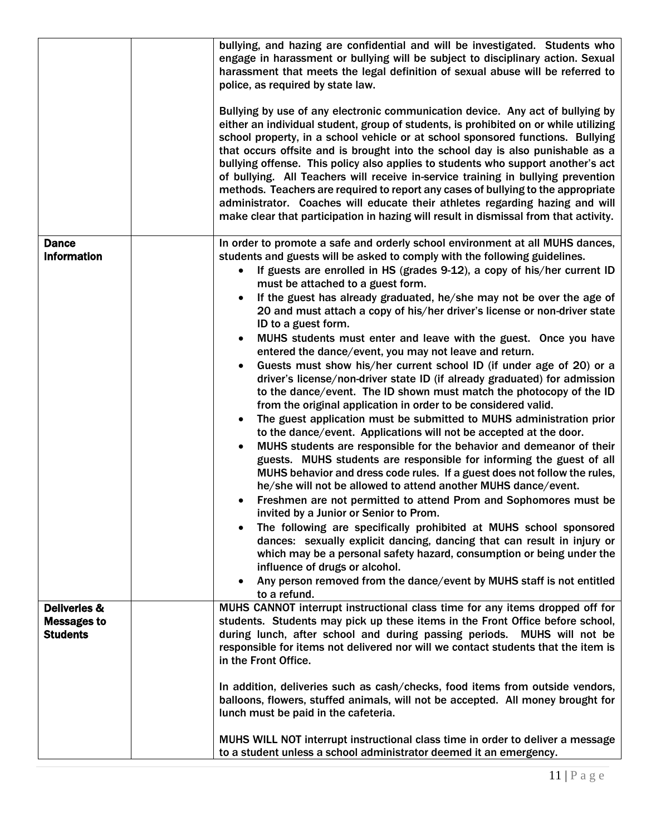|                                                                  | bullying, and hazing are confidential and will be investigated. Students who<br>engage in harassment or bullying will be subject to disciplinary action. Sexual<br>harassment that meets the legal definition of sexual abuse will be referred to<br>police, as required by state law.<br>Bullying by use of any electronic communication device. Any act of bullying by<br>either an individual student, group of students, is prohibited on or while utilizing<br>school property, in a school vehicle or at school sponsored functions. Bullying<br>that occurs offsite and is brought into the school day is also punishable as a<br>bullying offense. This policy also applies to students who support another's act<br>of bullying. All Teachers will receive in-service training in bullying prevention<br>methods. Teachers are required to report any cases of bullying to the appropriate<br>administrator. Coaches will educate their athletes regarding hazing and will<br>make clear that participation in hazing will result in dismissal from that activity.                                                                                                                                                                                                                                                                                                                                                                                                                                                                                                                                                                                                                                                                                                           |
|------------------------------------------------------------------|---------------------------------------------------------------------------------------------------------------------------------------------------------------------------------------------------------------------------------------------------------------------------------------------------------------------------------------------------------------------------------------------------------------------------------------------------------------------------------------------------------------------------------------------------------------------------------------------------------------------------------------------------------------------------------------------------------------------------------------------------------------------------------------------------------------------------------------------------------------------------------------------------------------------------------------------------------------------------------------------------------------------------------------------------------------------------------------------------------------------------------------------------------------------------------------------------------------------------------------------------------------------------------------------------------------------------------------------------------------------------------------------------------------------------------------------------------------------------------------------------------------------------------------------------------------------------------------------------------------------------------------------------------------------------------------------------------------------------------------------------------------------------------------|
| <b>Dance</b><br><b>Information</b>                               | In order to promote a safe and orderly school environment at all MUHS dances,<br>students and guests will be asked to comply with the following guidelines.<br>If guests are enrolled in HS (grades 9-12), a copy of his/her current ID<br>must be attached to a guest form.<br>If the guest has already graduated, he/she may not be over the age of<br>20 and must attach a copy of his/her driver's license or non-driver state<br>ID to a guest form.<br>MUHS students must enter and leave with the guest. Once you have<br>entered the dance/event, you may not leave and return.<br>Guests must show his/her current school ID (if under age of 20) or a<br>driver's license/non-driver state ID (if already graduated) for admission<br>to the dance/event. The ID shown must match the photocopy of the ID<br>from the original application in order to be considered valid.<br>The guest application must be submitted to MUHS administration prior<br>to the dance/event. Applications will not be accepted at the door.<br>MUHS students are responsible for the behavior and demeanor of their<br>guests. MUHS students are responsible for informing the guest of all<br>MUHS behavior and dress code rules. If a guest does not follow the rules,<br>he/she will not be allowed to attend another MUHS dance/event.<br>Freshmen are not permitted to attend Prom and Sophomores must be<br>invited by a Junior or Senior to Prom.<br>The following are specifically prohibited at MUHS school sponsored<br>dances: sexually explicit dancing, dancing that can result in injury or<br>which may be a personal safety hazard, consumption or being under the<br>influence of drugs or alcohol.<br>Any person removed from the dance/event by MUHS staff is not entitled |
| <b>Deliveries &amp;</b><br><b>Messages to</b><br><b>Students</b> | to a refund.<br>MUHS CANNOT interrupt instructional class time for any items dropped off for<br>students. Students may pick up these items in the Front Office before school,<br>during lunch, after school and during passing periods. MUHS will not be<br>responsible for items not delivered nor will we contact students that the item is<br>in the Front Office.<br>In addition, deliveries such as cash/checks, food items from outside vendors,<br>balloons, flowers, stuffed animals, will not be accepted. All money brought for<br>lunch must be paid in the cafeteria.<br>MUHS WILL NOT interrupt instructional class time in order to deliver a message<br>to a student unless a school administrator deemed it an emergency.                                                                                                                                                                                                                                                                                                                                                                                                                                                                                                                                                                                                                                                                                                                                                                                                                                                                                                                                                                                                                                             |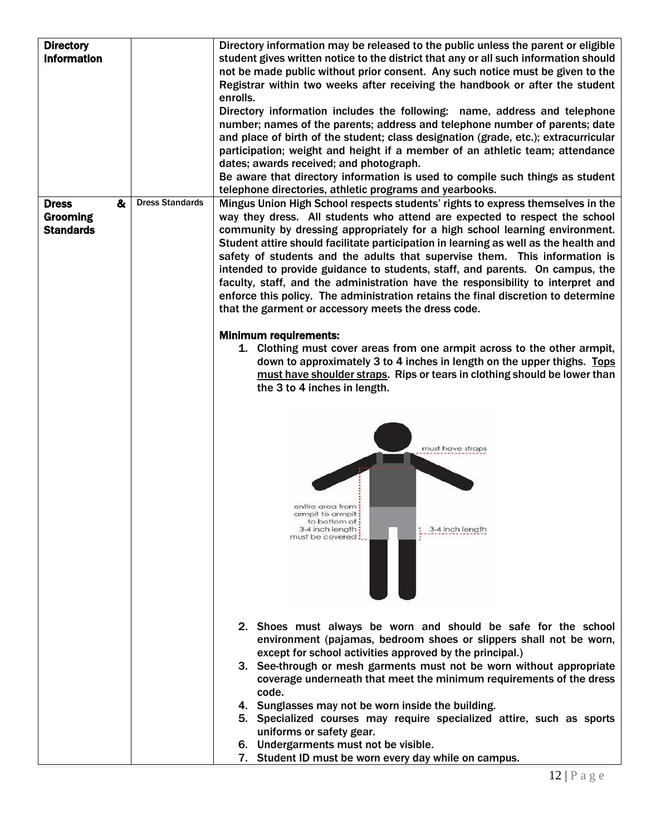| <b>Directory</b><br><b>Information</b>                   |                        | Directory information may be released to the public unless the parent or eligible<br>student gives written notice to the district that any or all such information should<br>not be made public without prior consent. Any such notice must be given to the<br>Registrar within two weeks after receiving the handbook or after the student<br>enrolls.<br>Directory information includes the following: name, address and telephone<br>number; names of the parents; address and telephone number of parents; date<br>and place of birth of the student; class designation (grade, etc.); extracurricular<br>participation; weight and height if a member of an athletic team; attendance<br>dates; awards received; and photograph.<br>Be aware that directory information is used to compile such things as student |  |  |
|----------------------------------------------------------|------------------------|------------------------------------------------------------------------------------------------------------------------------------------------------------------------------------------------------------------------------------------------------------------------------------------------------------------------------------------------------------------------------------------------------------------------------------------------------------------------------------------------------------------------------------------------------------------------------------------------------------------------------------------------------------------------------------------------------------------------------------------------------------------------------------------------------------------------|--|--|
| &<br><b>Dress</b><br><b>Grooming</b><br><b>Standards</b> | <b>Dress Standards</b> | telephone directories, athletic programs and yearbooks.<br>Mingus Union High School respects students' rights to express themselves in the<br>way they dress. All students who attend are expected to respect the school<br>community by dressing appropriately for a high school learning environment.<br>Student attire should facilitate participation in learning as well as the health and<br>safety of students and the adults that supervise them. This information is<br>intended to provide guidance to students, staff, and parents. On campus, the<br>faculty, staff, and the administration have the responsibility to interpret and<br>enforce this policy. The administration retains the final discretion to determine<br>that the garment or accessory meets the dress code.                           |  |  |
|                                                          |                        | <b>Minimum requirements:</b><br>1. Clothing must cover areas from one armpit across to the other armpit,<br>down to approximately 3 to 4 inches in length on the upper thighs. Tops<br>must have shoulder straps. Rips or tears in clothing should be lower than<br>the 3 to 4 inches in length.<br>must have straps<br>entire area from<br>armpit to armpit :<br>to bottom of :<br>3-4 inch length:<br>3-4 inch length<br>must be covered :                                                                                                                                                                                                                                                                                                                                                                           |  |  |
|                                                          |                        | 2. Shoes must always be worn and should be safe for the school<br>environment (pajamas, bedroom shoes or slippers shall not be worn,<br>except for school activities approved by the principal.)<br>3. See-through or mesh garments must not be worn without appropriate<br>coverage underneath that meet the minimum requirements of the dress<br>code.<br>4. Sunglasses may not be worn inside the building.<br>5. Specialized courses may require specialized attire, such as sports<br>uniforms or safety gear.<br>6. Undergarments must not be visible.<br>7. Student ID must be worn every day while on campus.                                                                                                                                                                                                  |  |  |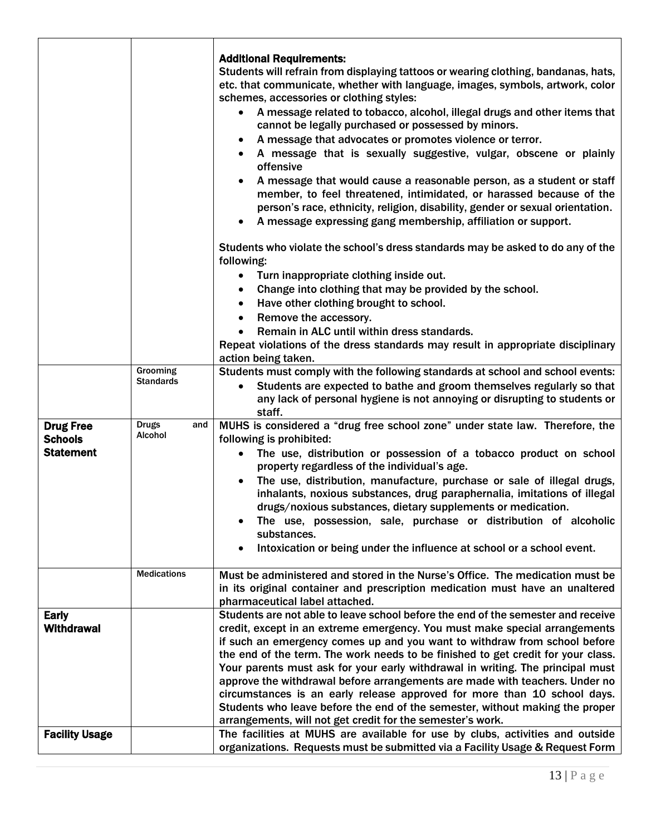|                                                        |                                       | <b>Additional Requirements:</b><br>Students will refrain from displaying tattoos or wearing clothing, bandanas, hats,<br>etc. that communicate, whether with language, images, symbols, artwork, color<br>schemes, accessories or clothing styles:<br>A message related to tobacco, alcohol, illegal drugs and other items that<br>cannot be legally purchased or possessed by minors.<br>A message that advocates or promotes violence or terror.<br>A message that is sexually suggestive, vulgar, obscene or plainly<br>offensive<br>A message that would cause a reasonable person, as a student or staff<br>member, to feel threatened, intimidated, or harassed because of the<br>person's race, ethnicity, religion, disability, gender or sexual orientation.<br>A message expressing gang membership, affiliation or support. |
|--------------------------------------------------------|---------------------------------------|----------------------------------------------------------------------------------------------------------------------------------------------------------------------------------------------------------------------------------------------------------------------------------------------------------------------------------------------------------------------------------------------------------------------------------------------------------------------------------------------------------------------------------------------------------------------------------------------------------------------------------------------------------------------------------------------------------------------------------------------------------------------------------------------------------------------------------------|
|                                                        |                                       | Students who violate the school's dress standards may be asked to do any of the<br>following:<br>Turn inappropriate clothing inside out.<br>Change into clothing that may be provided by the school.<br>Have other clothing brought to school.<br>$\bullet$                                                                                                                                                                                                                                                                                                                                                                                                                                                                                                                                                                            |
|                                                        |                                       | Remove the accessory.<br>$\bullet$<br>Remain in ALC until within dress standards.<br>Repeat violations of the dress standards may result in appropriate disciplinary<br>action being taken.                                                                                                                                                                                                                                                                                                                                                                                                                                                                                                                                                                                                                                            |
|                                                        | Grooming<br><b>Standards</b>          | Students must comply with the following standards at school and school events:<br>Students are expected to bathe and groom themselves regularly so that<br>$\bullet$<br>any lack of personal hygiene is not annoying or disrupting to students or<br>staff.                                                                                                                                                                                                                                                                                                                                                                                                                                                                                                                                                                            |
| <b>Drug Free</b><br><b>Schools</b><br><b>Statement</b> | <b>Drugs</b><br>and<br><b>Alcohol</b> | MUHS is considered a "drug free school zone" under state law. Therefore, the<br>following is prohibited:<br>The use, distribution or possession of a tobacco product on school<br>property regardless of the individual's age.<br>The use, distribution, manufacture, purchase or sale of illegal drugs,<br>inhalants, noxious substances, drug paraphernalia, imitations of illegal                                                                                                                                                                                                                                                                                                                                                                                                                                                   |
|                                                        |                                       | drugs/noxious substances, dietary supplements or medication.<br>The use, possession, sale, purchase or distribution of alcoholic<br>substances.<br>Intoxication or being under the influence at school or a school event.                                                                                                                                                                                                                                                                                                                                                                                                                                                                                                                                                                                                              |
|                                                        | <b>Medications</b>                    | Must be administered and stored in the Nurse's Office. The medication must be<br>in its original container and prescription medication must have an unaltered<br>pharmaceutical label attached.                                                                                                                                                                                                                                                                                                                                                                                                                                                                                                                                                                                                                                        |
| <b>Early</b><br><b>Withdrawal</b>                      |                                       | Students are not able to leave school before the end of the semester and receive<br>credit, except in an extreme emergency. You must make special arrangements<br>if such an emergency comes up and you want to withdraw from school before<br>the end of the term. The work needs to be finished to get credit for your class.<br>Your parents must ask for your early withdrawal in writing. The principal must<br>approve the withdrawal before arrangements are made with teachers. Under no<br>circumstances is an early release approved for more than 10 school days.<br>Students who leave before the end of the semester, without making the proper<br>arrangements, will not get credit for the semester's work.                                                                                                             |
| <b>Facility Usage</b>                                  |                                       | The facilities at MUHS are available for use by clubs, activities and outside<br>organizations. Requests must be submitted via a Facility Usage & Request Form                                                                                                                                                                                                                                                                                                                                                                                                                                                                                                                                                                                                                                                                         |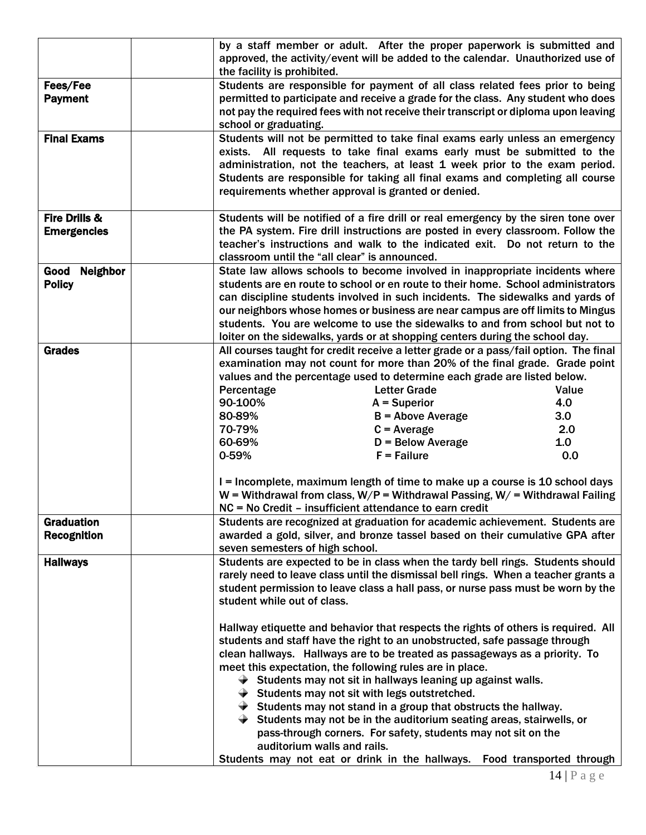|                         | by a staff member or adult. After the proper paperwork is submitted and<br>approved, the activity/event will be added to the calendar. Unauthorized use of<br>the facility is prohibited.                                                                                                                                                                                      |                                                               |       |
|-------------------------|--------------------------------------------------------------------------------------------------------------------------------------------------------------------------------------------------------------------------------------------------------------------------------------------------------------------------------------------------------------------------------|---------------------------------------------------------------|-------|
| Fees/Fee                | Students are responsible for payment of all class related fees prior to being                                                                                                                                                                                                                                                                                                  |                                                               |       |
| <b>Payment</b>          | permitted to participate and receive a grade for the class. Any student who does<br>not pay the required fees with not receive their transcript or diploma upon leaving<br>school or graduating.                                                                                                                                                                               |                                                               |       |
| <b>Final Exams</b>      | Students will not be permitted to take final exams early unless an emergency<br>exists. All requests to take final exams early must be submitted to the<br>administration, not the teachers, at least 1 week prior to the exam period.<br>Students are responsible for taking all final exams and completing all course<br>requirements whether approval is granted or denied. |                                                               |       |
| Fire Drills &           | Students will be notified of a fire drill or real emergency by the siren tone over                                                                                                                                                                                                                                                                                             |                                                               |       |
| <b>Emergencies</b>      | the PA system. Fire drill instructions are posted in every classroom. Follow the                                                                                                                                                                                                                                                                                               |                                                               |       |
|                         | teacher's instructions and walk to the indicated exit. Do not return to the<br>classroom until the "all clear" is announced.                                                                                                                                                                                                                                                   |                                                               |       |
| <b>Neighbor</b><br>Good | State law allows schools to become involved in inappropriate incidents where                                                                                                                                                                                                                                                                                                   |                                                               |       |
| <b>Policy</b>           | students are en route to school or en route to their home. School administrators                                                                                                                                                                                                                                                                                               |                                                               |       |
|                         | can discipline students involved in such incidents. The sidewalks and yards of                                                                                                                                                                                                                                                                                                 |                                                               |       |
|                         | our neighbors whose homes or business are near campus are off limits to Mingus                                                                                                                                                                                                                                                                                                 |                                                               |       |
|                         | students. You are welcome to use the sidewalks to and from school but not to                                                                                                                                                                                                                                                                                                   |                                                               |       |
| <b>Grades</b>           | loiter on the sidewalks, yards or at shopping centers during the school day.<br>All courses taught for credit receive a letter grade or a pass/fail option. The final                                                                                                                                                                                                          |                                                               |       |
|                         | examination may not count for more than 20% of the final grade. Grade point                                                                                                                                                                                                                                                                                                    |                                                               |       |
|                         | values and the percentage used to determine each grade are listed below.                                                                                                                                                                                                                                                                                                       |                                                               |       |
|                         | Percentage                                                                                                                                                                                                                                                                                                                                                                     | <b>Letter Grade</b>                                           | Value |
|                         | 90-100%                                                                                                                                                                                                                                                                                                                                                                        | $A = Superior$                                                | 4.0   |
|                         | 80-89%                                                                                                                                                                                                                                                                                                                                                                         | $B =$ Above Average                                           | 3.0   |
|                         | 70-79%                                                                                                                                                                                                                                                                                                                                                                         | $C = Average$                                                 | 2.0   |
|                         | 60-69%                                                                                                                                                                                                                                                                                                                                                                         | $D =$ Below Average                                           | 1.0   |
|                         | 0-59%                                                                                                                                                                                                                                                                                                                                                                          | $F =$ Failure                                                 | 0.0   |
|                         |                                                                                                                                                                                                                                                                                                                                                                                |                                                               |       |
|                         | I = Incomplete, maximum length of time to make up a course is 10 school days                                                                                                                                                                                                                                                                                                   |                                                               |       |
|                         | W = Withdrawal from class, $W/P =$ Withdrawal Passing, $W/$ = Withdrawal Failing                                                                                                                                                                                                                                                                                               |                                                               |       |
|                         | NC = No Credit – insufficient attendance to earn credit                                                                                                                                                                                                                                                                                                                        |                                                               |       |
| <b>Graduation</b>       | Students are recognized at graduation for academic achievement. Students are                                                                                                                                                                                                                                                                                                   |                                                               |       |
| <b>Recognition</b>      | awarded a gold, silver, and bronze tassel based on their cumulative GPA after                                                                                                                                                                                                                                                                                                  |                                                               |       |
|                         | seven semesters of high school.                                                                                                                                                                                                                                                                                                                                                |                                                               |       |
| <b>Hallways</b>         | Students are expected to be in class when the tardy bell rings. Students should<br>rarely need to leave class until the dismissal bell rings. When a teacher grants a                                                                                                                                                                                                          |                                                               |       |
|                         | student permission to leave class a hall pass, or nurse pass must be worn by the                                                                                                                                                                                                                                                                                               |                                                               |       |
|                         | student while out of class.                                                                                                                                                                                                                                                                                                                                                    |                                                               |       |
|                         |                                                                                                                                                                                                                                                                                                                                                                                |                                                               |       |
|                         | Hallway etiquette and behavior that respects the rights of others is required. All                                                                                                                                                                                                                                                                                             |                                                               |       |
|                         | students and staff have the right to an unobstructed, safe passage through                                                                                                                                                                                                                                                                                                     |                                                               |       |
|                         | clean hallways. Hallways are to be treated as passageways as a priority. To                                                                                                                                                                                                                                                                                                    |                                                               |       |
|                         | meet this expectation, the following rules are in place.                                                                                                                                                                                                                                                                                                                       |                                                               |       |
|                         | $\blacktriangleright$ Students may not sit in hallways leaning up against walls.                                                                                                                                                                                                                                                                                               |                                                               |       |
|                         | $\rightarrow$ Students may not sit with legs outstretched.                                                                                                                                                                                                                                                                                                                     |                                                               |       |
|                         | $\blacktriangleright$ Students may not stand in a group that obstructs the hallway.                                                                                                                                                                                                                                                                                            |                                                               |       |
|                         | $\blacktriangleright$ Students may not be in the auditorium seating areas, stairwells, or                                                                                                                                                                                                                                                                                      |                                                               |       |
|                         |                                                                                                                                                                                                                                                                                                                                                                                | pass-through corners. For safety, students may not sit on the |       |
|                         | auditorium walls and rails.                                                                                                                                                                                                                                                                                                                                                    |                                                               |       |
|                         | Students may not eat or drink in the hallways. Food transported through                                                                                                                                                                                                                                                                                                        |                                                               |       |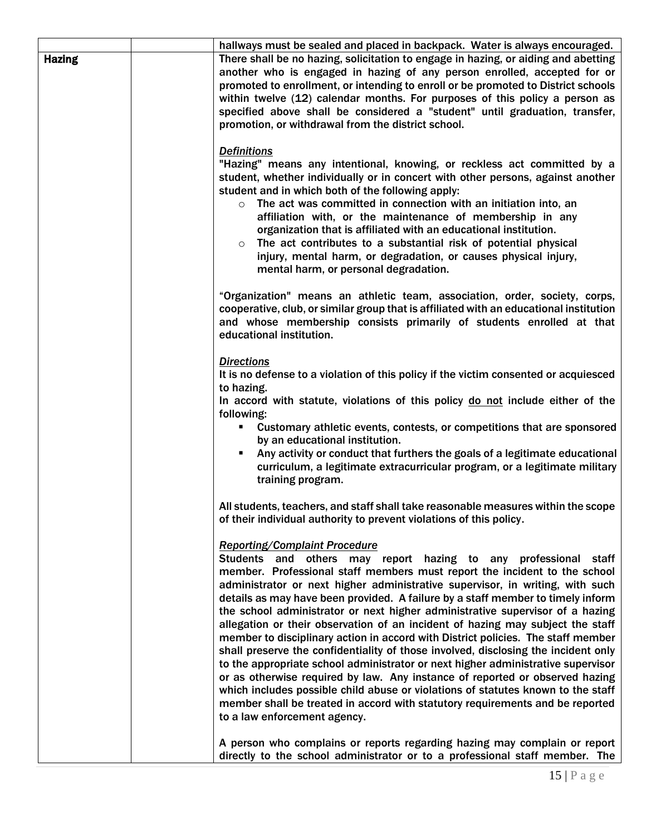|               | hallways must be sealed and placed in backpack. Water is always encouraged.                                                                                                                                                                                                                                                                                                                                                                                                                                                                                                                                                                                                                                                                                                                                                                                                                                                                                                                                                                                                    |
|---------------|--------------------------------------------------------------------------------------------------------------------------------------------------------------------------------------------------------------------------------------------------------------------------------------------------------------------------------------------------------------------------------------------------------------------------------------------------------------------------------------------------------------------------------------------------------------------------------------------------------------------------------------------------------------------------------------------------------------------------------------------------------------------------------------------------------------------------------------------------------------------------------------------------------------------------------------------------------------------------------------------------------------------------------------------------------------------------------|
| <b>Hazing</b> | There shall be no hazing, solicitation to engage in hazing, or aiding and abetting<br>another who is engaged in hazing of any person enrolled, accepted for or<br>promoted to enrollment, or intending to enroll or be promoted to District schools<br>within twelve (12) calendar months. For purposes of this policy a person as<br>specified above shall be considered a "student" until graduation, transfer,<br>promotion, or withdrawal from the district school.                                                                                                                                                                                                                                                                                                                                                                                                                                                                                                                                                                                                        |
|               | <b>Definitions</b><br>"Hazing" means any intentional, knowing, or reckless act committed by a<br>student, whether individually or in concert with other persons, against another<br>student and in which both of the following apply:<br>The act was committed in connection with an initiation into, an<br>$\circ$<br>affiliation with, or the maintenance of membership in any<br>organization that is affiliated with an educational institution.<br>The act contributes to a substantial risk of potential physical<br>$\circ$<br>injury, mental harm, or degradation, or causes physical injury,<br>mental harm, or personal degradation.                                                                                                                                                                                                                                                                                                                                                                                                                                 |
|               | "Organization" means an athletic team, association, order, society, corps,<br>cooperative, club, or similar group that is affiliated with an educational institution<br>and whose membership consists primarily of students enrolled at that<br>educational institution.                                                                                                                                                                                                                                                                                                                                                                                                                                                                                                                                                                                                                                                                                                                                                                                                       |
|               | <b>Directions</b><br>It is no defense to a violation of this policy if the victim consented or acquiesced<br>to hazing.<br>In accord with statute, violations of this policy do not include either of the<br>following:<br>" Customary athletic events, contests, or competitions that are sponsored<br>by an educational institution.<br>Any activity or conduct that furthers the goals of a legitimate educational<br>curriculum, a legitimate extracurricular program, or a legitimate military<br>training program.                                                                                                                                                                                                                                                                                                                                                                                                                                                                                                                                                       |
|               | All students, teachers, and staff shall take reasonable measures within the scope<br>of their individual authority to prevent violations of this policy.                                                                                                                                                                                                                                                                                                                                                                                                                                                                                                                                                                                                                                                                                                                                                                                                                                                                                                                       |
|               | <b>Reporting/Complaint Procedure</b><br>Students and others may report hazing to any professional staff<br>member. Professional staff members must report the incident to the school<br>administrator or next higher administrative supervisor, in writing, with such<br>details as may have been provided. A failure by a staff member to timely inform<br>the school administrator or next higher administrative supervisor of a hazing<br>allegation or their observation of an incident of hazing may subject the staff<br>member to disciplinary action in accord with District policies. The staff member<br>shall preserve the confidentiality of those involved, disclosing the incident only<br>to the appropriate school administrator or next higher administrative supervisor<br>or as otherwise required by law. Any instance of reported or observed hazing<br>which includes possible child abuse or violations of statutes known to the staff<br>member shall be treated in accord with statutory requirements and be reported<br>to a law enforcement agency. |
|               | A person who complains or reports regarding hazing may complain or report<br>directly to the school administrator or to a professional staff member. The                                                                                                                                                                                                                                                                                                                                                                                                                                                                                                                                                                                                                                                                                                                                                                                                                                                                                                                       |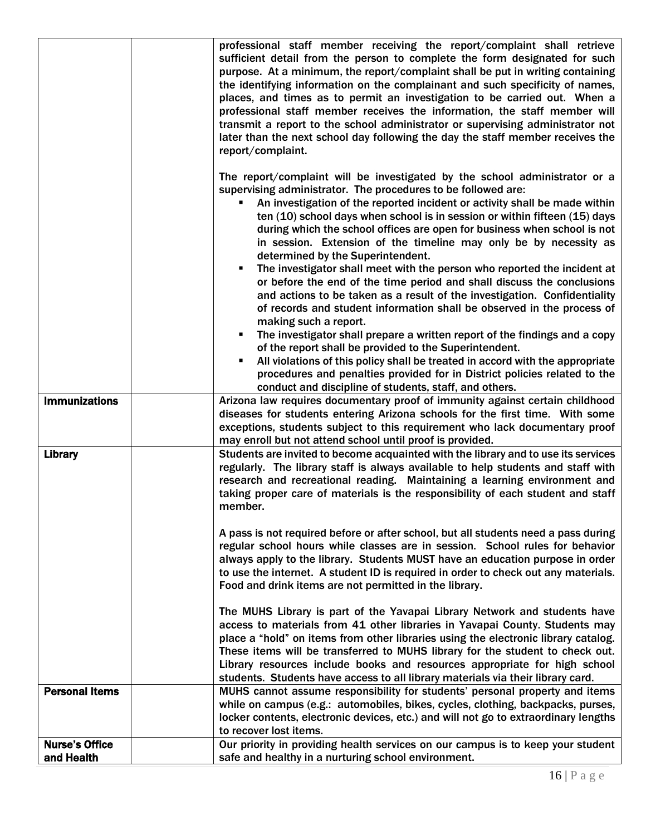|                                     | professional staff member receiving the report/complaint shall retrieve<br>sufficient detail from the person to complete the form designated for such<br>purpose. At a minimum, the report/complaint shall be put in writing containing<br>the identifying information on the complainant and such specificity of names,<br>places, and times as to permit an investigation to be carried out. When a<br>professional staff member receives the information, the staff member will<br>transmit a report to the school administrator or supervising administrator not<br>later than the next school day following the day the staff member receives the<br>report/complaint. |
|-------------------------------------|-----------------------------------------------------------------------------------------------------------------------------------------------------------------------------------------------------------------------------------------------------------------------------------------------------------------------------------------------------------------------------------------------------------------------------------------------------------------------------------------------------------------------------------------------------------------------------------------------------------------------------------------------------------------------------|
|                                     | The report/complaint will be investigated by the school administrator or a<br>supervising administrator. The procedures to be followed are:<br>An investigation of the reported incident or activity shall be made within<br>ten (10) school days when school is in session or within fifteen (15) days<br>during which the school offices are open for business when school is not<br>in session. Extension of the timeline may only be by necessity as<br>determined by the Superintendent.                                                                                                                                                                               |
|                                     | The investigator shall meet with the person who reported the incident at<br>or before the end of the time period and shall discuss the conclusions<br>and actions to be taken as a result of the investigation. Confidentiality<br>of records and student information shall be observed in the process of<br>making such a report.                                                                                                                                                                                                                                                                                                                                          |
|                                     | The investigator shall prepare a written report of the findings and a copy<br>٠<br>of the report shall be provided to the Superintendent.<br>All violations of this policy shall be treated in accord with the appropriate<br>$\blacksquare$<br>procedures and penalties provided for in District policies related to the<br>conduct and discipline of students, staff, and others.                                                                                                                                                                                                                                                                                         |
| <b>Immunizations</b>                | Arizona law requires documentary proof of immunity against certain childhood<br>diseases for students entering Arizona schools for the first time. With some<br>exceptions, students subject to this requirement who lack documentary proof<br>may enroll but not attend school until proof is provided.                                                                                                                                                                                                                                                                                                                                                                    |
| <b>Library</b>                      | Students are invited to become acquainted with the library and to use its services<br>regularly. The library staff is always available to help students and staff with<br>research and recreational reading. Maintaining a learning environment and<br>taking proper care of materials is the responsibility of each student and staff<br>member.                                                                                                                                                                                                                                                                                                                           |
|                                     | A pass is not required before or after school, but all students need a pass during<br>regular school hours while classes are in session. School rules for behavior<br>always apply to the library. Students MUST have an education purpose in order<br>to use the internet. A student ID is required in order to check out any materials.<br>Food and drink items are not permitted in the library.                                                                                                                                                                                                                                                                         |
|                                     | The MUHS Library is part of the Yavapai Library Network and students have<br>access to materials from 41 other libraries in Yavapai County. Students may<br>place a "hold" on items from other libraries using the electronic library catalog.<br>These items will be transferred to MUHS library for the student to check out.<br>Library resources include books and resources appropriate for high school<br>students. Students have access to all library materials via their library card.                                                                                                                                                                             |
| <b>Personal Items</b>               | MUHS cannot assume responsibility for students' personal property and items<br>while on campus (e.g.: automobiles, bikes, cycles, clothing, backpacks, purses,<br>locker contents, electronic devices, etc.) and will not go to extraordinary lengths<br>to recover lost items.                                                                                                                                                                                                                                                                                                                                                                                             |
| <b>Nurse's Office</b><br>and Health | Our priority in providing health services on our campus is to keep your student<br>safe and healthy in a nurturing school environment.                                                                                                                                                                                                                                                                                                                                                                                                                                                                                                                                      |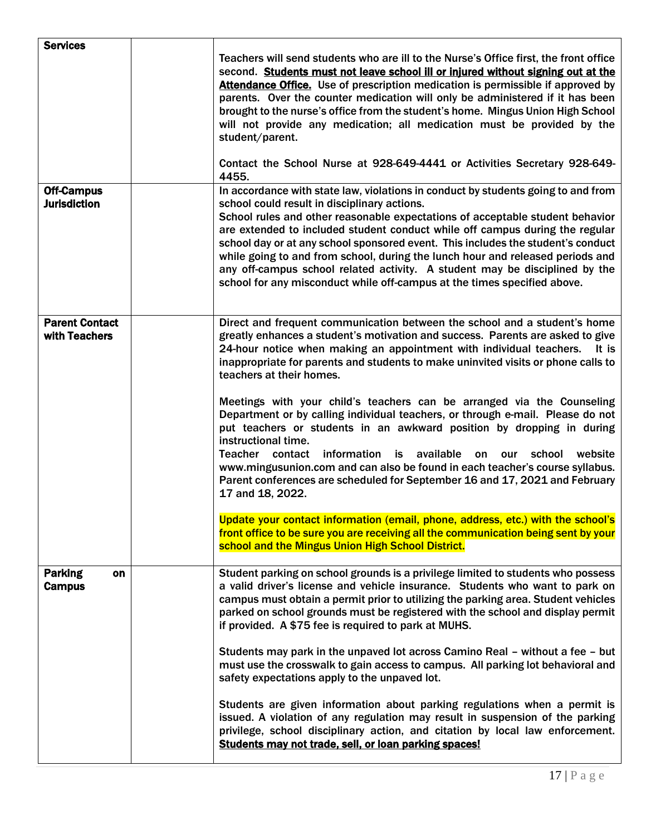| <b>Services</b>                          | Teachers will send students who are ill to the Nurse's Office first, the front office<br>second. Students must not leave school ill or injured without signing out at the<br>Attendance Office. Use of prescription medication is permissible if approved by<br>parents. Over the counter medication will only be administered if it has been<br>brought to the nurse's office from the student's home. Mingus Union High School<br>will not provide any medication; all medication must be provided by the<br>student/parent.<br>Contact the School Nurse at 928-649-4441 or Activities Secretary 928-649-<br>4455.                                                                                                                                                                                                                                                                                                         |
|------------------------------------------|------------------------------------------------------------------------------------------------------------------------------------------------------------------------------------------------------------------------------------------------------------------------------------------------------------------------------------------------------------------------------------------------------------------------------------------------------------------------------------------------------------------------------------------------------------------------------------------------------------------------------------------------------------------------------------------------------------------------------------------------------------------------------------------------------------------------------------------------------------------------------------------------------------------------------|
| <b>Off-Campus</b><br><b>Jurisdiction</b> | In accordance with state law, violations in conduct by students going to and from<br>school could result in disciplinary actions.<br>School rules and other reasonable expectations of acceptable student behavior<br>are extended to included student conduct while off campus during the regular<br>school day or at any school sponsored event. This includes the student's conduct<br>while going to and from school, during the lunch hour and released periods and<br>any off-campus school related activity. A student may be disciplined by the<br>school for any misconduct while off-campus at the times specified above.                                                                                                                                                                                                                                                                                          |
| <b>Parent Contact</b><br>with Teachers   | Direct and frequent communication between the school and a student's home<br>greatly enhances a student's motivation and success. Parents are asked to give<br>24-hour notice when making an appointment with individual teachers. It is<br>inappropriate for parents and students to make uninvited visits or phone calls to<br>teachers at their homes.<br>Meetings with your child's teachers can be arranged via the Counseling<br>Department or by calling individual teachers, or through e-mail. Please do not<br>put teachers or students in an awkward position by dropping in during<br>instructional time.<br>information<br>available<br>Teacher contact<br>is<br>school<br>website<br>on<br>our<br>www.mingusunion.com and can also be found in each teacher's course syllabus.<br>Parent conferences are scheduled for September 16 and 17, 2021 and February<br>17 and 18, 2022.                              |
|                                          | Update your contact information (email, phone, address, etc.) with the school's<br>front office to be sure you are receiving all the communication being sent by your<br>school and the Mingus Union High School District.                                                                                                                                                                                                                                                                                                                                                                                                                                                                                                                                                                                                                                                                                                   |
| <b>Parking</b><br>on<br><b>Campus</b>    | Student parking on school grounds is a privilege limited to students who possess<br>a valid driver's license and vehicle insurance. Students who want to park on<br>campus must obtain a permit prior to utilizing the parking area. Student vehicles<br>parked on school grounds must be registered with the school and display permit<br>if provided. A \$75 fee is required to park at MUHS.<br>Students may park in the unpaved lot across Camino Real - without a fee - but<br>must use the crosswalk to gain access to campus. All parking lot behavioral and<br>safety expectations apply to the unpaved lot.<br>Students are given information about parking regulations when a permit is<br>issued. A violation of any regulation may result in suspension of the parking<br>privilege, school disciplinary action, and citation by local law enforcement.<br>Students may not trade, sell, or loan parking spaces! |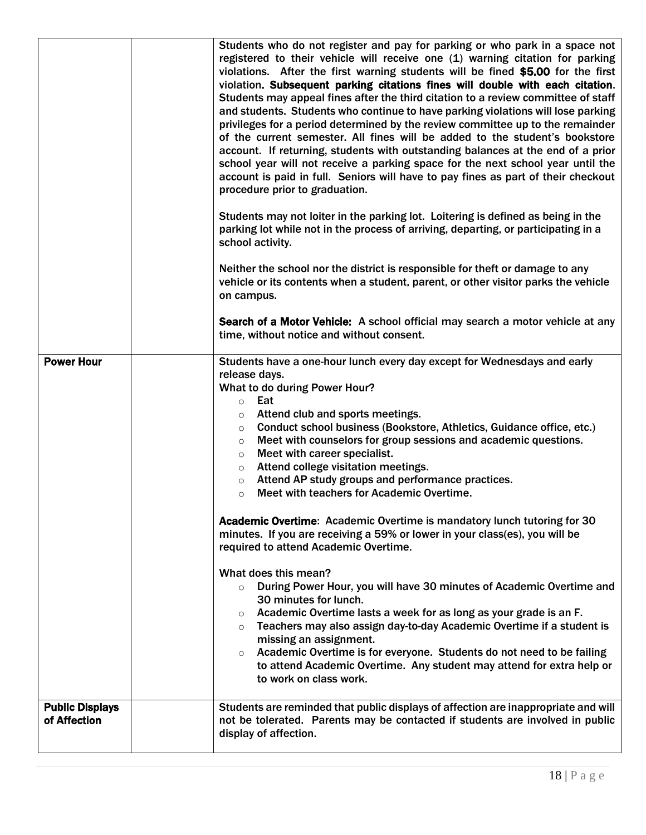|                                        | Students who do not register and pay for parking or who park in a space not<br>registered to their vehicle will receive one (1) warning citation for parking<br>violations. After the first warning students will be fined \$5.00 for the first<br>violation. Subsequent parking citations fines will double with each citation.<br>Students may appeal fines after the third citation to a review committee of staff<br>and students. Students who continue to have parking violations will lose parking<br>privileges for a period determined by the review committee up to the remainder<br>of the current semester. All fines will be added to the student's bookstore<br>account. If returning, students with outstanding balances at the end of a prior<br>school year will not receive a parking space for the next school year until the<br>account is paid in full. Seniors will have to pay fines as part of their checkout<br>procedure prior to graduation.<br>Students may not loiter in the parking lot. Loitering is defined as being in the<br>parking lot while not in the process of arriving, departing, or participating in a<br>school activity.<br>Neither the school nor the district is responsible for theft or damage to any<br>vehicle or its contents when a student, parent, or other visitor parks the vehicle<br>on campus.<br>Search of a Motor Vehicle: A school official may search a motor vehicle at any<br>time, without notice and without consent. |
|----------------------------------------|-------------------------------------------------------------------------------------------------------------------------------------------------------------------------------------------------------------------------------------------------------------------------------------------------------------------------------------------------------------------------------------------------------------------------------------------------------------------------------------------------------------------------------------------------------------------------------------------------------------------------------------------------------------------------------------------------------------------------------------------------------------------------------------------------------------------------------------------------------------------------------------------------------------------------------------------------------------------------------------------------------------------------------------------------------------------------------------------------------------------------------------------------------------------------------------------------------------------------------------------------------------------------------------------------------------------------------------------------------------------------------------------------------------------------------------------------------------------------------------------|
| <b>Power Hour</b>                      | Students have a one-hour lunch every day except for Wednesdays and early<br>release days.                                                                                                                                                                                                                                                                                                                                                                                                                                                                                                                                                                                                                                                                                                                                                                                                                                                                                                                                                                                                                                                                                                                                                                                                                                                                                                                                                                                                 |
|                                        | What to do during Power Hour?                                                                                                                                                                                                                                                                                                                                                                                                                                                                                                                                                                                                                                                                                                                                                                                                                                                                                                                                                                                                                                                                                                                                                                                                                                                                                                                                                                                                                                                             |
|                                        | Eat<br>$\circ$<br>Attend club and sports meetings.<br>$\circ$                                                                                                                                                                                                                                                                                                                                                                                                                                                                                                                                                                                                                                                                                                                                                                                                                                                                                                                                                                                                                                                                                                                                                                                                                                                                                                                                                                                                                             |
|                                        | Conduct school business (Bookstore, Athletics, Guidance office, etc.)<br>$\circ$<br>Meet with counselors for group sessions and academic questions.<br>$\circ$<br>Meet with career specialist.<br>$\circ$                                                                                                                                                                                                                                                                                                                                                                                                                                                                                                                                                                                                                                                                                                                                                                                                                                                                                                                                                                                                                                                                                                                                                                                                                                                                                 |
|                                        | Attend college visitation meetings.<br>$\circ$<br>Attend AP study groups and performance practices.                                                                                                                                                                                                                                                                                                                                                                                                                                                                                                                                                                                                                                                                                                                                                                                                                                                                                                                                                                                                                                                                                                                                                                                                                                                                                                                                                                                       |
|                                        | $\circ$<br>Meet with teachers for Academic Overtime.<br>$\circ$                                                                                                                                                                                                                                                                                                                                                                                                                                                                                                                                                                                                                                                                                                                                                                                                                                                                                                                                                                                                                                                                                                                                                                                                                                                                                                                                                                                                                           |
|                                        | Academic Overtime: Academic Overtime is mandatory lunch tutoring for 30<br>minutes. If you are receiving a 59% or lower in your class(es), you will be<br>required to attend Academic Overtime.                                                                                                                                                                                                                                                                                                                                                                                                                                                                                                                                                                                                                                                                                                                                                                                                                                                                                                                                                                                                                                                                                                                                                                                                                                                                                           |
|                                        | What does this mean?<br>During Power Hour, you will have 30 minutes of Academic Overtime and<br>$\circ$<br>30 minutes for lunch.                                                                                                                                                                                                                                                                                                                                                                                                                                                                                                                                                                                                                                                                                                                                                                                                                                                                                                                                                                                                                                                                                                                                                                                                                                                                                                                                                          |
|                                        | Academic Overtime lasts a week for as long as your grade is an F.<br>$\circ$<br>Teachers may also assign day-to-day Academic Overtime if a student is<br>$\circ$<br>missing an assignment.                                                                                                                                                                                                                                                                                                                                                                                                                                                                                                                                                                                                                                                                                                                                                                                                                                                                                                                                                                                                                                                                                                                                                                                                                                                                                                |
|                                        | Academic Overtime is for everyone. Students do not need to be failing<br>$\circ$<br>to attend Academic Overtime. Any student may attend for extra help or<br>to work on class work.                                                                                                                                                                                                                                                                                                                                                                                                                                                                                                                                                                                                                                                                                                                                                                                                                                                                                                                                                                                                                                                                                                                                                                                                                                                                                                       |
| <b>Public Displays</b><br>of Affection | Students are reminded that public displays of affection are inappropriate and will<br>not be tolerated. Parents may be contacted if students are involved in public<br>display of affection.                                                                                                                                                                                                                                                                                                                                                                                                                                                                                                                                                                                                                                                                                                                                                                                                                                                                                                                                                                                                                                                                                                                                                                                                                                                                                              |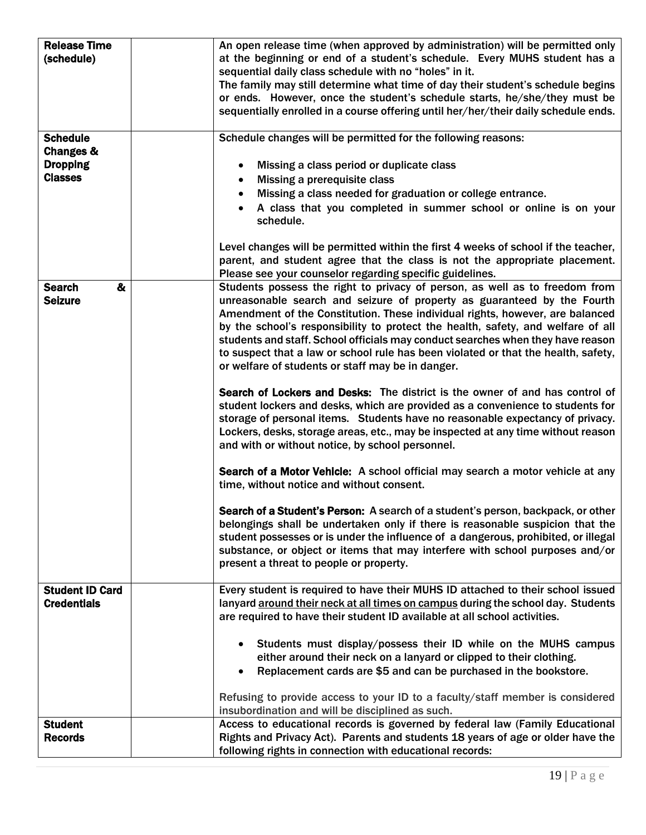| <b>Release Time</b>               | An open release time (when approved by administration) will be permitted only                                                                                   |
|-----------------------------------|-----------------------------------------------------------------------------------------------------------------------------------------------------------------|
| (schedule)                        | at the beginning or end of a student's schedule. Every MUHS student has a                                                                                       |
|                                   | sequential daily class schedule with no "holes" in it.                                                                                                          |
|                                   | The family may still determine what time of day their student's schedule begins                                                                                 |
|                                   | or ends. However, once the student's schedule starts, he/she/they must be                                                                                       |
|                                   | sequentially enrolled in a course offering until her/her/their daily schedule ends.                                                                             |
|                                   |                                                                                                                                                                 |
| <b>Schedule</b>                   | Schedule changes will be permitted for the following reasons:                                                                                                   |
| <b>Changes &amp;</b>              |                                                                                                                                                                 |
| <b>Dropping</b><br><b>Classes</b> | Missing a class period or duplicate class<br>$\bullet$                                                                                                          |
|                                   | Missing a prerequisite class<br>$\bullet$                                                                                                                       |
|                                   | Missing a class needed for graduation or college entrance.                                                                                                      |
|                                   | A class that you completed in summer school or online is on your<br>schedule.                                                                                   |
|                                   |                                                                                                                                                                 |
|                                   | Level changes will be permitted within the first 4 weeks of school if the teacher,                                                                              |
|                                   | parent, and student agree that the class is not the appropriate placement.                                                                                      |
| <b>Search</b><br>&                | Please see your counselor regarding specific guidelines.<br>Students possess the right to privacy of person, as well as to freedom from                         |
| <b>Seizure</b>                    | unreasonable search and seizure of property as guaranteed by the Fourth                                                                                         |
|                                   | Amendment of the Constitution. These individual rights, however, are balanced                                                                                   |
|                                   | by the school's responsibility to protect the health, safety, and welfare of all                                                                                |
|                                   | students and staff. School officials may conduct searches when they have reason                                                                                 |
|                                   | to suspect that a law or school rule has been violated or that the health, safety,                                                                              |
|                                   | or welfare of students or staff may be in danger.                                                                                                               |
|                                   |                                                                                                                                                                 |
|                                   | Search of Lockers and Desks: The district is the owner of and has control of                                                                                    |
|                                   | student lockers and desks, which are provided as a convenience to students for                                                                                  |
|                                   | storage of personal items. Students have no reasonable expectancy of privacy.                                                                                   |
|                                   | Lockers, desks, storage areas, etc., may be inspected at any time without reason                                                                                |
|                                   | and with or without notice, by school personnel.                                                                                                                |
|                                   | Search of a Motor Vehicle: A school official may search a motor vehicle at any                                                                                  |
|                                   | time, without notice and without consent.                                                                                                                       |
|                                   |                                                                                                                                                                 |
|                                   | Search of a Student's Person: A search of a student's person, backpack, or other                                                                                |
|                                   | belongings shall be undertaken only if there is reasonable suspicion that the                                                                                   |
|                                   | student possesses or is under the influence of a dangerous, prohibited, or illegal                                                                              |
|                                   | substance, or object or items that may interfere with school purposes and/or                                                                                    |
|                                   | present a threat to people or property.                                                                                                                         |
| <b>Student ID Card</b>            | Every student is required to have their MUHS ID attached to their school issued                                                                                 |
| <b>Credentials</b>                | lanyard around their neck at all times on campus during the school day. Students                                                                                |
|                                   | are required to have their student ID available at all school activities.                                                                                       |
|                                   |                                                                                                                                                                 |
|                                   | Students must display/possess their ID while on the MUHS campus                                                                                                 |
|                                   | either around their neck on a lanyard or clipped to their clothing.                                                                                             |
|                                   | Replacement cards are \$5 and can be purchased in the bookstore.                                                                                                |
|                                   |                                                                                                                                                                 |
|                                   | Refusing to provide access to your ID to a faculty/staff member is considered                                                                                   |
|                                   | insubordination and will be disciplined as such.                                                                                                                |
| <b>Student</b><br><b>Records</b>  | Access to educational records is governed by federal law (Family Educational<br>Rights and Privacy Act). Parents and students 18 years of age or older have the |
|                                   | following rights in connection with educational records:                                                                                                        |
|                                   |                                                                                                                                                                 |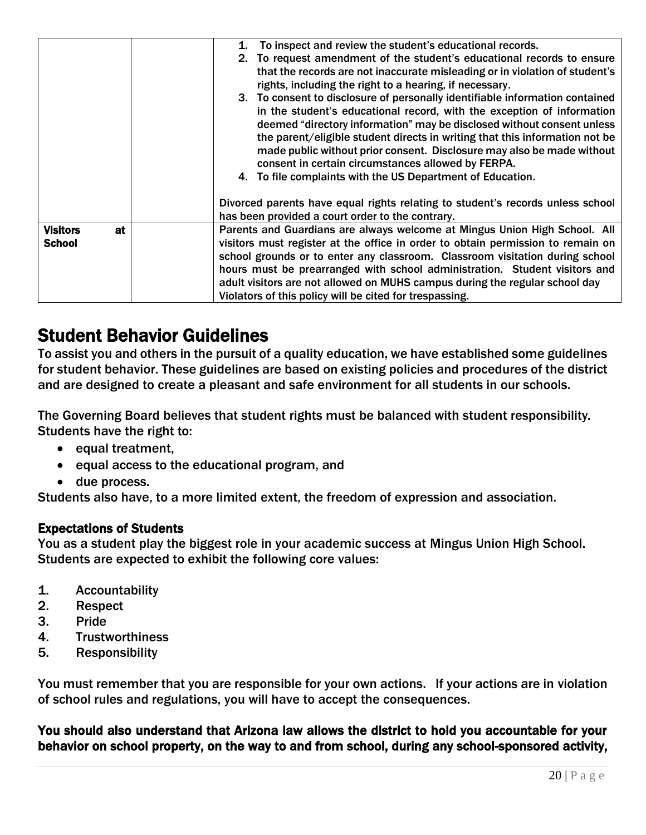|                       | To inspect and review the student's educational records.<br>1.                  |
|-----------------------|---------------------------------------------------------------------------------|
|                       | 2. To request amendment of the student's educational records to ensure          |
|                       | that the records are not inaccurate misleading or in violation of student's     |
|                       | rights, including the right to a hearing, if necessary.                         |
|                       | 3. To consent to disclosure of personally identifiable information contained    |
|                       | in the student's educational record, with the exception of information          |
|                       | deemed "directory information" may be disclosed without consent unless          |
|                       | the parent/eligible student directs in writing that this information not be     |
|                       | made public without prior consent. Disclosure may also be made without          |
|                       | consent in certain circumstances allowed by FERPA.                              |
|                       | 4. To file complaints with the US Department of Education.                      |
|                       |                                                                                 |
|                       | Divorced parents have equal rights relating to student's records unless school  |
|                       | has been provided a court order to the contrary.                                |
| <b>Visitors</b><br>at | Parents and Guardians are always welcome at Mingus Union High School. All       |
| <b>School</b>         | visitors must register at the office in order to obtain permission to remain on |
|                       | school grounds or to enter any classroom. Classroom visitation during school    |
|                       | hours must be prearranged with school administration. Student visitors and      |
|                       | adult visitors are not allowed on MUHS campus during the regular school day     |
|                       | Violators of this policy will be cited for trespassing.                         |

# Student Behavior Guidelines

To assist you and others in the pursuit of a quality education, we have established some guidelines for student behavior. These guidelines are based on existing policies and procedures of the district and are designed to create a pleasant and safe environment for all students in our schools.

The Governing Board believes that student rights must be balanced with student responsibility. Students have the right to:

- equal treatment,
- equal access to the educational program, and
- due process.

Students also have, to a more limited extent, the freedom of expression and association.

# Expectations of Students

You as a student play the biggest role in your academic success at Mingus Union High School. Students are expected to exhibit the following core values:

- 1. Accountability
- 2. Respect
- 3. Pride
- 4. Trustworthiness
- 5. Responsibility

You must remember that you are responsible for your own actions. If your actions are in violation of school rules and regulations, you will have to accept the consequences.

You should also understand that Arizona law allows the district to hold you accountable for your behavior on school property, on the way to and from school, during any school-sponsored activity,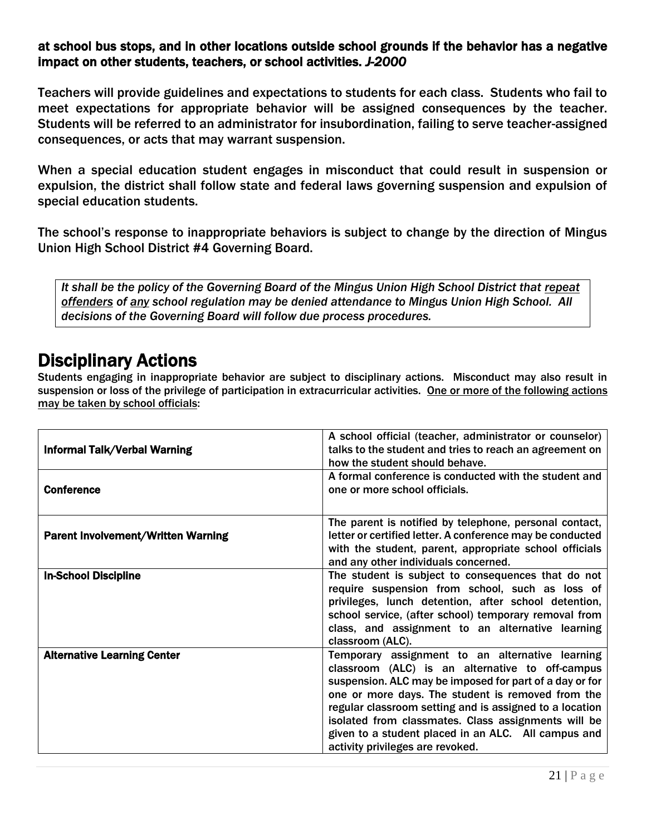### at school bus stops, and in other locations outside school grounds if the behavior has a negative impact on other students, teachers, or school activities. *J-2000*

Teachers will provide guidelines and expectations to students for each class. Students who fail to meet expectations for appropriate behavior will be assigned consequences by the teacher. Students will be referred to an administrator for insubordination, failing to serve teacher-assigned consequences, or acts that may warrant suspension.

When a special education student engages in misconduct that could result in suspension or expulsion, the district shall follow state and federal laws governing suspension and expulsion of special education students.

The school's response to inappropriate behaviors is subject to change by the direction of Mingus Union High School District #4 Governing Board.

*It shall be the policy of the Governing Board of the Mingus Union High School District that repeat offenders of any school regulation may be denied attendance to Mingus Union High School. All decisions of the Governing Board will follow due process procedures.*

# Disciplinary Actions

Students engaging in inappropriate behavior are subject to disciplinary actions. Misconduct may also result in suspension or loss of the privilege of participation in extracurricular activities. One or more of the following actions may be taken by school officials:

| <b>Informal Talk/Verbal Warning</b>       | A school official (teacher, administrator or counselor)<br>talks to the student and tries to reach an agreement on<br>how the student should behave.                                                                                                                                                                                                                                                                            |
|-------------------------------------------|---------------------------------------------------------------------------------------------------------------------------------------------------------------------------------------------------------------------------------------------------------------------------------------------------------------------------------------------------------------------------------------------------------------------------------|
| <b>Conference</b>                         | A formal conference is conducted with the student and<br>one or more school officials.                                                                                                                                                                                                                                                                                                                                          |
| <b>Parent Involvement/Written Warning</b> | The parent is notified by telephone, personal contact,<br>letter or certified letter. A conference may be conducted<br>with the student, parent, appropriate school officials<br>and any other individuals concerned.                                                                                                                                                                                                           |
| <b>In-School Discipline</b>               | The student is subject to consequences that do not<br>require suspension from school, such as loss of<br>privileges, lunch detention, after school detention,<br>school service, (after school) temporary removal from<br>class, and assignment to an alternative learning<br>classroom (ALC).                                                                                                                                  |
| <b>Alternative Learning Center</b>        | Temporary assignment to an alternative learning<br>classroom (ALC) is an alternative to off-campus<br>suspension. ALC may be imposed for part of a day or for<br>one or more days. The student is removed from the<br>regular classroom setting and is assigned to a location<br>isolated from classmates. Class assignments will be<br>given to a student placed in an ALC. All campus and<br>activity privileges are revoked. |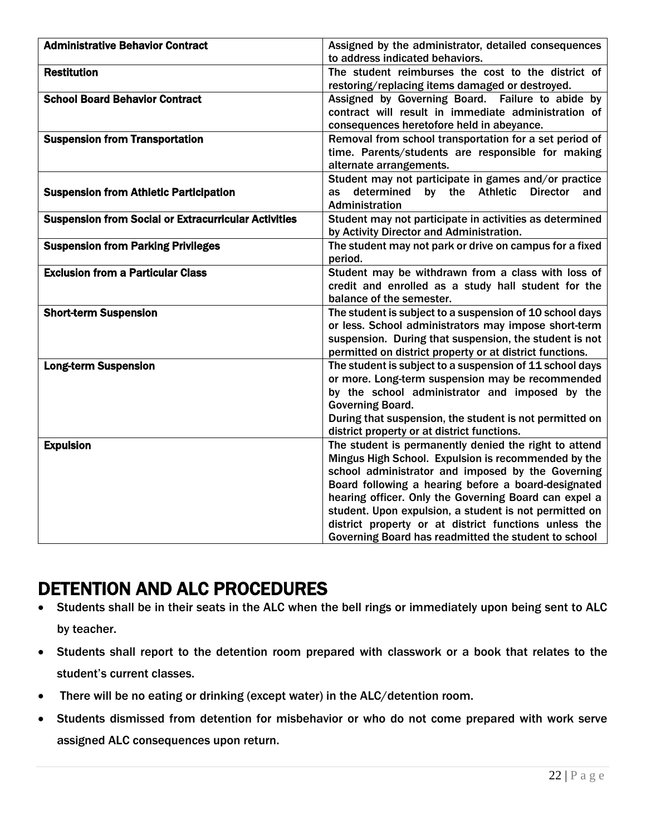| <b>Administrative Behavior Contract</b>                     | Assigned by the administrator, detailed consequences                                                               |
|-------------------------------------------------------------|--------------------------------------------------------------------------------------------------------------------|
|                                                             | to address indicated behaviors.                                                                                    |
| <b>Restitution</b>                                          | The student reimburses the cost to the district of                                                                 |
|                                                             | restoring/replacing items damaged or destroyed.                                                                    |
| <b>School Board Behavior Contract</b>                       | Assigned by Governing Board. Failure to abide by                                                                   |
|                                                             | contract will result in immediate administration of                                                                |
|                                                             | consequences heretofore held in abeyance.                                                                          |
| <b>Suspension from Transportation</b>                       | Removal from school transportation for a set period of                                                             |
|                                                             | time. Parents/students are responsible for making                                                                  |
|                                                             | alternate arrangements.                                                                                            |
|                                                             | Student may not participate in games and/or practice                                                               |
| <b>Suspension from Athletic Participation</b>               | by the Athletic Director<br>determined<br>and<br>as                                                                |
|                                                             | Administration                                                                                                     |
| <b>Suspension from Social or Extracurricular Activities</b> | Student may not participate in activities as determined                                                            |
|                                                             | by Activity Director and Administration.                                                                           |
| <b>Suspension from Parking Privileges</b>                   | The student may not park or drive on campus for a fixed                                                            |
|                                                             | period.                                                                                                            |
| <b>Exclusion from a Particular Class</b>                    | Student may be withdrawn from a class with loss of                                                                 |
|                                                             | credit and enrolled as a study hall student for the                                                                |
|                                                             | balance of the semester.                                                                                           |
| <b>Short-term Suspension</b>                                | The student is subject to a suspension of 10 school days                                                           |
|                                                             | or less. School administrators may impose short-term                                                               |
|                                                             | suspension. During that suspension, the student is not<br>permitted on district property or at district functions. |
| <b>Long-term Suspension</b>                                 | The student is subject to a suspension of 11 school days                                                           |
|                                                             | or more. Long-term suspension may be recommended                                                                   |
|                                                             | by the school administrator and imposed by the                                                                     |
|                                                             | <b>Governing Board.</b>                                                                                            |
|                                                             | During that suspension, the student is not permitted on                                                            |
|                                                             | district property or at district functions.                                                                        |
| <b>Expulsion</b>                                            | The student is permanently denied the right to attend                                                              |
|                                                             | Mingus High School. Expulsion is recommended by the                                                                |
|                                                             | school administrator and imposed by the Governing                                                                  |
|                                                             | Board following a hearing before a board-designated                                                                |
|                                                             | hearing officer. Only the Governing Board can expel a                                                              |
|                                                             | student. Upon expulsion, a student is not permitted on                                                             |
|                                                             | district property or at district functions unless the                                                              |
|                                                             | Governing Board has readmitted the student to school                                                               |

# DETENTION AND ALC PROCEDURES

- Students shall be in their seats in the ALC when the bell rings or immediately upon being sent to ALC by teacher.
- Students shall report to the detention room prepared with classwork or a book that relates to the student's current classes.
- There will be no eating or drinking (except water) in the ALC/detention room.
- Students dismissed from detention for misbehavior or who do not come prepared with work serve assigned ALC consequences upon return.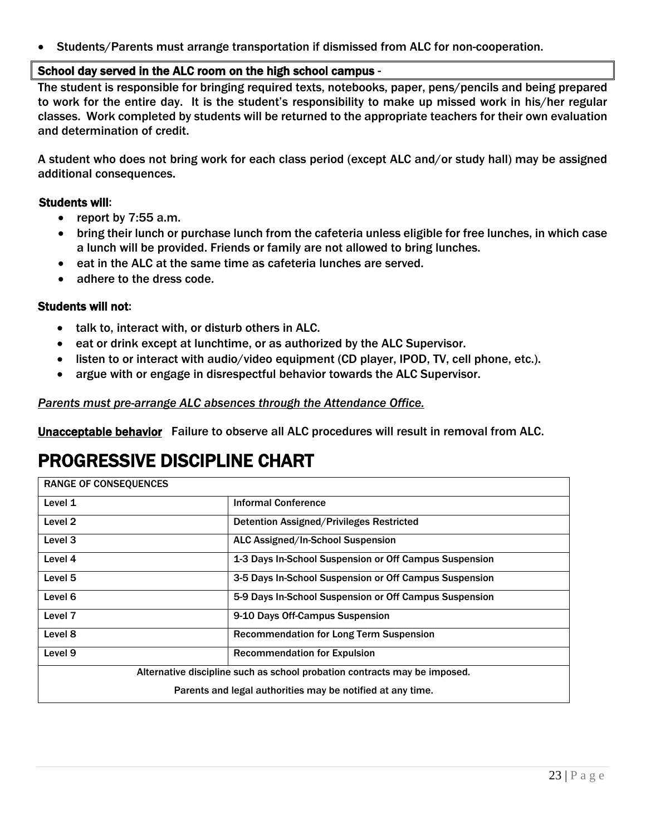• Students/Parents must arrange transportation if dismissed from ALC for non-cooperation.

### School day served in the ALC room on the high school campus -

The student is responsible for bringing required texts, notebooks, paper, pens/pencils and being prepared to work for the entire day. It is the student's responsibility to make up missed work in his/her regular classes. Work completed by students will be returned to the appropriate teachers for their own evaluation and determination of credit.

A student who does not bring work for each class period (except ALC and/or study hall) may be assigned additional consequences.

### Students will:

- report by 7:55 a.m.
- bring their lunch or purchase lunch from the cafeteria unless eligible for free lunches, in which case a lunch will be provided. Friends or family are not allowed to bring lunches.
- eat in the ALC at the same time as cafeteria lunches are served.
- adhere to the dress code.

### Students will not:

- talk to, interact with, or disturb others in ALC.
- eat or drink except at lunchtime, or as authorized by the ALC Supervisor.
- listen to or interact with audio/video equipment (CD player, IPOD, TV, cell phone, etc.).
- argue with or engage in disrespectful behavior towards the ALC Supervisor.

### *Parents must pre-arrange ALC absences through the Attendance Office.*

Unacceptable behavior Failure to observe all ALC procedures will result in removal from ALC.

# PROGRESSIVE DISCIPLINE CHART

| <b>RANGE OF CONSEQUENCES</b> |                                                                           |
|------------------------------|---------------------------------------------------------------------------|
| Level 1                      | <b>Informal Conference</b>                                                |
| Level 2                      | Detention Assigned/Privileges Restricted                                  |
| Level 3                      | ALC Assigned/In-School Suspension                                         |
| Level 4                      | 1-3 Days In-School Suspension or Off Campus Suspension                    |
| Level 5                      | 3-5 Days In-School Suspension or Off Campus Suspension                    |
| Level 6                      | 5-9 Days In-School Suspension or Off Campus Suspension                    |
| Level 7                      | 9-10 Days Off-Campus Suspension                                           |
| Level 8                      | <b>Recommendation for Long Term Suspension</b>                            |
| Level <sub>9</sub>           | <b>Recommendation for Expulsion</b>                                       |
|                              | Alternative discipline such as school probation contracts may be imposed. |
|                              | Parents and legal authorities may be notified at any time.                |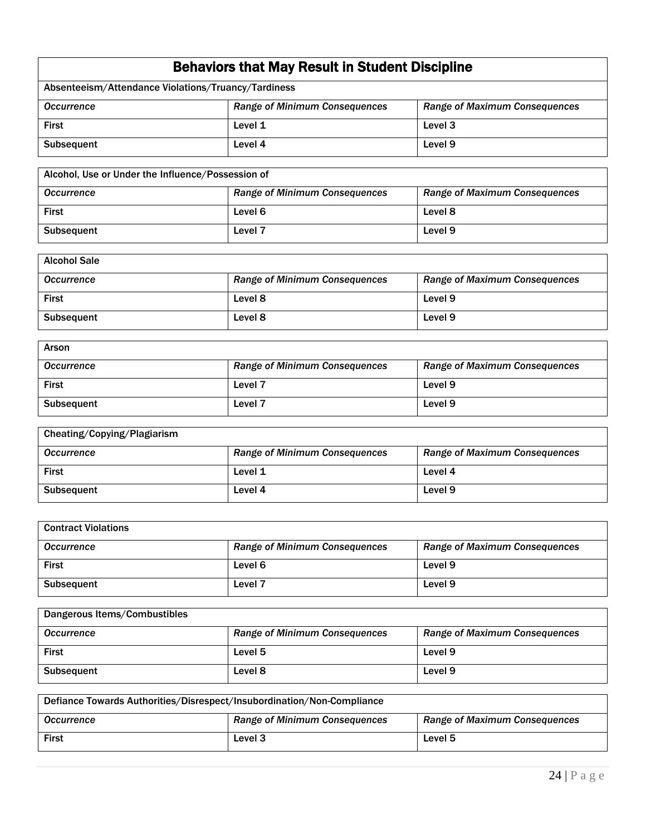| <b>Behaviors that May Result in Student Discipline</b> |  |
|--------------------------------------------------------|--|
|--------------------------------------------------------|--|

| Absenteeism/Attendance Violations/Truancy/Tardiness |                                      |                                      |
|-----------------------------------------------------|--------------------------------------|--------------------------------------|
| <b>Occurrence</b>                                   | <b>Range of Minimum Consequences</b> | <b>Range of Maximum Consequences</b> |
| <b>First</b>                                        | Level 1                              | Level 3                              |
| Subsequent                                          | Level 4                              | Level 9                              |

| Alcohol, Use or Under the Influence/Possession of |                                      |                                      |
|---------------------------------------------------|--------------------------------------|--------------------------------------|
| <b>Occurrence</b>                                 | <b>Range of Minimum Consequences</b> | <b>Range of Maximum Consequences</b> |
| <b>First</b>                                      | Level 6                              | Level 8                              |
| <b>Subsequent</b>                                 | Level <sub>7</sub>                   | Level 9                              |

| <b>Alcohol Sale</b> |                                      |                                      |
|---------------------|--------------------------------------|--------------------------------------|
| <b>Occurrence</b>   | <b>Range of Minimum Consequences</b> | <b>Range of Maximum Consequences</b> |
| <b>First</b>        | Level 8                              | Level 9                              |
| Subsequent          | Level 8                              | Level 9                              |

| Arson             |                                      |                                      |
|-------------------|--------------------------------------|--------------------------------------|
| Occurrence        | <b>Range of Minimum Consequences</b> | <b>Range of Maximum Consequences</b> |
| <b>First</b>      | Level <sub>7</sub>                   | Level 9                              |
| <b>Subsequent</b> | Level <sub>7</sub>                   | Level 9                              |

| Cheating/Copying/Plagiarism |                                      |                                      |
|-----------------------------|--------------------------------------|--------------------------------------|
| <b>Occurrence</b>           | <b>Range of Minimum Consequences</b> | <b>Range of Maximum Consequences</b> |
| <b>First</b>                | Level 1                              | Level 4                              |
| <b>Subsequent</b>           | Level 4                              | Level 9                              |

| <b>Contract Violations</b> |                                      |                                      |
|----------------------------|--------------------------------------|--------------------------------------|
| <b>Occurrence</b>          | <b>Range of Minimum Consequences</b> | <b>Range of Maximum Consequences</b> |
| <b>First</b>               | Level 6                              | Level 9                              |
| <b>Subsequent</b>          | Level 7                              | Level 9                              |

| Dangerous Items/Combustibles |                                      |                                      |
|------------------------------|--------------------------------------|--------------------------------------|
| <b>Occurrence</b>            | <b>Range of Minimum Consequences</b> | <b>Range of Maximum Consequences</b> |
| <b>First</b>                 | Level 5                              | Level 9                              |
| <b>Subsequent</b>            | Level 8                              | Level 9                              |

| Defiance Towards Authorities/Disrespect/Insubordination/Non-Compliance |                                      |                                      |
|------------------------------------------------------------------------|--------------------------------------|--------------------------------------|
| <b>Occurrence</b>                                                      | <b>Range of Minimum Consequences</b> | <b>Range of Maximum Consequences</b> |
| <b>First</b>                                                           | Level 3                              | Level 5                              |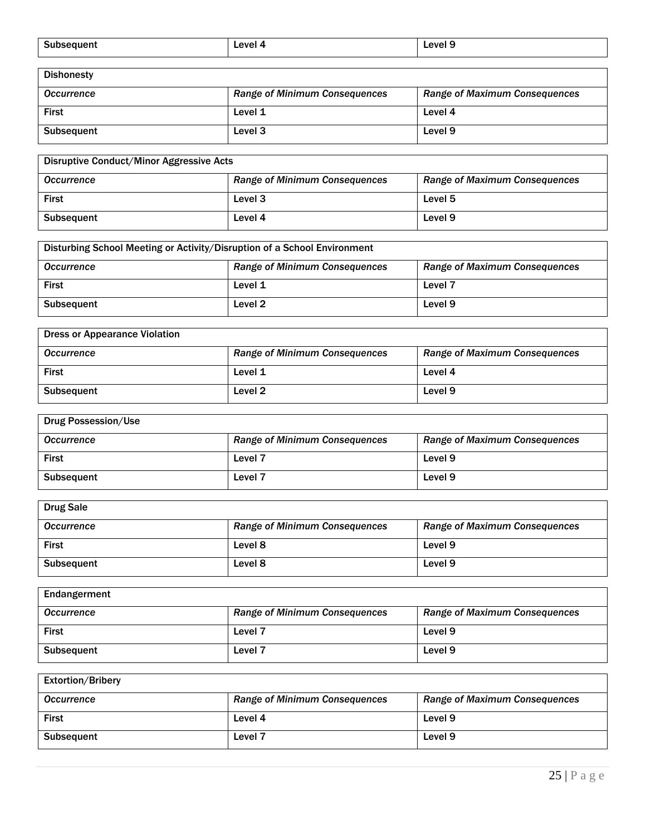| Sub.   | <b>AVAL</b> | Leve      |
|--------|-------------|-----------|
| eauent | .           | $\bullet$ |
| .      | - -         | . .       |
|        |             |           |
|        |             |           |

| <b>Dishonesty</b> |                                      |                                      |
|-------------------|--------------------------------------|--------------------------------------|
| <b>Occurrence</b> | <b>Range of Minimum Consequences</b> | <b>Range of Maximum Consequences</b> |
| <b>First</b>      | Level 1                              | Level 4                              |
| <b>Subsequent</b> | Level <sub>3</sub>                   | Level 9                              |

| Disruptive Conduct/Minor Aggressive Acts |                                      |                                      |
|------------------------------------------|--------------------------------------|--------------------------------------|
| <b>Occurrence</b>                        | <b>Range of Minimum Consequences</b> | <b>Range of Maximum Consequences</b> |
| First                                    | Level 3                              | Level 5                              |
| <b>Subsequent</b>                        | Level 4                              | Level 9                              |

| Disturbing School Meeting or Activity/Disruption of a School Environment |                                      |                                      |
|--------------------------------------------------------------------------|--------------------------------------|--------------------------------------|
| <b>Occurrence</b>                                                        | <b>Range of Minimum Consequences</b> | <b>Range of Maximum Consequences</b> |
| <b>First</b>                                                             | Level 1                              | Level <sub>7</sub>                   |
| <b>Subsequent</b>                                                        | Level <sub>2</sub>                   | Level 9                              |

| <b>Dress or Appearance Violation</b> |                                      |                                      |
|--------------------------------------|--------------------------------------|--------------------------------------|
| Occurrence                           | <b>Range of Minimum Consequences</b> | <b>Range of Maximum Consequences</b> |
| <b>First</b>                         | Level 1                              | Level 4                              |
| Subsequent                           | Level 2                              | Level 9                              |

| Drug Possession/Use |                                      |                                      |
|---------------------|--------------------------------------|--------------------------------------|
| <b>Occurrence</b>   | <b>Range of Minimum Consequences</b> | <b>Range of Maximum Consequences</b> |
| <b>First</b>        | Level <sub>7</sub>                   | Level 9                              |
| <b>Subsequent</b>   | Level 7                              | Level 9                              |

| <b>Drug Sale</b>  |                                      |                                      |
|-------------------|--------------------------------------|--------------------------------------|
| <b>Occurrence</b> | <b>Range of Minimum Consequences</b> | <b>Range of Maximum Consequences</b> |
| <b>First</b>      | Level 8                              | Level 9                              |
| <b>Subsequent</b> | Level 8                              | Level 9                              |

| Endangerment      |                                      |                                      |
|-------------------|--------------------------------------|--------------------------------------|
| <b>Occurrence</b> | <b>Range of Minimum Consequences</b> | <b>Range of Maximum Consequences</b> |
| <b>First</b>      | Level 7                              | Level 9                              |
| <b>Subsequent</b> | Level <sub>7</sub>                   | Level 9                              |

| <b>Extortion/Bribery</b> |                                      |                                      |
|--------------------------|--------------------------------------|--------------------------------------|
| <b>Occurrence</b>        | <b>Range of Minimum Consequences</b> | <b>Range of Maximum Consequences</b> |
| <b>First</b>             | Level 4                              | Level 9                              |
| <b>Subsequent</b>        | Level <sub>7</sub>                   | Level 9                              |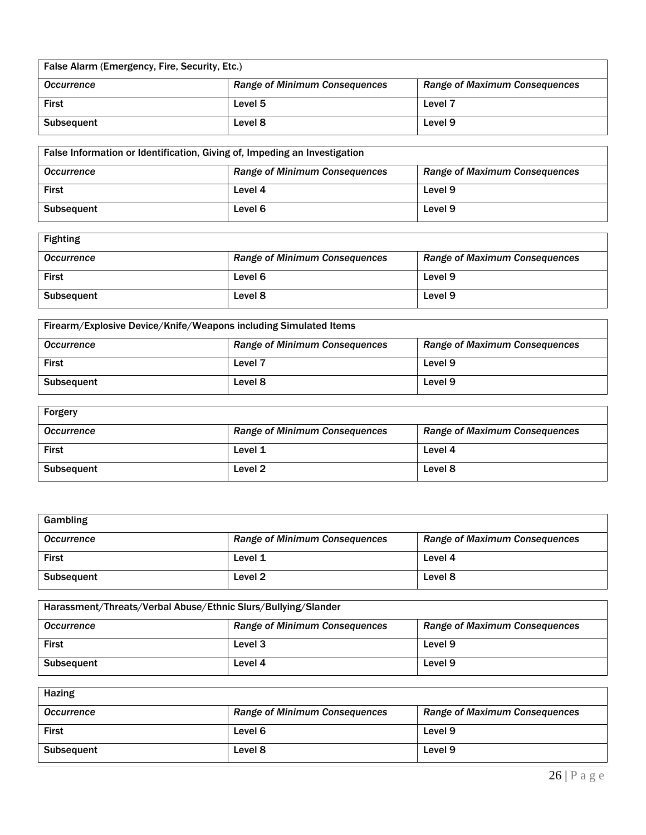| False Alarm (Emergency, Fire, Security, Etc.) |                                      |                                      |  |
|-----------------------------------------------|--------------------------------------|--------------------------------------|--|
| <b>Occurrence</b>                             | <b>Range of Minimum Consequences</b> | <b>Range of Maximum Consequences</b> |  |
| <b>First</b>                                  | Level 5                              | Level 7                              |  |
| Level 8<br>Level 9<br>Subsequent              |                                      |                                      |  |

| False Information or Identification, Giving of, Impeding an Investigation |                                                                              |         |  |
|---------------------------------------------------------------------------|------------------------------------------------------------------------------|---------|--|
| <b>Occurrence</b>                                                         | <b>Range of Maximum Consequences</b><br><b>Range of Minimum Consequences</b> |         |  |
| <b>First</b>                                                              | Level 4                                                                      | Level 9 |  |
| <b>Subsequent</b>                                                         | Level 6                                                                      | Level 9 |  |

| <b>Fighting</b>   |                                      |                                      |
|-------------------|--------------------------------------|--------------------------------------|
| <b>Occurrence</b> | <b>Range of Minimum Consequences</b> | <b>Range of Maximum Consequences</b> |
| <b>First</b>      | Level 6                              | Level 9                              |
| <b>Subsequent</b> | Level 8                              | Level 9                              |

| Firearm/Explosive Device/Knife/Weapons including Simulated Items                                  |                    |         |
|---------------------------------------------------------------------------------------------------|--------------------|---------|
| <b>Range of Maximum Consequences</b><br><b>Range of Minimum Consequences</b><br><b>Occurrence</b> |                    |         |
| <b>First</b>                                                                                      | Level <sub>7</sub> | Level 9 |
| <b>Subsequent</b>                                                                                 | Level 8            | Level 9 |

| Forgery           |                                      |                                      |
|-------------------|--------------------------------------|--------------------------------------|
| <b>Occurrence</b> | <b>Range of Minimum Consequences</b> | <b>Range of Maximum Consequences</b> |
| <b>First</b>      | Level 1                              | Level 4                              |
| <b>Subsequent</b> | Level <sub>2</sub>                   | Level 8                              |

| Gambling          |                                      |                                      |
|-------------------|--------------------------------------|--------------------------------------|
| <b>Occurrence</b> | <b>Range of Minimum Consequences</b> | <b>Range of Maximum Consequences</b> |
| <b>First</b>      | Level 1                              | Level 4                              |
| <b>Subsequent</b> | Level 2                              | Level 8                              |

| Harassment/Threats/Verbal Abuse/Ethnic Slurs/Bullying/Slander                                     |         |         |
|---------------------------------------------------------------------------------------------------|---------|---------|
| <b>Range of Minimum Consequences</b><br><b>Range of Maximum Consequences</b><br><b>Occurrence</b> |         |         |
| <b>First</b>                                                                                      | Level 3 | Level 9 |
| <b>Subsequent</b>                                                                                 | Level 4 | Level 9 |

| Hazing            |                                      |                                      |
|-------------------|--------------------------------------|--------------------------------------|
| <b>Occurrence</b> | <b>Range of Minimum Consequences</b> | <b>Range of Maximum Consequences</b> |
| <b>First</b>      | Level 6                              | Level 9                              |
| <b>Subsequent</b> | Level 8                              | Level 9                              |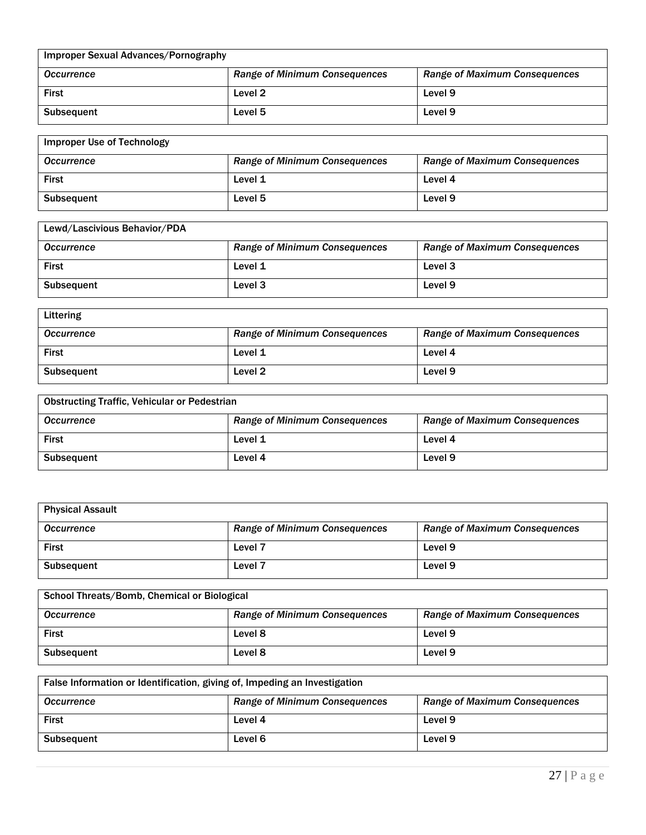| Improper Sexual Advances/Pornography |                                      |                                      |
|--------------------------------------|--------------------------------------|--------------------------------------|
| <b>Occurrence</b>                    | <b>Range of Minimum Consequences</b> | <b>Range of Maximum Consequences</b> |
| <b>First</b>                         | Level 2                              | Level <sub>9</sub>                   |
| <b>Subsequent</b>                    | Level 5                              | Level <sub>9</sub>                   |

| <b>Improper Use of Technology</b> |                                      |                                      |
|-----------------------------------|--------------------------------------|--------------------------------------|
| <b>Occurrence</b>                 | <b>Range of Minimum Consequences</b> | <b>Range of Maximum Consequences</b> |
| <b>First</b>                      | Level 1                              | Level 4                              |
| <b>Subsequent</b>                 | Level 5                              | Level 9                              |

| Lewd/Lascivious Behavior/PDA |                                      |                                      |
|------------------------------|--------------------------------------|--------------------------------------|
| Occurrence                   | <b>Range of Minimum Consequences</b> | <b>Range of Maximum Consequences</b> |
| <b>First</b>                 | Level 1                              | Level 3                              |
| <b>Subsequent</b>            | Level 3                              | Level 9                              |

| Littering         |                                      |                                      |
|-------------------|--------------------------------------|--------------------------------------|
| <b>Occurrence</b> | <b>Range of Minimum Consequences</b> | <b>Range of Maximum Consequences</b> |
| <b>First</b>      | Level 1                              | Level 4                              |
| Subsequent        | Level 2                              | Level 9                              |

| <b>Obstructing Traffic, Vehicular or Pedestrian</b> |                                      |                                      |
|-----------------------------------------------------|--------------------------------------|--------------------------------------|
| <b>Occurrence</b>                                   | <b>Range of Minimum Consequences</b> | <b>Range of Maximum Consequences</b> |
| <b>First</b>                                        | Level 1                              | Level 4                              |
| <b>Subsequent</b>                                   | Level 4                              | Level 9                              |

| <b>Physical Assault</b> |                                      |                                      |
|-------------------------|--------------------------------------|--------------------------------------|
| <b>Occurrence</b>       | <b>Range of Minimum Consequences</b> | <b>Range of Maximum Consequences</b> |
| <b>First</b>            | Level 7                              | Level 9                              |
| <b>Subsequent</b>       | Level <sub>7</sub>                   | Level 9                              |

| School Threats/Bomb, Chemical or Biological |                                      |                                      |
|---------------------------------------------|--------------------------------------|--------------------------------------|
| <b>Occurrence</b>                           | <b>Range of Minimum Consequences</b> | <b>Range of Maximum Consequences</b> |
| <b>First</b>                                | Level 8                              | Level 9                              |
| <b>Subsequent</b>                           | Level 8                              | Level 9                              |

| False Information or Identification, giving of, Impeding an Investigation |                                      |                                      |
|---------------------------------------------------------------------------|--------------------------------------|--------------------------------------|
| <b>Occurrence</b>                                                         | <b>Range of Minimum Consequences</b> | <b>Range of Maximum Consequences</b> |
| <b>First</b>                                                              | Level 4                              | Level 9                              |
| <b>Subsequent</b>                                                         | Level 6                              | Level 9                              |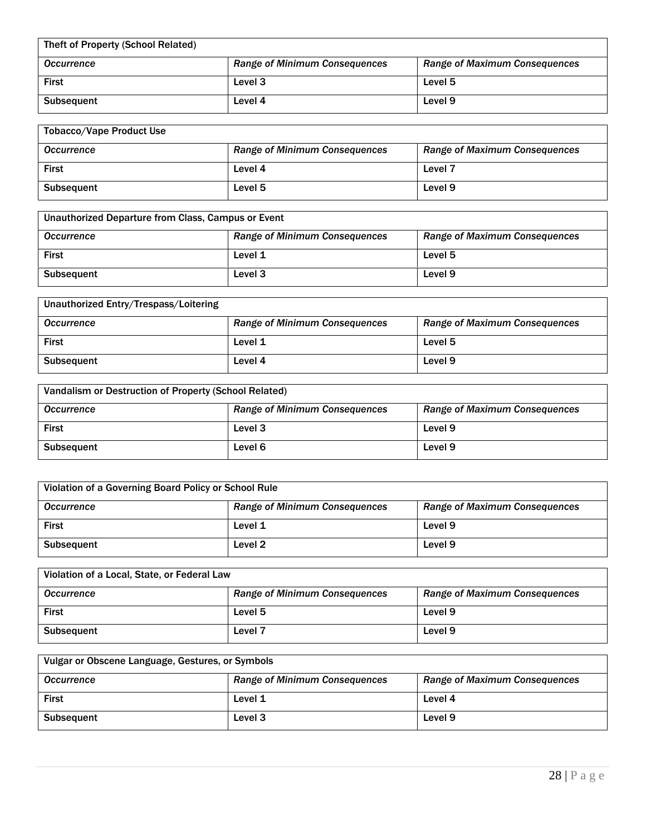| Theft of Property (School Related) |                                      |                                      |
|------------------------------------|--------------------------------------|--------------------------------------|
| <b>Occurrence</b>                  | <b>Range of Minimum Consequences</b> | <b>Range of Maximum Consequences</b> |
| <b>First</b>                       | Level 3                              | Level 5                              |
| <b>Subsequent</b>                  | Level 4                              | Level 9                              |

| <b>Tobacco/Vape Product Use</b> |                                      |                                      |
|---------------------------------|--------------------------------------|--------------------------------------|
| <b>Occurrence</b>               | <b>Range of Minimum Consequences</b> | <b>Range of Maximum Consequences</b> |
| <b>First</b>                    | Level 4                              | Level <sub>7</sub>                   |
| Subsequent                      | Level 5                              | Level 9                              |

| Unauthorized Departure from Class, Campus or Event |                                      |                                      |
|----------------------------------------------------|--------------------------------------|--------------------------------------|
| <b>Occurrence</b>                                  | <b>Range of Minimum Consequences</b> | <b>Range of Maximum Consequences</b> |
| <b>First</b>                                       | Level 1                              | Level 5                              |
| <b>Subsequent</b>                                  | Level <sub>3</sub>                   | Level 9                              |

| Unauthorized Entry/Trespass/Loitering |                                      |                                      |
|---------------------------------------|--------------------------------------|--------------------------------------|
| <b>Occurrence</b>                     | <b>Range of Minimum Consequences</b> | <b>Range of Maximum Consequences</b> |
| First                                 | Level 1                              | Level 5                              |
| <b>Subsequent</b>                     | Level 4                              | Level 9                              |

| Vandalism or Destruction of Property (School Related) |                                      |                                      |
|-------------------------------------------------------|--------------------------------------|--------------------------------------|
| <b>Occurrence</b>                                     | <b>Range of Minimum Consequences</b> | <b>Range of Maximum Consequences</b> |
| <b>First</b>                                          | Level 3                              | Level 9                              |
| <b>Subsequent</b>                                     | Level 6                              | Level 9                              |

| Violation of a Governing Board Policy or School Rule |                                      |                                      |
|------------------------------------------------------|--------------------------------------|--------------------------------------|
| <b>Occurrence</b>                                    | <b>Range of Minimum Consequences</b> | <b>Range of Maximum Consequences</b> |
| <b>First</b>                                         | Level 1                              | Level 9                              |
| <b>Subsequent</b>                                    | Level <sub>2</sub>                   | Level 9                              |

| Violation of a Local, State, or Federal Law |                                      |                                      |
|---------------------------------------------|--------------------------------------|--------------------------------------|
| <b>Occurrence</b>                           | <b>Range of Minimum Consequences</b> | <b>Range of Maximum Consequences</b> |
| <b>First</b>                                | Level 5                              | Level 9                              |
| <b>Subsequent</b>                           | Level <sub>7</sub>                   | Level 9                              |

| Vulgar or Obscene Language, Gestures, or Symbols |                                      |                                      |
|--------------------------------------------------|--------------------------------------|--------------------------------------|
| <b>Occurrence</b>                                | <b>Range of Minimum Consequences</b> | <b>Range of Maximum Consequences</b> |
| <b>First</b>                                     | Level 1                              | Level 4                              |
| <b>Subsequent</b>                                | Level 3                              | Level 9                              |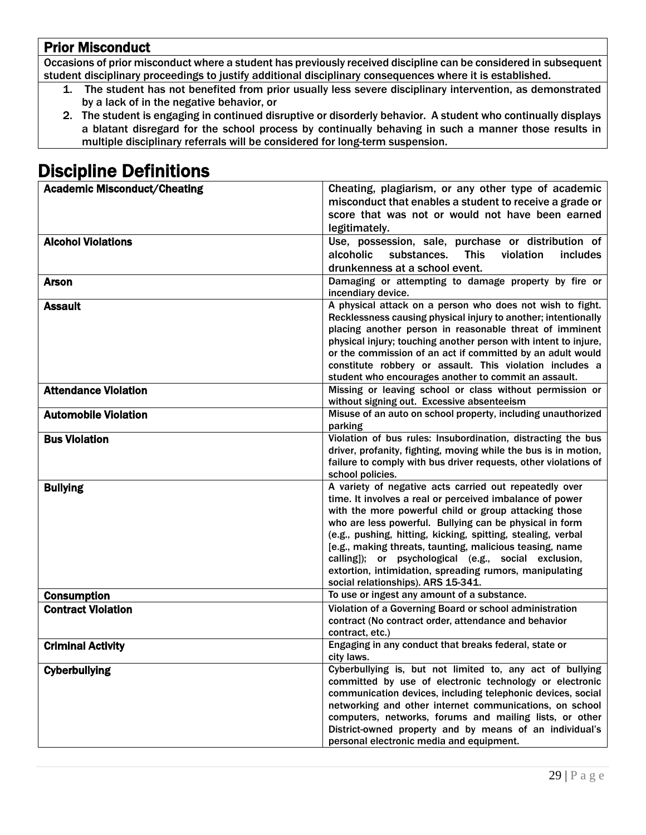# Prior Misconduct

Occasions of prior misconduct where a student has previously received discipline can be considered in subsequent student disciplinary proceedings to justify additional disciplinary consequences where it is established.

- 1. The student has not benefited from prior usually less severe disciplinary intervention, as demonstrated by a lack of in the negative behavior, or
- 2. The student is engaging in continued disruptive or disorderly behavior. A student who continually displays a blatant disregard for the school process by continually behaving in such a manner those results in multiple disciplinary referrals will be considered for long-term suspension.

# Discipline Definitions

| <b>Academic Misconduct/Cheating</b> | Cheating, plagiarism, or any other type of academic                                                                           |
|-------------------------------------|-------------------------------------------------------------------------------------------------------------------------------|
|                                     | misconduct that enables a student to receive a grade or                                                                       |
|                                     | score that was not or would not have been earned                                                                              |
|                                     | legitimately.                                                                                                                 |
| <b>Alcohol Violations</b>           | Use, possession, sale, purchase or distribution of                                                                            |
|                                     | <b>This</b><br>alcoholic<br>substances.<br>violation<br>includes                                                              |
|                                     | drunkenness at a school event.                                                                                                |
| Arson                               | Damaging or attempting to damage property by fire or                                                                          |
|                                     | incendiary device.                                                                                                            |
| <b>Assault</b>                      | A physical attack on a person who does not wish to fight.                                                                     |
|                                     | Recklessness causing physical injury to another; intentionally                                                                |
|                                     | placing another person in reasonable threat of imminent                                                                       |
|                                     | physical injury; touching another person with intent to injure,<br>or the commission of an act if committed by an adult would |
|                                     | constitute robbery or assault. This violation includes a                                                                      |
|                                     | student who encourages another to commit an assault.                                                                          |
| <b>Attendance Violation</b>         | Missing or leaving school or class without permission or                                                                      |
|                                     | without signing out. Excessive absenteeism                                                                                    |
| <b>Automobile Violation</b>         | Misuse of an auto on school property, including unauthorized                                                                  |
|                                     | parking                                                                                                                       |
| <b>Bus Violation</b>                | Violation of bus rules: Insubordination, distracting the bus                                                                  |
|                                     | driver, profanity, fighting, moving while the bus is in motion,                                                               |
|                                     | failure to comply with bus driver requests, other violations of                                                               |
| <b>Bullying</b>                     | school policies.<br>A variety of negative acts carried out repeatedly over                                                    |
|                                     | time. It involves a real or perceived imbalance of power                                                                      |
|                                     | with the more powerful child or group attacking those                                                                         |
|                                     | who are less powerful. Bullying can be physical in form                                                                       |
|                                     | (e.g., pushing, hitting, kicking, spitting, stealing, verbal                                                                  |
|                                     | [e.g., making threats, taunting, malicious teasing, name                                                                      |
|                                     | calling]); or psychological (e.g., social exclusion,                                                                          |
|                                     | extortion, intimidation, spreading rumors, manipulating                                                                       |
|                                     | social relationships). ARS 15-341.                                                                                            |
| <b>Consumption</b>                  | To use or ingest any amount of a substance.                                                                                   |
| <b>Contract Violation</b>           | Violation of a Governing Board or school administration<br>contract (No contract order, attendance and behavior               |
|                                     | contract, etc.)                                                                                                               |
| <b>Criminal Activity</b>            | Engaging in any conduct that breaks federal, state or                                                                         |
|                                     | city laws.                                                                                                                    |
| <b>Cyberbullying</b>                | Cyberbullying is, but not limited to, any act of bullying                                                                     |
|                                     | committed by use of electronic technology or electronic                                                                       |
|                                     | communication devices, including telephonic devices, social                                                                   |
|                                     | networking and other internet communications, on school                                                                       |
|                                     | computers, networks, forums and mailing lists, or other                                                                       |
|                                     | District-owned property and by means of an individual's                                                                       |
|                                     | personal electronic media and equipment.                                                                                      |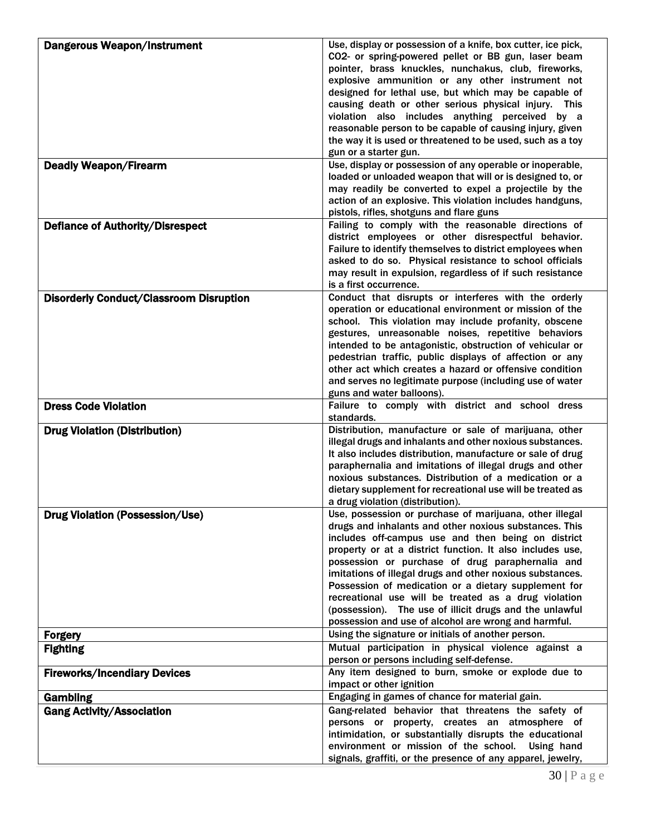| CO2- or spring-powered pellet or BB gun, laser beam<br>pointer, brass knuckles, nunchakus, club, fireworks,<br>explosive ammunition or any other instrument not<br>designed for lethal use, but which may be capable of<br>causing death or other serious physical injury. This<br>violation also includes anything perceived by a<br>reasonable person to be capable of causing injury, given<br>the way it is used or threatened to be used, such as a toy<br>gun or a starter gun.<br>Use, display or possession of any operable or inoperable,<br><b>Deadly Weapon/Firearm</b><br>loaded or unloaded weapon that will or is designed to, or<br>may readily be converted to expel a projectile by the<br>action of an explosive. This violation includes handguns,<br>pistols, rifles, shotguns and flare guns<br>Failing to comply with the reasonable directions of<br><b>Defiance of Authority/Disrespect</b><br>district employees or other disrespectful behavior.<br>Failure to identify themselves to district employees when<br>asked to do so. Physical resistance to school officials<br>may result in expulsion, regardless of if such resistance<br>is a first occurrence.<br>Conduct that disrupts or interferes with the orderly<br><b>Disorderly Conduct/Classroom Disruption</b><br>operation or educational environment or mission of the<br>school. This violation may include profanity, obscene<br>gestures, unreasonable noises, repetitive behaviors<br>intended to be antagonistic, obstruction of vehicular or<br>pedestrian traffic, public displays of affection or any<br>other act which creates a hazard or offensive condition<br>and serves no legitimate purpose (including use of water<br>guns and water balloons).<br>Failure to comply with district and school dress<br><b>Dress Code Violation</b><br>standards.<br>Distribution, manufacture or sale of marijuana, other<br><b>Drug Violation (Distribution)</b><br>illegal drugs and inhalants and other noxious substances.<br>It also includes distribution, manufacture or sale of drug<br>paraphernalia and imitations of illegal drugs and other<br>noxious substances. Distribution of a medication or a<br>dietary supplement for recreational use will be treated as<br>a drug violation (distribution).<br><b>Drug Violation (Possession/Use)</b><br>Use, possession or purchase of marijuana, other illegal<br>drugs and inhalants and other noxious substances. This<br>includes off-campus use and then being on district<br>property or at a district function. It also includes use,<br>possession or purchase of drug paraphernalia and<br>imitations of illegal drugs and other noxious substances.<br>Possession of medication or a dietary supplement for<br>recreational use will be treated as a drug violation<br>(possession). The use of illicit drugs and the unlawful<br>possession and use of alcohol are wrong and harmful.<br>Using the signature or initials of another person.<br><b>Forgery</b><br>Mutual participation in physical violence against a<br><b>Fighting</b><br>person or persons including self-defense.<br>Any item designed to burn, smoke or explode due to<br><b>Fireworks/Incendiary Devices</b><br>impact or other ignition<br>Engaging in games of chance for material gain.<br><b>Gambling</b><br>Gang-related behavior that threatens the safety of<br><b>Gang Activity/Association</b><br>persons or property, creates an atmosphere of<br>intimidation, or substantially disrupts the educational<br>environment or mission of the school. Using hand | <b>Dangerous Weapon/Instrument</b> | Use, display or possession of a knife, box cutter, ice pick, |
|----------------------------------------------------------------------------------------------------------------------------------------------------------------------------------------------------------------------------------------------------------------------------------------------------------------------------------------------------------------------------------------------------------------------------------------------------------------------------------------------------------------------------------------------------------------------------------------------------------------------------------------------------------------------------------------------------------------------------------------------------------------------------------------------------------------------------------------------------------------------------------------------------------------------------------------------------------------------------------------------------------------------------------------------------------------------------------------------------------------------------------------------------------------------------------------------------------------------------------------------------------------------------------------------------------------------------------------------------------------------------------------------------------------------------------------------------------------------------------------------------------------------------------------------------------------------------------------------------------------------------------------------------------------------------------------------------------------------------------------------------------------------------------------------------------------------------------------------------------------------------------------------------------------------------------------------------------------------------------------------------------------------------------------------------------------------------------------------------------------------------------------------------------------------------------------------------------------------------------------------------------------------------------------------------------------------------------------------------------------------------------------------------------------------------------------------------------------------------------------------------------------------------------------------------------------------------------------------------------------------------------------------------------------------------------------------------------------------------------------------------------------------------------------------------------------------------------------------------------------------------------------------------------------------------------------------------------------------------------------------------------------------------------------------------------------------------------------------------------------------------------------------------------------------------------------------------------------------------------------------------------------------------------------------------------------------------------------------------------------------------------------------------------------------------------------------------------------------------------------------------------------------------------------------------------------------------------------------------------|------------------------------------|--------------------------------------------------------------|
|                                                                                                                                                                                                                                                                                                                                                                                                                                                                                                                                                                                                                                                                                                                                                                                                                                                                                                                                                                                                                                                                                                                                                                                                                                                                                                                                                                                                                                                                                                                                                                                                                                                                                                                                                                                                                                                                                                                                                                                                                                                                                                                                                                                                                                                                                                                                                                                                                                                                                                                                                                                                                                                                                                                                                                                                                                                                                                                                                                                                                                                                                                                                                                                                                                                                                                                                                                                                                                                                                                                                                                                                          |                                    |                                                              |
|                                                                                                                                                                                                                                                                                                                                                                                                                                                                                                                                                                                                                                                                                                                                                                                                                                                                                                                                                                                                                                                                                                                                                                                                                                                                                                                                                                                                                                                                                                                                                                                                                                                                                                                                                                                                                                                                                                                                                                                                                                                                                                                                                                                                                                                                                                                                                                                                                                                                                                                                                                                                                                                                                                                                                                                                                                                                                                                                                                                                                                                                                                                                                                                                                                                                                                                                                                                                                                                                                                                                                                                                          |                                    |                                                              |
|                                                                                                                                                                                                                                                                                                                                                                                                                                                                                                                                                                                                                                                                                                                                                                                                                                                                                                                                                                                                                                                                                                                                                                                                                                                                                                                                                                                                                                                                                                                                                                                                                                                                                                                                                                                                                                                                                                                                                                                                                                                                                                                                                                                                                                                                                                                                                                                                                                                                                                                                                                                                                                                                                                                                                                                                                                                                                                                                                                                                                                                                                                                                                                                                                                                                                                                                                                                                                                                                                                                                                                                                          |                                    |                                                              |
|                                                                                                                                                                                                                                                                                                                                                                                                                                                                                                                                                                                                                                                                                                                                                                                                                                                                                                                                                                                                                                                                                                                                                                                                                                                                                                                                                                                                                                                                                                                                                                                                                                                                                                                                                                                                                                                                                                                                                                                                                                                                                                                                                                                                                                                                                                                                                                                                                                                                                                                                                                                                                                                                                                                                                                                                                                                                                                                                                                                                                                                                                                                                                                                                                                                                                                                                                                                                                                                                                                                                                                                                          |                                    |                                                              |
|                                                                                                                                                                                                                                                                                                                                                                                                                                                                                                                                                                                                                                                                                                                                                                                                                                                                                                                                                                                                                                                                                                                                                                                                                                                                                                                                                                                                                                                                                                                                                                                                                                                                                                                                                                                                                                                                                                                                                                                                                                                                                                                                                                                                                                                                                                                                                                                                                                                                                                                                                                                                                                                                                                                                                                                                                                                                                                                                                                                                                                                                                                                                                                                                                                                                                                                                                                                                                                                                                                                                                                                                          |                                    |                                                              |
|                                                                                                                                                                                                                                                                                                                                                                                                                                                                                                                                                                                                                                                                                                                                                                                                                                                                                                                                                                                                                                                                                                                                                                                                                                                                                                                                                                                                                                                                                                                                                                                                                                                                                                                                                                                                                                                                                                                                                                                                                                                                                                                                                                                                                                                                                                                                                                                                                                                                                                                                                                                                                                                                                                                                                                                                                                                                                                                                                                                                                                                                                                                                                                                                                                                                                                                                                                                                                                                                                                                                                                                                          |                                    |                                                              |
|                                                                                                                                                                                                                                                                                                                                                                                                                                                                                                                                                                                                                                                                                                                                                                                                                                                                                                                                                                                                                                                                                                                                                                                                                                                                                                                                                                                                                                                                                                                                                                                                                                                                                                                                                                                                                                                                                                                                                                                                                                                                                                                                                                                                                                                                                                                                                                                                                                                                                                                                                                                                                                                                                                                                                                                                                                                                                                                                                                                                                                                                                                                                                                                                                                                                                                                                                                                                                                                                                                                                                                                                          |                                    |                                                              |
|                                                                                                                                                                                                                                                                                                                                                                                                                                                                                                                                                                                                                                                                                                                                                                                                                                                                                                                                                                                                                                                                                                                                                                                                                                                                                                                                                                                                                                                                                                                                                                                                                                                                                                                                                                                                                                                                                                                                                                                                                                                                                                                                                                                                                                                                                                                                                                                                                                                                                                                                                                                                                                                                                                                                                                                                                                                                                                                                                                                                                                                                                                                                                                                                                                                                                                                                                                                                                                                                                                                                                                                                          |                                    |                                                              |
|                                                                                                                                                                                                                                                                                                                                                                                                                                                                                                                                                                                                                                                                                                                                                                                                                                                                                                                                                                                                                                                                                                                                                                                                                                                                                                                                                                                                                                                                                                                                                                                                                                                                                                                                                                                                                                                                                                                                                                                                                                                                                                                                                                                                                                                                                                                                                                                                                                                                                                                                                                                                                                                                                                                                                                                                                                                                                                                                                                                                                                                                                                                                                                                                                                                                                                                                                                                                                                                                                                                                                                                                          |                                    |                                                              |
|                                                                                                                                                                                                                                                                                                                                                                                                                                                                                                                                                                                                                                                                                                                                                                                                                                                                                                                                                                                                                                                                                                                                                                                                                                                                                                                                                                                                                                                                                                                                                                                                                                                                                                                                                                                                                                                                                                                                                                                                                                                                                                                                                                                                                                                                                                                                                                                                                                                                                                                                                                                                                                                                                                                                                                                                                                                                                                                                                                                                                                                                                                                                                                                                                                                                                                                                                                                                                                                                                                                                                                                                          |                                    |                                                              |
|                                                                                                                                                                                                                                                                                                                                                                                                                                                                                                                                                                                                                                                                                                                                                                                                                                                                                                                                                                                                                                                                                                                                                                                                                                                                                                                                                                                                                                                                                                                                                                                                                                                                                                                                                                                                                                                                                                                                                                                                                                                                                                                                                                                                                                                                                                                                                                                                                                                                                                                                                                                                                                                                                                                                                                                                                                                                                                                                                                                                                                                                                                                                                                                                                                                                                                                                                                                                                                                                                                                                                                                                          |                                    |                                                              |
|                                                                                                                                                                                                                                                                                                                                                                                                                                                                                                                                                                                                                                                                                                                                                                                                                                                                                                                                                                                                                                                                                                                                                                                                                                                                                                                                                                                                                                                                                                                                                                                                                                                                                                                                                                                                                                                                                                                                                                                                                                                                                                                                                                                                                                                                                                                                                                                                                                                                                                                                                                                                                                                                                                                                                                                                                                                                                                                                                                                                                                                                                                                                                                                                                                                                                                                                                                                                                                                                                                                                                                                                          |                                    |                                                              |
|                                                                                                                                                                                                                                                                                                                                                                                                                                                                                                                                                                                                                                                                                                                                                                                                                                                                                                                                                                                                                                                                                                                                                                                                                                                                                                                                                                                                                                                                                                                                                                                                                                                                                                                                                                                                                                                                                                                                                                                                                                                                                                                                                                                                                                                                                                                                                                                                                                                                                                                                                                                                                                                                                                                                                                                                                                                                                                                                                                                                                                                                                                                                                                                                                                                                                                                                                                                                                                                                                                                                                                                                          |                                    |                                                              |
|                                                                                                                                                                                                                                                                                                                                                                                                                                                                                                                                                                                                                                                                                                                                                                                                                                                                                                                                                                                                                                                                                                                                                                                                                                                                                                                                                                                                                                                                                                                                                                                                                                                                                                                                                                                                                                                                                                                                                                                                                                                                                                                                                                                                                                                                                                                                                                                                                                                                                                                                                                                                                                                                                                                                                                                                                                                                                                                                                                                                                                                                                                                                                                                                                                                                                                                                                                                                                                                                                                                                                                                                          |                                    |                                                              |
|                                                                                                                                                                                                                                                                                                                                                                                                                                                                                                                                                                                                                                                                                                                                                                                                                                                                                                                                                                                                                                                                                                                                                                                                                                                                                                                                                                                                                                                                                                                                                                                                                                                                                                                                                                                                                                                                                                                                                                                                                                                                                                                                                                                                                                                                                                                                                                                                                                                                                                                                                                                                                                                                                                                                                                                                                                                                                                                                                                                                                                                                                                                                                                                                                                                                                                                                                                                                                                                                                                                                                                                                          |                                    |                                                              |
|                                                                                                                                                                                                                                                                                                                                                                                                                                                                                                                                                                                                                                                                                                                                                                                                                                                                                                                                                                                                                                                                                                                                                                                                                                                                                                                                                                                                                                                                                                                                                                                                                                                                                                                                                                                                                                                                                                                                                                                                                                                                                                                                                                                                                                                                                                                                                                                                                                                                                                                                                                                                                                                                                                                                                                                                                                                                                                                                                                                                                                                                                                                                                                                                                                                                                                                                                                                                                                                                                                                                                                                                          |                                    |                                                              |
|                                                                                                                                                                                                                                                                                                                                                                                                                                                                                                                                                                                                                                                                                                                                                                                                                                                                                                                                                                                                                                                                                                                                                                                                                                                                                                                                                                                                                                                                                                                                                                                                                                                                                                                                                                                                                                                                                                                                                                                                                                                                                                                                                                                                                                                                                                                                                                                                                                                                                                                                                                                                                                                                                                                                                                                                                                                                                                                                                                                                                                                                                                                                                                                                                                                                                                                                                                                                                                                                                                                                                                                                          |                                    |                                                              |
|                                                                                                                                                                                                                                                                                                                                                                                                                                                                                                                                                                                                                                                                                                                                                                                                                                                                                                                                                                                                                                                                                                                                                                                                                                                                                                                                                                                                                                                                                                                                                                                                                                                                                                                                                                                                                                                                                                                                                                                                                                                                                                                                                                                                                                                                                                                                                                                                                                                                                                                                                                                                                                                                                                                                                                                                                                                                                                                                                                                                                                                                                                                                                                                                                                                                                                                                                                                                                                                                                                                                                                                                          |                                    |                                                              |
|                                                                                                                                                                                                                                                                                                                                                                                                                                                                                                                                                                                                                                                                                                                                                                                                                                                                                                                                                                                                                                                                                                                                                                                                                                                                                                                                                                                                                                                                                                                                                                                                                                                                                                                                                                                                                                                                                                                                                                                                                                                                                                                                                                                                                                                                                                                                                                                                                                                                                                                                                                                                                                                                                                                                                                                                                                                                                                                                                                                                                                                                                                                                                                                                                                                                                                                                                                                                                                                                                                                                                                                                          |                                    |                                                              |
|                                                                                                                                                                                                                                                                                                                                                                                                                                                                                                                                                                                                                                                                                                                                                                                                                                                                                                                                                                                                                                                                                                                                                                                                                                                                                                                                                                                                                                                                                                                                                                                                                                                                                                                                                                                                                                                                                                                                                                                                                                                                                                                                                                                                                                                                                                                                                                                                                                                                                                                                                                                                                                                                                                                                                                                                                                                                                                                                                                                                                                                                                                                                                                                                                                                                                                                                                                                                                                                                                                                                                                                                          |                                    |                                                              |
|                                                                                                                                                                                                                                                                                                                                                                                                                                                                                                                                                                                                                                                                                                                                                                                                                                                                                                                                                                                                                                                                                                                                                                                                                                                                                                                                                                                                                                                                                                                                                                                                                                                                                                                                                                                                                                                                                                                                                                                                                                                                                                                                                                                                                                                                                                                                                                                                                                                                                                                                                                                                                                                                                                                                                                                                                                                                                                                                                                                                                                                                                                                                                                                                                                                                                                                                                                                                                                                                                                                                                                                                          |                                    |                                                              |
|                                                                                                                                                                                                                                                                                                                                                                                                                                                                                                                                                                                                                                                                                                                                                                                                                                                                                                                                                                                                                                                                                                                                                                                                                                                                                                                                                                                                                                                                                                                                                                                                                                                                                                                                                                                                                                                                                                                                                                                                                                                                                                                                                                                                                                                                                                                                                                                                                                                                                                                                                                                                                                                                                                                                                                                                                                                                                                                                                                                                                                                                                                                                                                                                                                                                                                                                                                                                                                                                                                                                                                                                          |                                    |                                                              |
|                                                                                                                                                                                                                                                                                                                                                                                                                                                                                                                                                                                                                                                                                                                                                                                                                                                                                                                                                                                                                                                                                                                                                                                                                                                                                                                                                                                                                                                                                                                                                                                                                                                                                                                                                                                                                                                                                                                                                                                                                                                                                                                                                                                                                                                                                                                                                                                                                                                                                                                                                                                                                                                                                                                                                                                                                                                                                                                                                                                                                                                                                                                                                                                                                                                                                                                                                                                                                                                                                                                                                                                                          |                                    |                                                              |
|                                                                                                                                                                                                                                                                                                                                                                                                                                                                                                                                                                                                                                                                                                                                                                                                                                                                                                                                                                                                                                                                                                                                                                                                                                                                                                                                                                                                                                                                                                                                                                                                                                                                                                                                                                                                                                                                                                                                                                                                                                                                                                                                                                                                                                                                                                                                                                                                                                                                                                                                                                                                                                                                                                                                                                                                                                                                                                                                                                                                                                                                                                                                                                                                                                                                                                                                                                                                                                                                                                                                                                                                          |                                    |                                                              |
|                                                                                                                                                                                                                                                                                                                                                                                                                                                                                                                                                                                                                                                                                                                                                                                                                                                                                                                                                                                                                                                                                                                                                                                                                                                                                                                                                                                                                                                                                                                                                                                                                                                                                                                                                                                                                                                                                                                                                                                                                                                                                                                                                                                                                                                                                                                                                                                                                                                                                                                                                                                                                                                                                                                                                                                                                                                                                                                                                                                                                                                                                                                                                                                                                                                                                                                                                                                                                                                                                                                                                                                                          |                                    |                                                              |
|                                                                                                                                                                                                                                                                                                                                                                                                                                                                                                                                                                                                                                                                                                                                                                                                                                                                                                                                                                                                                                                                                                                                                                                                                                                                                                                                                                                                                                                                                                                                                                                                                                                                                                                                                                                                                                                                                                                                                                                                                                                                                                                                                                                                                                                                                                                                                                                                                                                                                                                                                                                                                                                                                                                                                                                                                                                                                                                                                                                                                                                                                                                                                                                                                                                                                                                                                                                                                                                                                                                                                                                                          |                                    |                                                              |
|                                                                                                                                                                                                                                                                                                                                                                                                                                                                                                                                                                                                                                                                                                                                                                                                                                                                                                                                                                                                                                                                                                                                                                                                                                                                                                                                                                                                                                                                                                                                                                                                                                                                                                                                                                                                                                                                                                                                                                                                                                                                                                                                                                                                                                                                                                                                                                                                                                                                                                                                                                                                                                                                                                                                                                                                                                                                                                                                                                                                                                                                                                                                                                                                                                                                                                                                                                                                                                                                                                                                                                                                          |                                    |                                                              |
|                                                                                                                                                                                                                                                                                                                                                                                                                                                                                                                                                                                                                                                                                                                                                                                                                                                                                                                                                                                                                                                                                                                                                                                                                                                                                                                                                                                                                                                                                                                                                                                                                                                                                                                                                                                                                                                                                                                                                                                                                                                                                                                                                                                                                                                                                                                                                                                                                                                                                                                                                                                                                                                                                                                                                                                                                                                                                                                                                                                                                                                                                                                                                                                                                                                                                                                                                                                                                                                                                                                                                                                                          |                                    |                                                              |
|                                                                                                                                                                                                                                                                                                                                                                                                                                                                                                                                                                                                                                                                                                                                                                                                                                                                                                                                                                                                                                                                                                                                                                                                                                                                                                                                                                                                                                                                                                                                                                                                                                                                                                                                                                                                                                                                                                                                                                                                                                                                                                                                                                                                                                                                                                                                                                                                                                                                                                                                                                                                                                                                                                                                                                                                                                                                                                                                                                                                                                                                                                                                                                                                                                                                                                                                                                                                                                                                                                                                                                                                          |                                    |                                                              |
|                                                                                                                                                                                                                                                                                                                                                                                                                                                                                                                                                                                                                                                                                                                                                                                                                                                                                                                                                                                                                                                                                                                                                                                                                                                                                                                                                                                                                                                                                                                                                                                                                                                                                                                                                                                                                                                                                                                                                                                                                                                                                                                                                                                                                                                                                                                                                                                                                                                                                                                                                                                                                                                                                                                                                                                                                                                                                                                                                                                                                                                                                                                                                                                                                                                                                                                                                                                                                                                                                                                                                                                                          |                                    |                                                              |
|                                                                                                                                                                                                                                                                                                                                                                                                                                                                                                                                                                                                                                                                                                                                                                                                                                                                                                                                                                                                                                                                                                                                                                                                                                                                                                                                                                                                                                                                                                                                                                                                                                                                                                                                                                                                                                                                                                                                                                                                                                                                                                                                                                                                                                                                                                                                                                                                                                                                                                                                                                                                                                                                                                                                                                                                                                                                                                                                                                                                                                                                                                                                                                                                                                                                                                                                                                                                                                                                                                                                                                                                          |                                    |                                                              |
|                                                                                                                                                                                                                                                                                                                                                                                                                                                                                                                                                                                                                                                                                                                                                                                                                                                                                                                                                                                                                                                                                                                                                                                                                                                                                                                                                                                                                                                                                                                                                                                                                                                                                                                                                                                                                                                                                                                                                                                                                                                                                                                                                                                                                                                                                                                                                                                                                                                                                                                                                                                                                                                                                                                                                                                                                                                                                                                                                                                                                                                                                                                                                                                                                                                                                                                                                                                                                                                                                                                                                                                                          |                                    |                                                              |
|                                                                                                                                                                                                                                                                                                                                                                                                                                                                                                                                                                                                                                                                                                                                                                                                                                                                                                                                                                                                                                                                                                                                                                                                                                                                                                                                                                                                                                                                                                                                                                                                                                                                                                                                                                                                                                                                                                                                                                                                                                                                                                                                                                                                                                                                                                                                                                                                                                                                                                                                                                                                                                                                                                                                                                                                                                                                                                                                                                                                                                                                                                                                                                                                                                                                                                                                                                                                                                                                                                                                                                                                          |                                    |                                                              |
|                                                                                                                                                                                                                                                                                                                                                                                                                                                                                                                                                                                                                                                                                                                                                                                                                                                                                                                                                                                                                                                                                                                                                                                                                                                                                                                                                                                                                                                                                                                                                                                                                                                                                                                                                                                                                                                                                                                                                                                                                                                                                                                                                                                                                                                                                                                                                                                                                                                                                                                                                                                                                                                                                                                                                                                                                                                                                                                                                                                                                                                                                                                                                                                                                                                                                                                                                                                                                                                                                                                                                                                                          |                                    |                                                              |
|                                                                                                                                                                                                                                                                                                                                                                                                                                                                                                                                                                                                                                                                                                                                                                                                                                                                                                                                                                                                                                                                                                                                                                                                                                                                                                                                                                                                                                                                                                                                                                                                                                                                                                                                                                                                                                                                                                                                                                                                                                                                                                                                                                                                                                                                                                                                                                                                                                                                                                                                                                                                                                                                                                                                                                                                                                                                                                                                                                                                                                                                                                                                                                                                                                                                                                                                                                                                                                                                                                                                                                                                          |                                    |                                                              |
|                                                                                                                                                                                                                                                                                                                                                                                                                                                                                                                                                                                                                                                                                                                                                                                                                                                                                                                                                                                                                                                                                                                                                                                                                                                                                                                                                                                                                                                                                                                                                                                                                                                                                                                                                                                                                                                                                                                                                                                                                                                                                                                                                                                                                                                                                                                                                                                                                                                                                                                                                                                                                                                                                                                                                                                                                                                                                                                                                                                                                                                                                                                                                                                                                                                                                                                                                                                                                                                                                                                                                                                                          |                                    |                                                              |
|                                                                                                                                                                                                                                                                                                                                                                                                                                                                                                                                                                                                                                                                                                                                                                                                                                                                                                                                                                                                                                                                                                                                                                                                                                                                                                                                                                                                                                                                                                                                                                                                                                                                                                                                                                                                                                                                                                                                                                                                                                                                                                                                                                                                                                                                                                                                                                                                                                                                                                                                                                                                                                                                                                                                                                                                                                                                                                                                                                                                                                                                                                                                                                                                                                                                                                                                                                                                                                                                                                                                                                                                          |                                    |                                                              |
|                                                                                                                                                                                                                                                                                                                                                                                                                                                                                                                                                                                                                                                                                                                                                                                                                                                                                                                                                                                                                                                                                                                                                                                                                                                                                                                                                                                                                                                                                                                                                                                                                                                                                                                                                                                                                                                                                                                                                                                                                                                                                                                                                                                                                                                                                                                                                                                                                                                                                                                                                                                                                                                                                                                                                                                                                                                                                                                                                                                                                                                                                                                                                                                                                                                                                                                                                                                                                                                                                                                                                                                                          |                                    |                                                              |
|                                                                                                                                                                                                                                                                                                                                                                                                                                                                                                                                                                                                                                                                                                                                                                                                                                                                                                                                                                                                                                                                                                                                                                                                                                                                                                                                                                                                                                                                                                                                                                                                                                                                                                                                                                                                                                                                                                                                                                                                                                                                                                                                                                                                                                                                                                                                                                                                                                                                                                                                                                                                                                                                                                                                                                                                                                                                                                                                                                                                                                                                                                                                                                                                                                                                                                                                                                                                                                                                                                                                                                                                          |                                    |                                                              |
|                                                                                                                                                                                                                                                                                                                                                                                                                                                                                                                                                                                                                                                                                                                                                                                                                                                                                                                                                                                                                                                                                                                                                                                                                                                                                                                                                                                                                                                                                                                                                                                                                                                                                                                                                                                                                                                                                                                                                                                                                                                                                                                                                                                                                                                                                                                                                                                                                                                                                                                                                                                                                                                                                                                                                                                                                                                                                                                                                                                                                                                                                                                                                                                                                                                                                                                                                                                                                                                                                                                                                                                                          |                                    |                                                              |
|                                                                                                                                                                                                                                                                                                                                                                                                                                                                                                                                                                                                                                                                                                                                                                                                                                                                                                                                                                                                                                                                                                                                                                                                                                                                                                                                                                                                                                                                                                                                                                                                                                                                                                                                                                                                                                                                                                                                                                                                                                                                                                                                                                                                                                                                                                                                                                                                                                                                                                                                                                                                                                                                                                                                                                                                                                                                                                                                                                                                                                                                                                                                                                                                                                                                                                                                                                                                                                                                                                                                                                                                          |                                    |                                                              |
|                                                                                                                                                                                                                                                                                                                                                                                                                                                                                                                                                                                                                                                                                                                                                                                                                                                                                                                                                                                                                                                                                                                                                                                                                                                                                                                                                                                                                                                                                                                                                                                                                                                                                                                                                                                                                                                                                                                                                                                                                                                                                                                                                                                                                                                                                                                                                                                                                                                                                                                                                                                                                                                                                                                                                                                                                                                                                                                                                                                                                                                                                                                                                                                                                                                                                                                                                                                                                                                                                                                                                                                                          |                                    |                                                              |
|                                                                                                                                                                                                                                                                                                                                                                                                                                                                                                                                                                                                                                                                                                                                                                                                                                                                                                                                                                                                                                                                                                                                                                                                                                                                                                                                                                                                                                                                                                                                                                                                                                                                                                                                                                                                                                                                                                                                                                                                                                                                                                                                                                                                                                                                                                                                                                                                                                                                                                                                                                                                                                                                                                                                                                                                                                                                                                                                                                                                                                                                                                                                                                                                                                                                                                                                                                                                                                                                                                                                                                                                          |                                    |                                                              |
|                                                                                                                                                                                                                                                                                                                                                                                                                                                                                                                                                                                                                                                                                                                                                                                                                                                                                                                                                                                                                                                                                                                                                                                                                                                                                                                                                                                                                                                                                                                                                                                                                                                                                                                                                                                                                                                                                                                                                                                                                                                                                                                                                                                                                                                                                                                                                                                                                                                                                                                                                                                                                                                                                                                                                                                                                                                                                                                                                                                                                                                                                                                                                                                                                                                                                                                                                                                                                                                                                                                                                                                                          |                                    |                                                              |
|                                                                                                                                                                                                                                                                                                                                                                                                                                                                                                                                                                                                                                                                                                                                                                                                                                                                                                                                                                                                                                                                                                                                                                                                                                                                                                                                                                                                                                                                                                                                                                                                                                                                                                                                                                                                                                                                                                                                                                                                                                                                                                                                                                                                                                                                                                                                                                                                                                                                                                                                                                                                                                                                                                                                                                                                                                                                                                                                                                                                                                                                                                                                                                                                                                                                                                                                                                                                                                                                                                                                                                                                          |                                    |                                                              |
|                                                                                                                                                                                                                                                                                                                                                                                                                                                                                                                                                                                                                                                                                                                                                                                                                                                                                                                                                                                                                                                                                                                                                                                                                                                                                                                                                                                                                                                                                                                                                                                                                                                                                                                                                                                                                                                                                                                                                                                                                                                                                                                                                                                                                                                                                                                                                                                                                                                                                                                                                                                                                                                                                                                                                                                                                                                                                                                                                                                                                                                                                                                                                                                                                                                                                                                                                                                                                                                                                                                                                                                                          |                                    |                                                              |
|                                                                                                                                                                                                                                                                                                                                                                                                                                                                                                                                                                                                                                                                                                                                                                                                                                                                                                                                                                                                                                                                                                                                                                                                                                                                                                                                                                                                                                                                                                                                                                                                                                                                                                                                                                                                                                                                                                                                                                                                                                                                                                                                                                                                                                                                                                                                                                                                                                                                                                                                                                                                                                                                                                                                                                                                                                                                                                                                                                                                                                                                                                                                                                                                                                                                                                                                                                                                                                                                                                                                                                                                          |                                    |                                                              |
|                                                                                                                                                                                                                                                                                                                                                                                                                                                                                                                                                                                                                                                                                                                                                                                                                                                                                                                                                                                                                                                                                                                                                                                                                                                                                                                                                                                                                                                                                                                                                                                                                                                                                                                                                                                                                                                                                                                                                                                                                                                                                                                                                                                                                                                                                                                                                                                                                                                                                                                                                                                                                                                                                                                                                                                                                                                                                                                                                                                                                                                                                                                                                                                                                                                                                                                                                                                                                                                                                                                                                                                                          |                                    |                                                              |
|                                                                                                                                                                                                                                                                                                                                                                                                                                                                                                                                                                                                                                                                                                                                                                                                                                                                                                                                                                                                                                                                                                                                                                                                                                                                                                                                                                                                                                                                                                                                                                                                                                                                                                                                                                                                                                                                                                                                                                                                                                                                                                                                                                                                                                                                                                                                                                                                                                                                                                                                                                                                                                                                                                                                                                                                                                                                                                                                                                                                                                                                                                                                                                                                                                                                                                                                                                                                                                                                                                                                                                                                          |                                    |                                                              |
|                                                                                                                                                                                                                                                                                                                                                                                                                                                                                                                                                                                                                                                                                                                                                                                                                                                                                                                                                                                                                                                                                                                                                                                                                                                                                                                                                                                                                                                                                                                                                                                                                                                                                                                                                                                                                                                                                                                                                                                                                                                                                                                                                                                                                                                                                                                                                                                                                                                                                                                                                                                                                                                                                                                                                                                                                                                                                                                                                                                                                                                                                                                                                                                                                                                                                                                                                                                                                                                                                                                                                                                                          |                                    |                                                              |
|                                                                                                                                                                                                                                                                                                                                                                                                                                                                                                                                                                                                                                                                                                                                                                                                                                                                                                                                                                                                                                                                                                                                                                                                                                                                                                                                                                                                                                                                                                                                                                                                                                                                                                                                                                                                                                                                                                                                                                                                                                                                                                                                                                                                                                                                                                                                                                                                                                                                                                                                                                                                                                                                                                                                                                                                                                                                                                                                                                                                                                                                                                                                                                                                                                                                                                                                                                                                                                                                                                                                                                                                          |                                    |                                                              |
|                                                                                                                                                                                                                                                                                                                                                                                                                                                                                                                                                                                                                                                                                                                                                                                                                                                                                                                                                                                                                                                                                                                                                                                                                                                                                                                                                                                                                                                                                                                                                                                                                                                                                                                                                                                                                                                                                                                                                                                                                                                                                                                                                                                                                                                                                                                                                                                                                                                                                                                                                                                                                                                                                                                                                                                                                                                                                                                                                                                                                                                                                                                                                                                                                                                                                                                                                                                                                                                                                                                                                                                                          |                                    |                                                              |
|                                                                                                                                                                                                                                                                                                                                                                                                                                                                                                                                                                                                                                                                                                                                                                                                                                                                                                                                                                                                                                                                                                                                                                                                                                                                                                                                                                                                                                                                                                                                                                                                                                                                                                                                                                                                                                                                                                                                                                                                                                                                                                                                                                                                                                                                                                                                                                                                                                                                                                                                                                                                                                                                                                                                                                                                                                                                                                                                                                                                                                                                                                                                                                                                                                                                                                                                                                                                                                                                                                                                                                                                          |                                    |                                                              |
|                                                                                                                                                                                                                                                                                                                                                                                                                                                                                                                                                                                                                                                                                                                                                                                                                                                                                                                                                                                                                                                                                                                                                                                                                                                                                                                                                                                                                                                                                                                                                                                                                                                                                                                                                                                                                                                                                                                                                                                                                                                                                                                                                                                                                                                                                                                                                                                                                                                                                                                                                                                                                                                                                                                                                                                                                                                                                                                                                                                                                                                                                                                                                                                                                                                                                                                                                                                                                                                                                                                                                                                                          |                                    |                                                              |
|                                                                                                                                                                                                                                                                                                                                                                                                                                                                                                                                                                                                                                                                                                                                                                                                                                                                                                                                                                                                                                                                                                                                                                                                                                                                                                                                                                                                                                                                                                                                                                                                                                                                                                                                                                                                                                                                                                                                                                                                                                                                                                                                                                                                                                                                                                                                                                                                                                                                                                                                                                                                                                                                                                                                                                                                                                                                                                                                                                                                                                                                                                                                                                                                                                                                                                                                                                                                                                                                                                                                                                                                          |                                    | signals, graffiti, or the presence of any apparel, jewelry,  |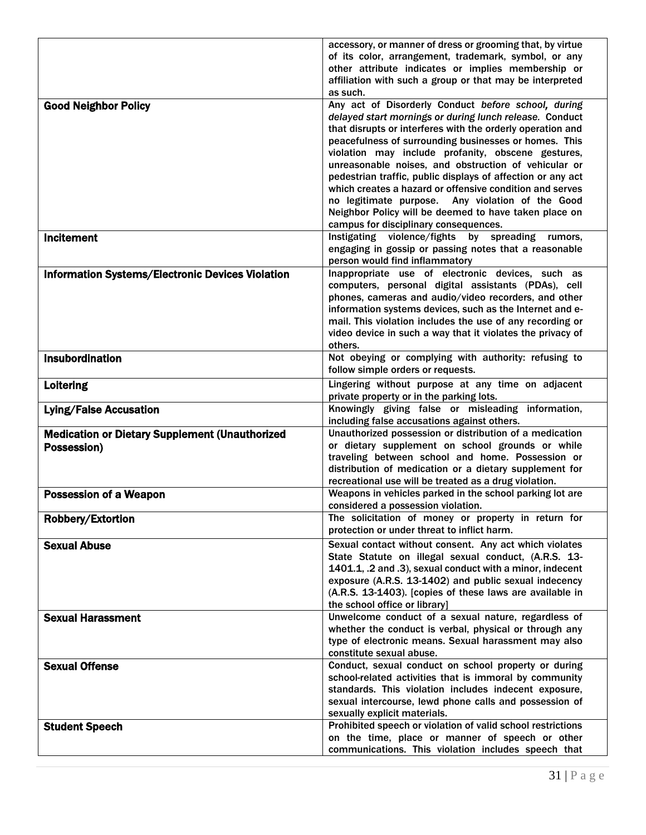|                                                                      | accessory, or manner of dress or grooming that, by virtue<br>of its color, arrangement, trademark, symbol, or any<br>other attribute indicates or implies membership or                                                                                                                                                                                                                                                                                                                                                                                                                                                                                                                                                                                                             |
|----------------------------------------------------------------------|-------------------------------------------------------------------------------------------------------------------------------------------------------------------------------------------------------------------------------------------------------------------------------------------------------------------------------------------------------------------------------------------------------------------------------------------------------------------------------------------------------------------------------------------------------------------------------------------------------------------------------------------------------------------------------------------------------------------------------------------------------------------------------------|
|                                                                      | affiliation with such a group or that may be interpreted<br>as such.                                                                                                                                                                                                                                                                                                                                                                                                                                                                                                                                                                                                                                                                                                                |
| <b>Good Neighbor Policy</b><br><b>Incitement</b>                     | Any act of Disorderly Conduct before school, during<br>delayed start mornings or during lunch release. Conduct<br>that disrupts or interferes with the orderly operation and<br>peacefulness of surrounding businesses or homes. This<br>violation may include profanity, obscene gestures,<br>unreasonable noises, and obstruction of vehicular or<br>pedestrian traffic, public displays of affection or any act<br>which creates a hazard or offensive condition and serves<br>no legitimate purpose. Any violation of the Good<br>Neighbor Policy will be deemed to have taken place on<br>campus for disciplinary consequences.<br>Instigating violence/fights by spreading rumors,<br>engaging in gossip or passing notes that a reasonable<br>person would find inflammatory |
| <b>Information Systems/Electronic Devices Violation</b>              | Inappropriate use of electronic devices, such as<br>computers, personal digital assistants (PDAs), cell<br>phones, cameras and audio/video recorders, and other<br>information systems devices, such as the Internet and e-<br>mail. This violation includes the use of any recording or<br>video device in such a way that it violates the privacy of<br>others.                                                                                                                                                                                                                                                                                                                                                                                                                   |
| <b>Insubordination</b>                                               | Not obeying or complying with authority: refusing to<br>follow simple orders or requests.                                                                                                                                                                                                                                                                                                                                                                                                                                                                                                                                                                                                                                                                                           |
| Loitering                                                            | Lingering without purpose at any time on adjacent<br>private property or in the parking lots.                                                                                                                                                                                                                                                                                                                                                                                                                                                                                                                                                                                                                                                                                       |
| <b>Lying/False Accusation</b>                                        | Knowingly giving false or misleading information,<br>including false accusations against others.                                                                                                                                                                                                                                                                                                                                                                                                                                                                                                                                                                                                                                                                                    |
| <b>Medication or Dietary Supplement (Unauthorized</b><br>Possession) | Unauthorized possession or distribution of a medication<br>or dietary supplement on school grounds or while<br>traveling between school and home. Possession or<br>distribution of medication or a dietary supplement for<br>recreational use will be treated as a drug violation.                                                                                                                                                                                                                                                                                                                                                                                                                                                                                                  |
| <b>Possession of a Weapon</b>                                        | Weapons in vehicles parked in the school parking lot are<br>considered a possession violation.                                                                                                                                                                                                                                                                                                                                                                                                                                                                                                                                                                                                                                                                                      |
| Robbery/Extortion                                                    | The solicitation of money or property in return for<br>protection or under threat to inflict harm.                                                                                                                                                                                                                                                                                                                                                                                                                                                                                                                                                                                                                                                                                  |
| <b>Sexual Abuse</b>                                                  | Sexual contact without consent. Any act which violates<br>State Statute on illegal sexual conduct, (A.R.S. 13-<br>1401.1, .2 and .3), sexual conduct with a minor, indecent<br>exposure (A.R.S. 13-1402) and public sexual indecency<br>(A.R.S. 13-1403). [copies of these laws are available in<br>the school office or library]                                                                                                                                                                                                                                                                                                                                                                                                                                                   |
| <b>Sexual Harassment</b>                                             | Unwelcome conduct of a sexual nature, regardless of<br>whether the conduct is verbal, physical or through any<br>type of electronic means. Sexual harassment may also<br>constitute sexual abuse.                                                                                                                                                                                                                                                                                                                                                                                                                                                                                                                                                                                   |
| <b>Sexual Offense</b>                                                | Conduct, sexual conduct on school property or during<br>school-related activities that is immoral by community<br>standards. This violation includes indecent exposure,<br>sexual intercourse, lewd phone calls and possession of<br>sexually explicit materials.                                                                                                                                                                                                                                                                                                                                                                                                                                                                                                                   |
| <b>Student Speech</b>                                                | Prohibited speech or violation of valid school restrictions<br>on the time, place or manner of speech or other<br>communications. This violation includes speech that                                                                                                                                                                                                                                                                                                                                                                                                                                                                                                                                                                                                               |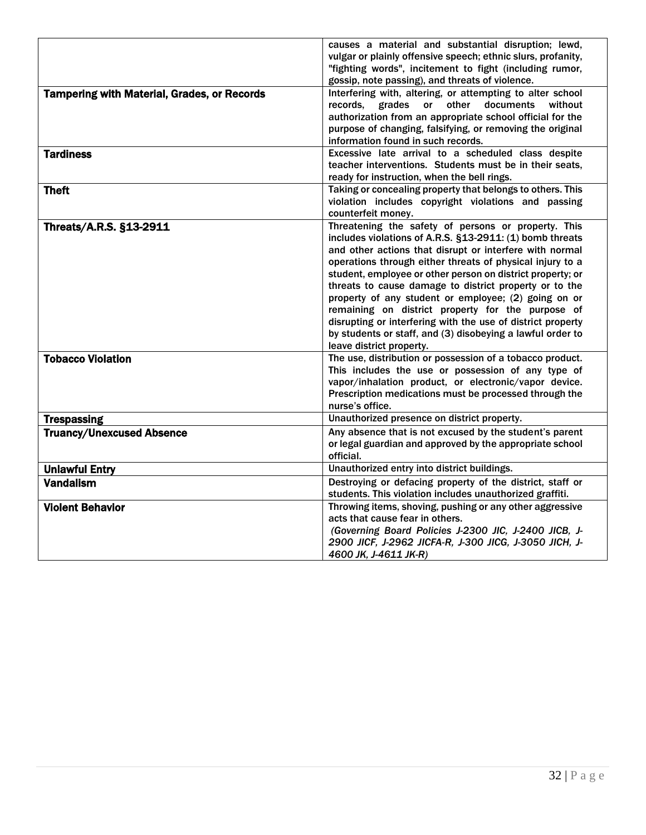|                                                            | causes a material and substantial disruption; lewd,<br>vulgar or plainly offensive speech; ethnic slurs, profanity,<br>"fighting words", incitement to fight (including rumor,                                                                                                                                                                                                                                                                                                                                                                                                                                                                                                                                                                           |
|------------------------------------------------------------|----------------------------------------------------------------------------------------------------------------------------------------------------------------------------------------------------------------------------------------------------------------------------------------------------------------------------------------------------------------------------------------------------------------------------------------------------------------------------------------------------------------------------------------------------------------------------------------------------------------------------------------------------------------------------------------------------------------------------------------------------------|
|                                                            | gossip, note passing), and threats of violence.                                                                                                                                                                                                                                                                                                                                                                                                                                                                                                                                                                                                                                                                                                          |
| <b>Tampering with Material, Grades, or Records</b>         | Interfering with, altering, or attempting to alter school<br>grades or other<br>records,<br>documents<br>without<br>authorization from an appropriate school official for the<br>purpose of changing, falsifying, or removing the original<br>information found in such records.                                                                                                                                                                                                                                                                                                                                                                                                                                                                         |
| <b>Tardiness</b>                                           | Excessive late arrival to a scheduled class despite                                                                                                                                                                                                                                                                                                                                                                                                                                                                                                                                                                                                                                                                                                      |
|                                                            | teacher interventions. Students must be in their seats,                                                                                                                                                                                                                                                                                                                                                                                                                                                                                                                                                                                                                                                                                                  |
|                                                            | ready for instruction, when the bell rings.                                                                                                                                                                                                                                                                                                                                                                                                                                                                                                                                                                                                                                                                                                              |
| <b>Theft</b>                                               | Taking or concealing property that belongs to others. This<br>violation includes copyright violations and passing<br>counterfeit money.                                                                                                                                                                                                                                                                                                                                                                                                                                                                                                                                                                                                                  |
| <b>Threats/A.R.S. §13-2911</b><br><b>Tobacco Violation</b> | Threatening the safety of persons or property. This<br>includes violations of A.R.S. §13-2911: (1) bomb threats<br>and other actions that disrupt or interfere with normal<br>operations through either threats of physical injury to a<br>student, employee or other person on district property; or<br>threats to cause damage to district property or to the<br>property of any student or employee; (2) going on or<br>remaining on district property for the purpose of<br>disrupting or interfering with the use of district property<br>by students or staff, and (3) disobeying a lawful order to<br>leave district property.<br>The use, distribution or possession of a tobacco product.<br>This includes the use or possession of any type of |
|                                                            | vapor/inhalation product, or electronic/vapor device.<br>Prescription medications must be processed through the<br>nurse's office.                                                                                                                                                                                                                                                                                                                                                                                                                                                                                                                                                                                                                       |
| <b>Trespassing</b>                                         | Unauthorized presence on district property.                                                                                                                                                                                                                                                                                                                                                                                                                                                                                                                                                                                                                                                                                                              |
| <b>Truancy/Unexcused Absence</b>                           | Any absence that is not excused by the student's parent<br>or legal guardian and approved by the appropriate school<br>official.                                                                                                                                                                                                                                                                                                                                                                                                                                                                                                                                                                                                                         |
| <b>Unlawful Entry</b>                                      | Unauthorized entry into district buildings.                                                                                                                                                                                                                                                                                                                                                                                                                                                                                                                                                                                                                                                                                                              |
| <b>Vandalism</b>                                           | Destroying or defacing property of the district, staff or<br>students. This violation includes unauthorized graffiti.                                                                                                                                                                                                                                                                                                                                                                                                                                                                                                                                                                                                                                    |
| <b>Violent Behavior</b>                                    | Throwing items, shoving, pushing or any other aggressive<br>acts that cause fear in others.<br>(Governing Board Policies J-2300 JIC, J-2400 JICB, J-<br>2900 ЈІСҒ, Ј-2962 ЈІСҒА-R, Ј-300 ЈІСС, Ј-3050 ЈІСН, Ј-<br>4600 JK, J-4611 JK-R)                                                                                                                                                                                                                                                                                                                                                                                                                                                                                                                  |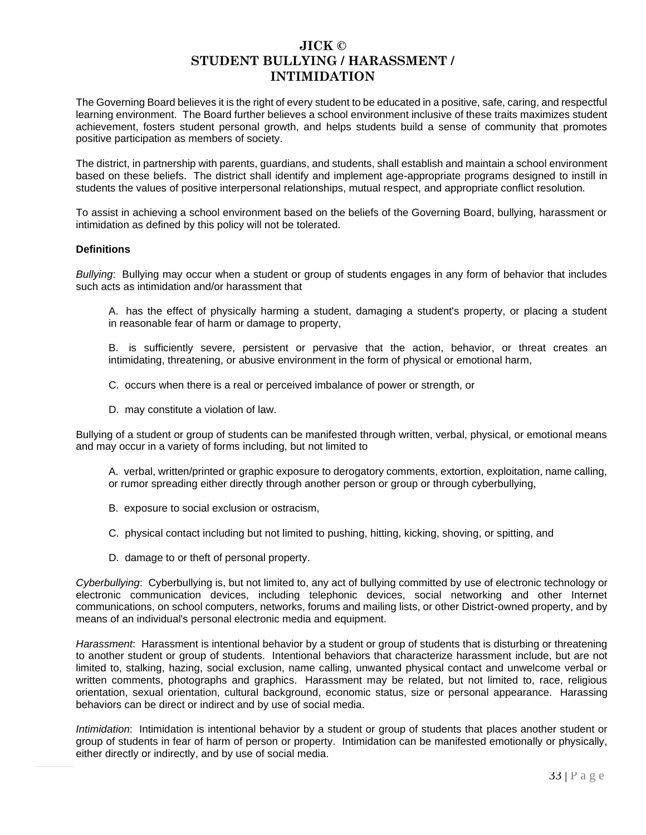### **JICK © STUDENT BULLYING / HARASSMENT / INTIMIDATION**

The Governing Board believes it is the right of every student to be educated in a positive, safe, caring, and respectful learning environment. The Board further believes a school environment inclusive of these traits maximizes student achievement, fosters student personal growth, and helps students build a sense of community that promotes positive participation as members of society.

The district, in partnership with parents, guardians, and students, shall establish and maintain a school environment based on these beliefs. The district shall identify and implement age-appropriate programs designed to instill in students the values of positive interpersonal relationships, mutual respect, and appropriate conflict resolution.

To assist in achieving a school environment based on the beliefs of the Governing Board, bullying, harassment or intimidation as defined by this policy will not be tolerated.

#### **Definitions**

*Bullying*: Bullying may occur when a student or group of students engages in any form of behavior that includes such acts as intimidation and/or harassment that

- A. has the effect of physically harming a student, damaging a student's property, or placing a student in reasonable fear of harm or damage to property,
- B. is sufficiently severe, persistent or pervasive that the action, behavior, or threat creates an intimidating, threatening, or abusive environment in the form of physical or emotional harm,
- C. occurs when there is a real or perceived imbalance of power or strength, or
- D. may constitute a violation of law.

Bullying of a student or group of students can be manifested through written, verbal, physical, or emotional means and may occur in a variety of forms including, but not limited to

- A. verbal, written/printed or graphic exposure to derogatory comments, extortion, exploitation, name calling, or rumor spreading either directly through another person or group or through cyberbullying,
- B. exposure to social exclusion or ostracism,
- C. physical contact including but not limited to pushing, hitting, kicking, shoving, or spitting, and
- D. damage to or theft of personal property.

*Cyberbullying*: Cyberbullying is, but not limited to, any act of bullying committed by use of electronic technology or electronic communication devices, including telephonic devices, social networking and other Internet communications, on school computers, networks, forums and mailing lists, or other District-owned property, and by means of an individual's personal electronic media and equipment.

*Harassment*: Harassment is intentional behavior by a student or group of students that is disturbing or threatening to another student or group of students. Intentional behaviors that characterize harassment include, but are not limited to, stalking, hazing, social exclusion, name calling, unwanted physical contact and unwelcome verbal or written comments, photographs and graphics. Harassment may be related, but not limited to, race, religious orientation, sexual orientation, cultural background, economic status, size or personal appearance. Harassing behaviors can be direct or indirect and by use of social media.

*Intimidation*: Intimidation is intentional behavior by a student or group of students that places another student or group of students in fear of harm of person or property. Intimidation can be manifested emotionally or physically, either directly or indirectly, and by use of social media.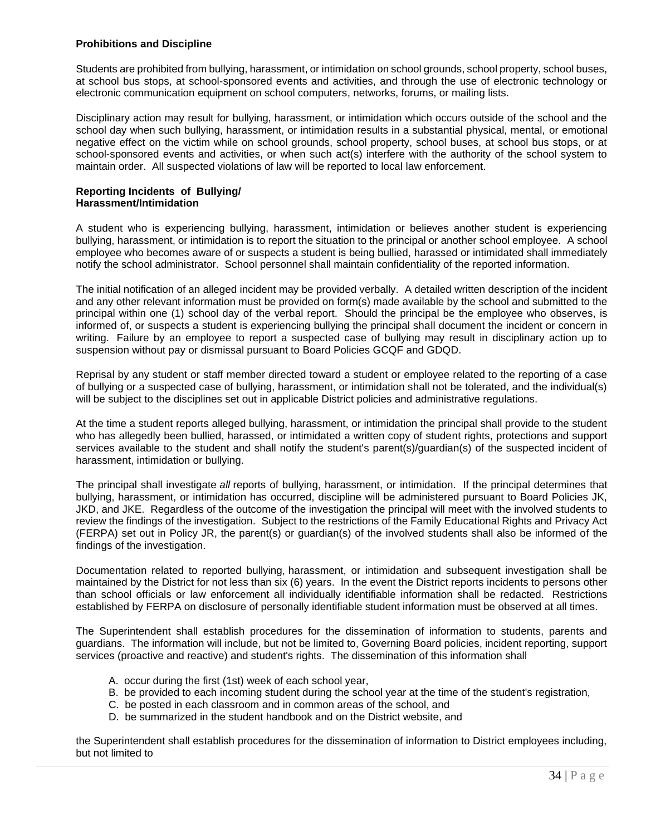#### **Prohibitions and Discipline**

Students are prohibited from bullying, harassment, or intimidation on school grounds, school property, school buses, at school bus stops, at school-sponsored events and activities, and through the use of electronic technology or electronic communication equipment on school computers, networks, forums, or mailing lists.

Disciplinary action may result for bullying, harassment, or intimidation which occurs outside of the school and the school day when such bullying, harassment, or intimidation results in a substantial physical, mental, or emotional negative effect on the victim while on school grounds, school property, school buses, at school bus stops, or at school-sponsored events and activities, or when such act(s) interfere with the authority of the school system to maintain order. All suspected violations of law will be reported to local law enforcement.

#### **Reporting Incidents of Bullying/ Harassment/Intimidation**

A student who is experiencing bullying, harassment, intimidation or believes another student is experiencing bullying, harassment, or intimidation is to report the situation to the principal or another school employee. A school employee who becomes aware of or suspects a student is being bullied, harassed or intimidated shall immediately notify the school administrator. School personnel shall maintain confidentiality of the reported information.

The initial notification of an alleged incident may be provided verbally. A detailed written description of the incident and any other relevant information must be provided on form(s) made available by the school and submitted to the principal within one (1) school day of the verbal report. Should the principal be the employee who observes, is informed of, or suspects a student is experiencing bullying the principal shall document the incident or concern in writing. Failure by an employee to report a suspected case of bullying may result in disciplinary action up to suspension without pay or dismissal pursuant to Board Policies GCQF and GDQD.

Reprisal by any student or staff member directed toward a student or employee related to the reporting of a case of bullying or a suspected case of bullying, harassment, or intimidation shall not be tolerated, and the individual(s) will be subject to the disciplines set out in applicable District policies and administrative regulations.

At the time a student reports alleged bullying, harassment, or intimidation the principal shall provide to the student who has allegedly been bullied, harassed, or intimidated a written copy of student rights, protections and support services available to the student and shall notify the student's parent(s)/guardian(s) of the suspected incident of harassment, intimidation or bullying.

The principal shall investigate *all* reports of bullying, harassment, or intimidation. If the principal determines that bullying, harassment, or intimidation has occurred, discipline will be administered pursuant to Board Policies JK, JKD, and JKE. Regardless of the outcome of the investigation the principal will meet with the involved students to review the findings of the investigation. Subject to the restrictions of the Family Educational Rights and Privacy Act (FERPA) set out in Policy JR, the parent(s) or guardian(s) of the involved students shall also be informed of the findings of the investigation.

Documentation related to reported bullying, harassment, or intimidation and subsequent investigation shall be maintained by the District for not less than six (6) years. In the event the District reports incidents to persons other than school officials or law enforcement all individually identifiable information shall be redacted. Restrictions established by FERPA on disclosure of personally identifiable student information must be observed at all times.

The Superintendent shall establish procedures for the dissemination of information to students, parents and guardians. The information will include, but not be limited to, Governing Board policies, incident reporting, support services (proactive and reactive) and student's rights. The dissemination of this information shall

- A. occur during the first (1st) week of each school year,
- B. be provided to each incoming student during the school year at the time of the student's registration,
- C. be posted in each classroom and in common areas of the school, and
- D. be summarized in the student handbook and on the District website, and

the Superintendent shall establish procedures for the dissemination of information to District employees including, but not limited to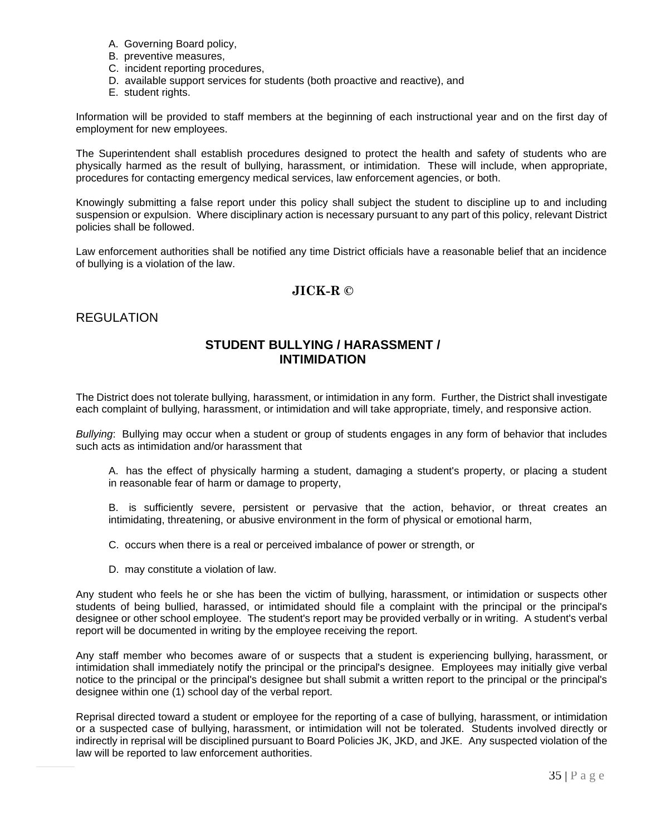- A. Governing Board policy,
- B. preventive measures,
- C. incident reporting procedures,
- D. available support services for students (both proactive and reactive), and
- E. student rights.

Information will be provided to staff members at the beginning of each instructional year and on the first day of employment for new employees.

The Superintendent shall establish procedures designed to protect the health and safety of students who are physically harmed as the result of bullying, harassment, or intimidation. These will include, when appropriate, procedures for contacting emergency medical services, law enforcement agencies, or both.

Knowingly submitting a false report under this policy shall subject the student to discipline up to and including suspension or expulsion. Where disciplinary action is necessary pursuant to any part of this policy, relevant District policies shall be followed.

Law enforcement authorities shall be notified any time District officials have a reasonable belief that an incidence of bullying is a violation of the law.

### **JICK-R ©**

#### REGULATION

### **STUDENT BULLYING / HARASSMENT / INTIMIDATION**

The District does not tolerate bullying, harassment, or intimidation in any form. Further, the District shall investigate each complaint of bullying, harassment, or intimidation and will take appropriate, timely, and responsive action.

*Bullying*: Bullying may occur when a student or group of students engages in any form of behavior that includes such acts as intimidation and/or harassment that

A. has the effect of physically harming a student, damaging a student's property, or placing a student in reasonable fear of harm or damage to property,

B. is sufficiently severe, persistent or pervasive that the action, behavior, or threat creates an intimidating, threatening, or abusive environment in the form of physical or emotional harm,

C. occurs when there is a real or perceived imbalance of power or strength, or

D. may constitute a violation of law.

Any student who feels he or she has been the victim of bullying, harassment, or intimidation or suspects other students of being bullied, harassed, or intimidated should file a complaint with the principal or the principal's designee or other school employee. The student's report may be provided verbally or in writing. A student's verbal report will be documented in writing by the employee receiving the report.

Any staff member who becomes aware of or suspects that a student is experiencing bullying, harassment, or intimidation shall immediately notify the principal or the principal's designee. Employees may initially give verbal notice to the principal or the principal's designee but shall submit a written report to the principal or the principal's designee within one (1) school day of the verbal report.

Reprisal directed toward a student or employee for the reporting of a case of bullying, harassment, or intimidation or a suspected case of bullying, harassment, or intimidation will not be tolerated. Students involved directly or indirectly in reprisal will be disciplined pursuant to Board Policies JK, JKD, and JKE. Any suspected violation of the law will be reported to law enforcement authorities.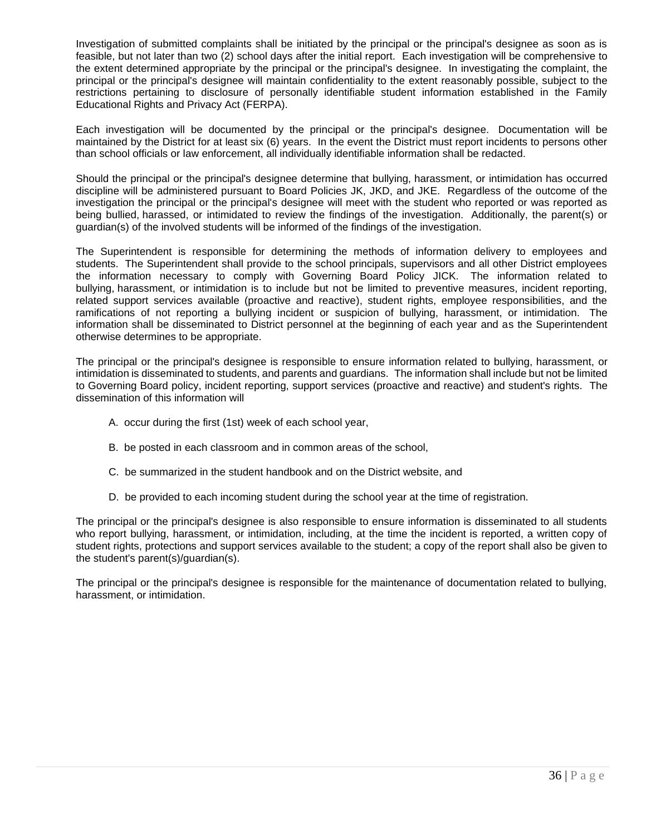Investigation of submitted complaints shall be initiated by the principal or the principal's designee as soon as is feasible, but not later than two (2) school days after the initial report. Each investigation will be comprehensive to the extent determined appropriate by the principal or the principal's designee. In investigating the complaint, the principal or the principal's designee will maintain confidentiality to the extent reasonably possible, subject to the restrictions pertaining to disclosure of personally identifiable student information established in the Family Educational Rights and Privacy Act (FERPA).

Each investigation will be documented by the principal or the principal's designee. Documentation will be maintained by the District for at least six (6) years. In the event the District must report incidents to persons other than school officials or law enforcement, all individually identifiable information shall be redacted.

Should the principal or the principal's designee determine that bullying, harassment, or intimidation has occurred discipline will be administered pursuant to Board Policies JK, JKD, and JKE. Regardless of the outcome of the investigation the principal or the principal's designee will meet with the student who reported or was reported as being bullied, harassed, or intimidated to review the findings of the investigation. Additionally, the parent(s) or guardian(s) of the involved students will be informed of the findings of the investigation.

The Superintendent is responsible for determining the methods of information delivery to employees and students. The Superintendent shall provide to the school principals, supervisors and all other District employees the information necessary to comply with Governing Board Policy JICK. The information related to bullying, harassment, or intimidation is to include but not be limited to preventive measures, incident reporting, related support services available (proactive and reactive), student rights, employee responsibilities, and the ramifications of not reporting a bullying incident or suspicion of bullying, harassment, or intimidation. The information shall be disseminated to District personnel at the beginning of each year and as the Superintendent otherwise determines to be appropriate.

The principal or the principal's designee is responsible to ensure information related to bullying, harassment, or intimidation is disseminated to students, and parents and guardians. The information shall include but not be limited to Governing Board policy, incident reporting, support services (proactive and reactive) and student's rights. The dissemination of this information will

- A. occur during the first (1st) week of each school year,
- B. be posted in each classroom and in common areas of the school,
- C. be summarized in the student handbook and on the District website, and
- D. be provided to each incoming student during the school year at the time of registration.

The principal or the principal's designee is also responsible to ensure information is disseminated to all students who report bullying, harassment, or intimidation, including, at the time the incident is reported, a written copy of student rights, protections and support services available to the student; a copy of the report shall also be given to the student's parent(s)/guardian(s).

The principal or the principal's designee is responsible for the maintenance of documentation related to bullying, harassment, or intimidation.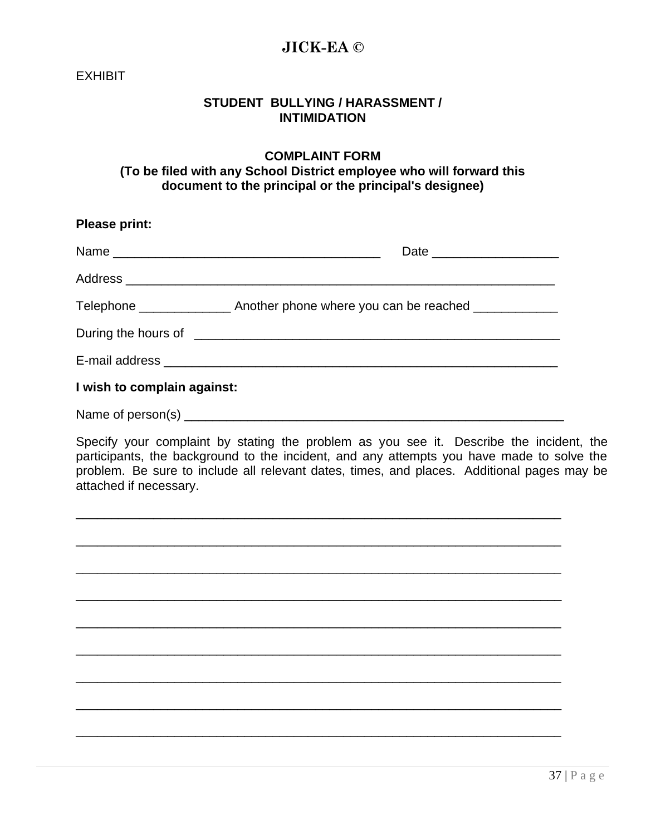# **JICK-EA ©**

**EXHIBIT** 

# **STUDENT BULLYING / HARASSMENT / INTIMIDATION**

### **COMPLAINT FORM (To be filed with any School District employee who will forward this document to the principal or the principal's designee)**

| <b>Please print:</b>                                                                                                                                                                                                                                                                                         |  |
|--------------------------------------------------------------------------------------------------------------------------------------------------------------------------------------------------------------------------------------------------------------------------------------------------------------|--|
|                                                                                                                                                                                                                                                                                                              |  |
|                                                                                                                                                                                                                                                                                                              |  |
| Telephone ___________________ Another phone where you can be reached ___________                                                                                                                                                                                                                             |  |
|                                                                                                                                                                                                                                                                                                              |  |
|                                                                                                                                                                                                                                                                                                              |  |
| I wish to complain against:                                                                                                                                                                                                                                                                                  |  |
|                                                                                                                                                                                                                                                                                                              |  |
| Specify your complaint by stating the problem as you see it. Describe the incident, the<br>participants, the background to the incident, and any attempts you have made to solve the<br>problem. Be sure to include all relevant dates, times, and places. Additional pages may be<br>attached if necessary. |  |
|                                                                                                                                                                                                                                                                                                              |  |
|                                                                                                                                                                                                                                                                                                              |  |
|                                                                                                                                                                                                                                                                                                              |  |
|                                                                                                                                                                                                                                                                                                              |  |
|                                                                                                                                                                                                                                                                                                              |  |
|                                                                                                                                                                                                                                                                                                              |  |
|                                                                                                                                                                                                                                                                                                              |  |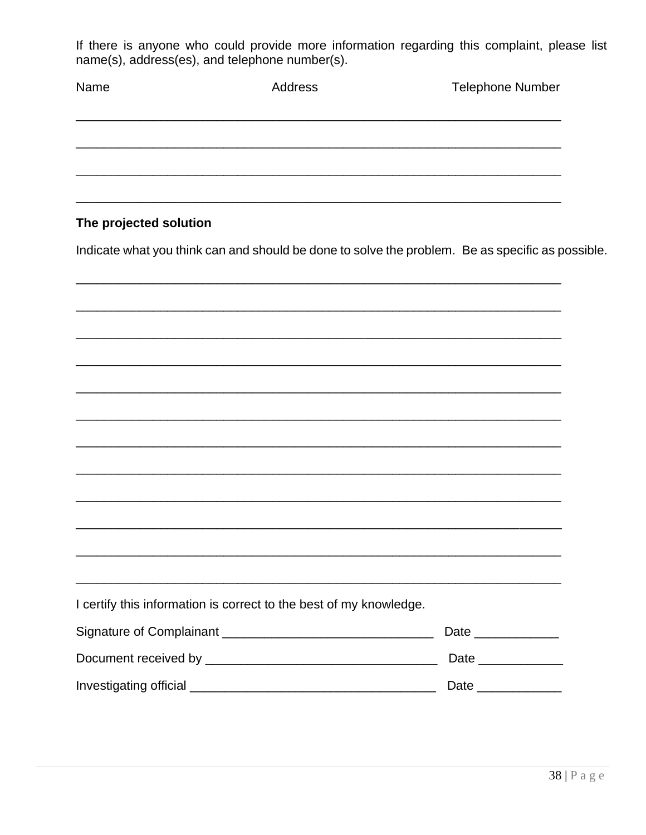If there is anyone who could provide more information regarding this complaint, please list name(s), address(es), and telephone number(s).

| Name                   | Address                                                            | <b>Telephone Number</b>                                                                          |
|------------------------|--------------------------------------------------------------------|--------------------------------------------------------------------------------------------------|
|                        |                                                                    |                                                                                                  |
|                        |                                                                    |                                                                                                  |
| The projected solution |                                                                    |                                                                                                  |
|                        |                                                                    | Indicate what you think can and should be done to solve the problem. Be as specific as possible. |
|                        |                                                                    |                                                                                                  |
|                        |                                                                    |                                                                                                  |
|                        |                                                                    |                                                                                                  |
|                        |                                                                    |                                                                                                  |
|                        |                                                                    |                                                                                                  |
|                        |                                                                    |                                                                                                  |
|                        |                                                                    |                                                                                                  |
|                        |                                                                    |                                                                                                  |
|                        | I certify this information is correct to the best of my knowledge. |                                                                                                  |
|                        |                                                                    | Date ______________                                                                              |
|                        |                                                                    | Date _____________                                                                               |
|                        |                                                                    | Date _______________                                                                             |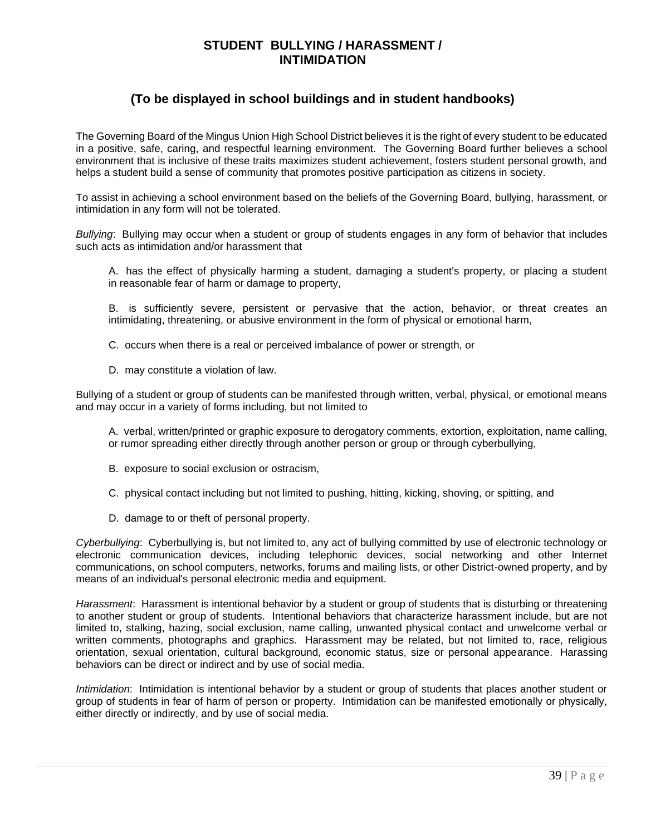### **STUDENT BULLYING / HARASSMENT / INTIMIDATION**

# **(To be displayed in school buildings and in student handbooks)**

The Governing Board of the Mingus Union High School District believes it is the right of every student to be educated in a positive, safe, caring, and respectful learning environment. The Governing Board further believes a school environment that is inclusive of these traits maximizes student achievement, fosters student personal growth, and helps a student build a sense of community that promotes positive participation as citizens in society.

To assist in achieving a school environment based on the beliefs of the Governing Board, bullying, harassment, or intimidation in any form will not be tolerated.

*Bullying*: Bullying may occur when a student or group of students engages in any form of behavior that includes such acts as intimidation and/or harassment that

- A. has the effect of physically harming a student, damaging a student's property, or placing a student in reasonable fear of harm or damage to property,
- B. is sufficiently severe, persistent or pervasive that the action, behavior, or threat creates an intimidating, threatening, or abusive environment in the form of physical or emotional harm,
- C. occurs when there is a real or perceived imbalance of power or strength, or
- D. may constitute a violation of law.

Bullying of a student or group of students can be manifested through written, verbal, physical, or emotional means and may occur in a variety of forms including, but not limited to

- A. verbal, written/printed or graphic exposure to derogatory comments, extortion, exploitation, name calling, or rumor spreading either directly through another person or group or through cyberbullying,
- B. exposure to social exclusion or ostracism,
- C. physical contact including but not limited to pushing, hitting, kicking, shoving, or spitting, and
- D. damage to or theft of personal property.

*Cyberbullying*: Cyberbullying is, but not limited to, any act of bullying committed by use of electronic technology or electronic communication devices, including telephonic devices, social networking and other Internet communications, on school computers, networks, forums and mailing lists, or other District-owned property, and by means of an individual's personal electronic media and equipment.

*Harassment*: Harassment is intentional behavior by a student or group of students that is disturbing or threatening to another student or group of students. Intentional behaviors that characterize harassment include, but are not limited to, stalking, hazing, social exclusion, name calling, unwanted physical contact and unwelcome verbal or written comments, photographs and graphics. Harassment may be related, but not limited to, race, religious orientation, sexual orientation, cultural background, economic status, size or personal appearance. Harassing behaviors can be direct or indirect and by use of social media.

*Intimidation*: Intimidation is intentional behavior by a student or group of students that places another student or group of students in fear of harm of person or property. Intimidation can be manifested emotionally or physically, either directly or indirectly, and by use of social media.